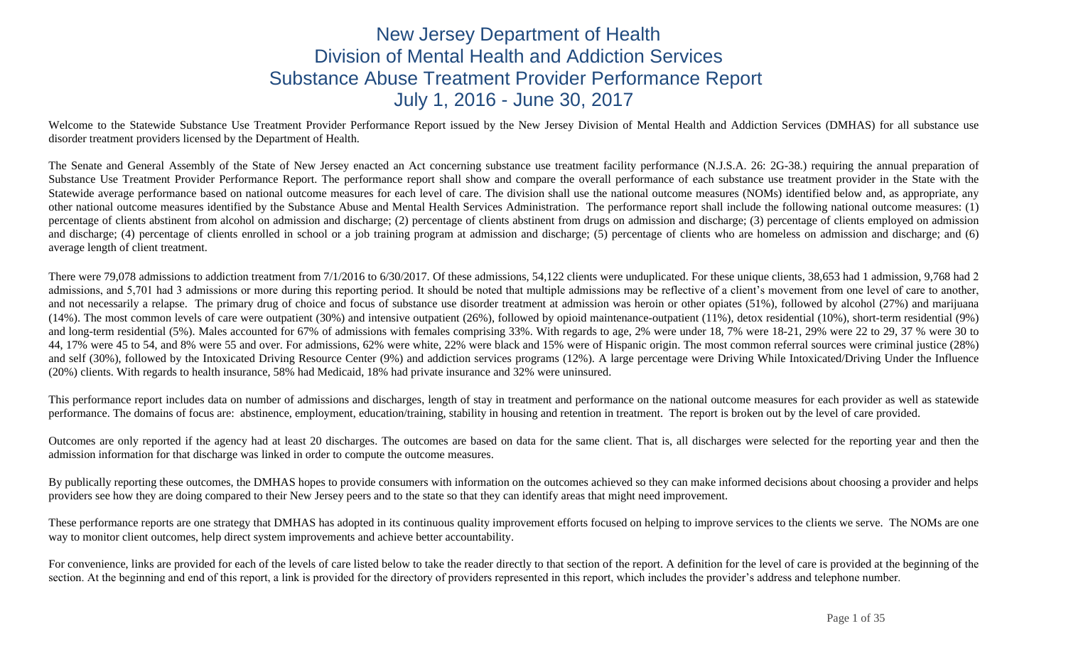# New Jersey Department of Health Division of Mental Health and Addiction Services Substance Abuse Treatment Provider Performance Report July 1, 2016 - June 30, 2017

Welcome to the Statewide Substance Use Treatment Provider Performance Report issued by the New Jersey Division of Mental Health and Addiction Services (DMHAS) for all substance use disorder treatment providers licensed by the Department of Health.

The Senate and General Assembly of the State of New Jersey enacted an Act concerning substance use treatment facility performance (N.J.S.A. 26: 2G-38.) requiring the annual preparation of Substance Use Treatment Provider Performance Report. The performance report shall show and compare the overall performance of each substance use treatment provider in the State with the Statewide average performance based on national outcome measures for each level of care. The division shall use the national outcome measures (NOMs) identified below and, as appropriate, any other national outcome measures identified by the Substance Abuse and Mental Health Services Administration. The performance report shall include the following national outcome measures: (1) percentage of clients abstinent from alcohol on admission and discharge; (2) percentage of clients abstinent from drugs on admission and discharge; (3) percentage of clients employed on admission and discharge; (4) percentage of clients enrolled in school or a job training program at admission and discharge; (5) percentage of clients who are homeless on admission and discharge; and (6) average length of client treatment.

There were 79,078 admissions to addiction treatment from 7/1/2016 to 6/30/2017. Of these admissions, 54,122 clients were unduplicated. For these unique clients, 38,653 had 1 admission, 9,768 had 2 admissions, and 5,701 had 3 admissions or more during this reporting period. It should be noted that multiple admissions may be reflective of a client's movement from one level of care to another, and not necessarily a relapse. The primary drug of choice and focus of substance use disorder treatment at admission was heroin or other opiates (51%), followed by alcohol (27%) and marijuana (14%). The most common levels of care were outpatient (30%) and intensive outpatient (26%), followed by opioid maintenance-outpatient (11%), detox residential (10%), short-term residential (9%) and long-term residential (5%). Males accounted for 67% of admissions with females comprising 33%. With regards to age, 2% were under 18, 7% were 18-21, 29% were 22 to 29, 37 % were 30 to 44, 17% were 45 to 54, and 8% were 55 and over. For admissions, 62% were white, 22% were black and 15% were of Hispanic origin. The most common referral sources were criminal justice (28%) and self (30%), followed by the Intoxicated Driving Resource Center (9%) and addiction services programs (12%). A large percentage were Driving While Intoxicated/Driving Under the Influence (20%) clients. With regards to health insurance, 58% had Medicaid, 18% had private insurance and 32% were uninsured.

This performance report includes data on number of admissions and discharges, length of stay in treatment and performance on the national outcome measures for each provider as well as statewide performance. The domains of focus are: abstinence, employment, education/training, stability in housing and retention in treatment. The report is broken out by the level of care provided.

Outcomes are only reported if the agency had at least 20 discharges. The outcomes are based on data for the same client. That is, all discharges were selected for the reporting year and then the admission information for that discharge was linked in order to compute the outcome measures.

By publically reporting these outcomes, the DMHAS hopes to provide consumers with information on the outcomes achieved so they can make informed decisions about choosing a provider and helps providers see how they are doing compared to their New Jersey peers and to the state so that they can identify areas that might need improvement.

These performance reports are one strategy that DMHAS has adopted in its continuous quality improvement efforts focused on helping to improve services to the clients we serve. The NOMs are one way to monitor client outcomes, help direct system improvements and achieve better accountability.

For convenience, links are provided for each of the levels of care listed below to take the reader directly to that section of the report. A definition for the level of care is provided at the beginning of the section. At the beginning and end of this report, a link is provided for the directory of providers represented in this report, which includes the provider's address and telephone number.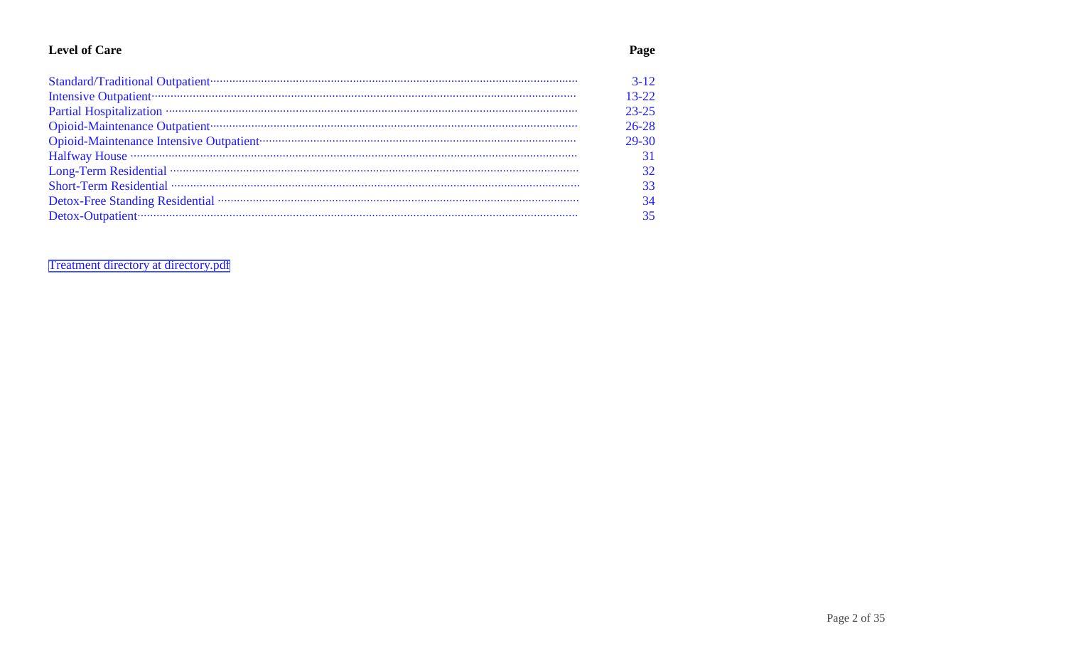## **Level of Care**

|                                                                                                                                                                                                                                | $3 - 12$  |
|--------------------------------------------------------------------------------------------------------------------------------------------------------------------------------------------------------------------------------|-----------|
|                                                                                                                                                                                                                                | $13 - 22$ |
|                                                                                                                                                                                                                                | $23 - 25$ |
|                                                                                                                                                                                                                                | $26 - 28$ |
| Opioid-Maintenance Intensive Outpatient contract and a series of the Maintenance Intensive Outpatient contract and a series of the Maintenance Intensive Outpatient contract and a series of the Maintenance Intensive Outpati | 29-30     |
|                                                                                                                                                                                                                                |           |
|                                                                                                                                                                                                                                |           |
|                                                                                                                                                                                                                                | 33        |
|                                                                                                                                                                                                                                | 34        |
|                                                                                                                                                                                                                                | 35        |
|                                                                                                                                                                                                                                |           |

Treatment directory at directory.pdf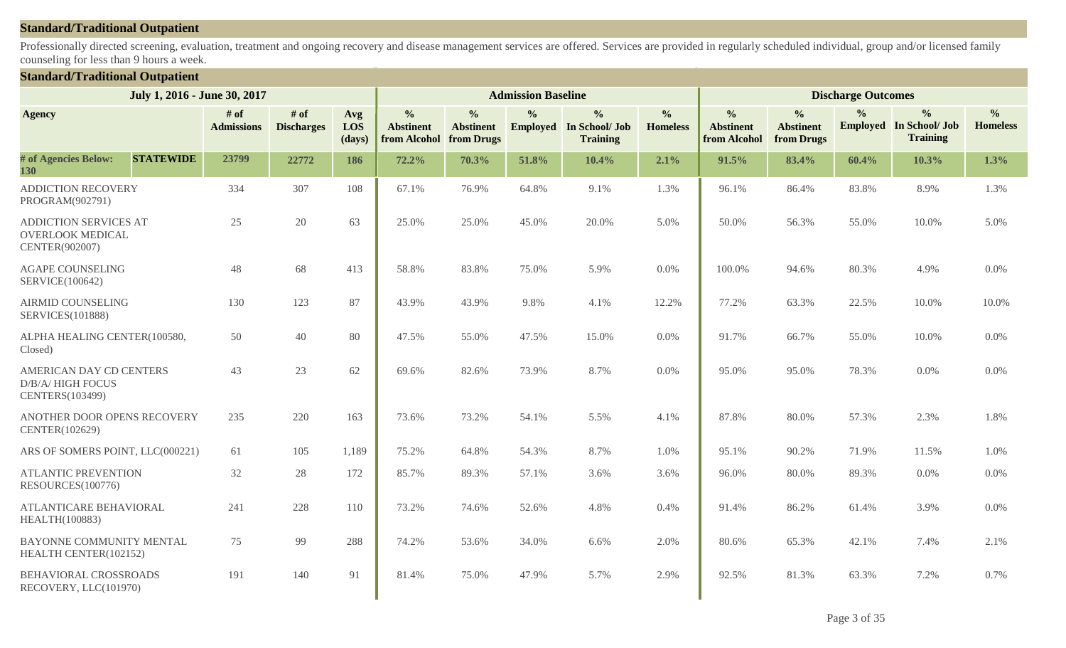#### **Standard/Traditional Outpatient**

Professionally directed screening, evaluation, treatment and ongoing recovery and disease management services are offered. Services are provided in regularly scheduled individual, group and/or licensed family counseling for less than 9 hours a week.

#### **Standard/Traditional Outpatient**

|                                                                           | July 1, 2016 - June 30, 2017 |                           |                             |                      |                                                              |                                   | <b>Admission Baseline</b> |                                                                    |                                  |                                                   |                                                 | <b>Discharge Outcomes</b> |                                                                    |                                  |
|---------------------------------------------------------------------------|------------------------------|---------------------------|-----------------------------|----------------------|--------------------------------------------------------------|-----------------------------------|---------------------------|--------------------------------------------------------------------|----------------------------------|---------------------------------------------------|-------------------------------------------------|---------------------------|--------------------------------------------------------------------|----------------------------------|
| <b>Agency</b>                                                             |                              | # of<br><b>Admissions</b> | $#$ of<br><b>Discharges</b> | Avg<br>LOS<br>(days) | $\frac{0}{0}$<br><b>Abstinent</b><br>from Alcohol from Drugs | $\frac{0}{0}$<br><b>Abstinent</b> | $\frac{0}{0}$             | $\frac{0}{0}$<br><b>Employed</b> In School/ Job<br><b>Training</b> | $\frac{0}{0}$<br><b>Homeless</b> | $\frac{0}{0}$<br><b>Abstinent</b><br>from Alcohol | $\frac{0}{0}$<br><b>Abstinent</b><br>from Drugs | $\frac{0}{0}$             | $\frac{0}{0}$<br><b>Employed</b> In School/ Job<br><b>Training</b> | $\frac{0}{0}$<br><b>Homeless</b> |
| # of Agencies Below:<br>130                                               | <b>STATEWIDE</b>             | 23799                     | 22772                       | 186                  | 72.2%                                                        | 70.3%                             | 51.8%                     | 10.4%                                                              | 2.1%                             | 91.5%                                             | 83.4%                                           | 60.4%                     | 10.3%                                                              | 1.3%                             |
| ADDICTION RECOVERY<br>PROGRAM(902791)                                     |                              | 334                       | 307                         | 108                  | 67.1%                                                        | 76.9%                             | 64.8%                     | 9.1%                                                               | 1.3%                             | 96.1%                                             | 86.4%                                           | 83.8%                     | 8.9%                                                               | 1.3%                             |
| <b>ADDICTION SERVICES AT</b><br><b>OVERLOOK MEDICAL</b><br>CENTER(902007) |                              | 25                        | 20                          | 63                   | 25.0%                                                        | 25.0%                             | 45.0%                     | 20.0%                                                              | 5.0%                             | 50.0%                                             | 56.3%                                           | 55.0%                     | 10.0%                                                              | 5.0%                             |
| <b>AGAPE COUNSELING</b><br>SERVICE(100642)                                |                              | 48                        | 68                          | 413                  | 58.8%                                                        | 83.8%                             | 75.0%                     | 5.9%                                                               | 0.0%                             | 100.0%                                            | 94.6%                                           | 80.3%                     | 4.9%                                                               | 0.0%                             |
| <b>AIRMID COUNSELING</b><br><b>SERVICES(101888)</b>                       |                              | 130                       | 123                         | 87                   | 43.9%                                                        | 43.9%                             | 9.8%                      | 4.1%                                                               | 12.2%                            | 77.2%                                             | 63.3%                                           | 22.5%                     | 10.0%                                                              | 10.0%                            |
| ALPHA HEALING CENTER(100580,<br>Closed)                                   |                              | 50                        | 40                          | 80                   | 47.5%                                                        | 55.0%                             | 47.5%                     | 15.0%                                                              | 0.0%                             | 91.7%                                             | 66.7%                                           | 55.0%                     | 10.0%                                                              | 0.0%                             |
| AMERICAN DAY CD CENTERS<br><b>D/B/A/HIGH FOCUS</b><br>CENTERS(103499)     |                              | 43                        | 23                          | 62                   | 69.6%                                                        | 82.6%                             | 73.9%                     | 8.7%                                                               | 0.0%                             | 95.0%                                             | 95.0%                                           | 78.3%                     | $0.0\%$                                                            | 0.0%                             |
| ANOTHER DOOR OPENS RECOVERY<br>CENTER(102629)                             |                              | 235                       | 220                         | 163                  | 73.6%                                                        | 73.2%                             | 54.1%                     | 5.5%                                                               | 4.1%                             | 87.8%                                             | 80.0%                                           | 57.3%                     | 2.3%                                                               | 1.8%                             |
| ARS OF SOMERS POINT, LLC(000221)                                          |                              | 61                        | 105                         | 1,189                | 75.2%                                                        | 64.8%                             | 54.3%                     | 8.7%                                                               | 1.0%                             | 95.1%                                             | 90.2%                                           | 71.9%                     | 11.5%                                                              | 1.0%                             |
| <b>ATLANTIC PREVENTION</b><br>RESOURCES(100776)                           |                              | 32                        | 28                          | 172                  | 85.7%                                                        | 89.3%                             | 57.1%                     | 3.6%                                                               | 3.6%                             | 96.0%                                             | 80.0%                                           | 89.3%                     | 0.0%                                                               | 0.0%                             |
| <b>ATLANTICARE BEHAVIORAL</b><br>HEALTH(100883)                           |                              | 241                       | 228                         | 110                  | 73.2%                                                        | 74.6%                             | 52.6%                     | 4.8%                                                               | 0.4%                             | 91.4%                                             | 86.2%                                           | 61.4%                     | 3.9%                                                               | 0.0%                             |
| BAYONNE COMMUNITY MENTAL<br>HEALTH CENTER(102152)                         |                              | 75                        | 99                          | 288                  | 74.2%                                                        | 53.6%                             | 34.0%                     | 6.6%                                                               | 2.0%                             | 80.6%                                             | 65.3%                                           | 42.1%                     | 7.4%                                                               | 2.1%                             |
| BEHAVIORAL CROSSROADS<br>RECOVERY, LLC(101970)                            |                              | 191                       | 140                         | 91                   | 81.4%                                                        | 75.0%                             | 47.9%                     | 5.7%                                                               | 2.9%                             | 92.5%                                             | 81.3%                                           | 63.3%                     | 7.2%                                                               | 0.7%                             |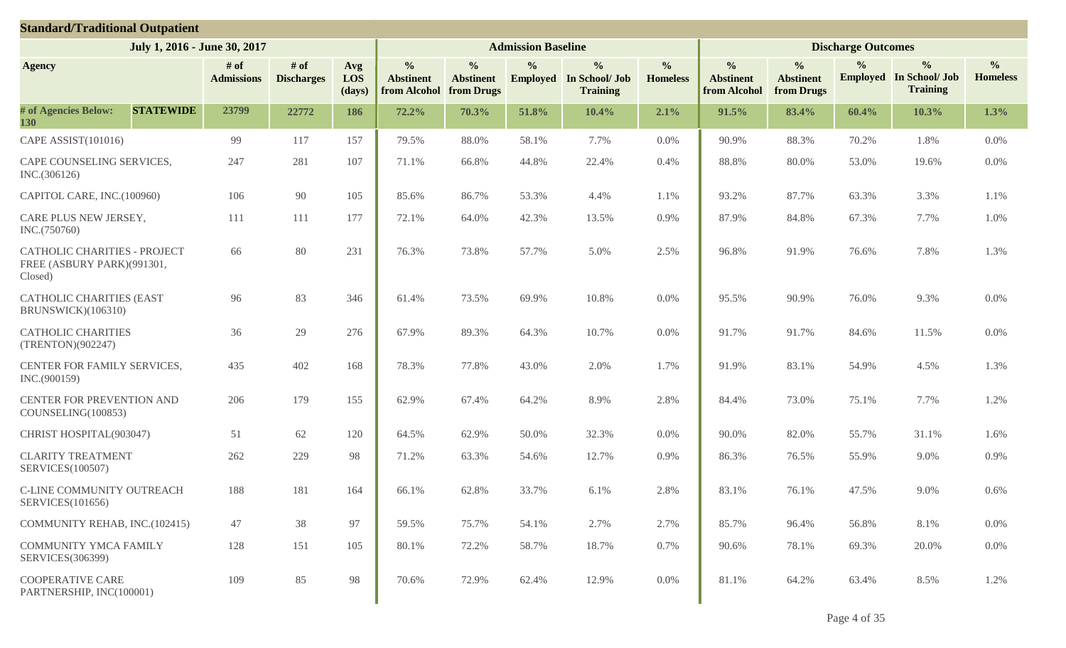| <b>Standard/Traditional Outpatient</b>                                       |                              |                             |                      |                                                   |                                                 |                           |                                                                    |                                  |                                                   |                                                 |                           |                                                                    |                                  |
|------------------------------------------------------------------------------|------------------------------|-----------------------------|----------------------|---------------------------------------------------|-------------------------------------------------|---------------------------|--------------------------------------------------------------------|----------------------------------|---------------------------------------------------|-------------------------------------------------|---------------------------|--------------------------------------------------------------------|----------------------------------|
|                                                                              | July 1, 2016 - June 30, 2017 |                             |                      |                                                   |                                                 | <b>Admission Baseline</b> |                                                                    |                                  |                                                   |                                                 | <b>Discharge Outcomes</b> |                                                                    |                                  |
| <b>Agency</b>                                                                | # of<br><b>Admissions</b>    | $#$ of<br><b>Discharges</b> | Avg<br>LOS<br>(days) | $\frac{0}{0}$<br><b>Abstinent</b><br>from Alcohol | $\frac{0}{0}$<br><b>Abstinent</b><br>from Drugs | $\frac{0}{0}$             | $\frac{0}{0}$<br><b>Employed</b> In School/ Job<br><b>Training</b> | $\frac{0}{0}$<br><b>Homeless</b> | $\frac{0}{0}$<br><b>Abstinent</b><br>from Alcohol | $\frac{0}{0}$<br><b>Abstinent</b><br>from Drugs | $\frac{0}{0}$             | $\frac{0}{0}$<br><b>Employed</b> In School/ Job<br><b>Training</b> | $\frac{0}{0}$<br><b>Homeless</b> |
| # of Agencies Below:<br><b>STATEWIDE</b><br>130                              | 23799                        | 22772                       | 186                  | 72.2%                                             | 70.3%                                           | 51.8%                     | 10.4%                                                              | 2.1%                             | 91.5%                                             | 83.4%                                           | 60.4%                     | 10.3%                                                              | 1.3%                             |
| CAPE ASSIST(101016)                                                          | 99                           | 117                         | 157                  | 79.5%                                             | 88.0%                                           | 58.1%                     | 7.7%                                                               | $0.0\%$                          | 90.9%                                             | 88.3%                                           | 70.2%                     | 1.8%                                                               | 0.0%                             |
| CAPE COUNSELING SERVICES,<br>INC.(306126)                                    | 247                          | 281                         | 107                  | 71.1%                                             | 66.8%                                           | 44.8%                     | 22.4%                                                              | 0.4%                             | 88.8%                                             | 80.0%                                           | 53.0%                     | 19.6%                                                              | 0.0%                             |
| CAPITOL CARE, INC.(100960)                                                   | 106                          | 90                          | 105                  | 85.6%                                             | 86.7%                                           | 53.3%                     | 4.4%                                                               | 1.1%                             | 93.2%                                             | 87.7%                                           | 63.3%                     | 3.3%                                                               | 1.1%                             |
| CARE PLUS NEW JERSEY,<br>INC.(750760)                                        | 111                          | 111                         | 177                  | 72.1%                                             | 64.0%                                           | 42.3%                     | 13.5%                                                              | 0.9%                             | 87.9%                                             | 84.8%                                           | 67.3%                     | 7.7%                                                               | 1.0%                             |
| <b>CATHOLIC CHARITIES - PROJECT</b><br>FREE (ASBURY PARK)(991301,<br>Closed) | 66                           | 80                          | 231                  | 76.3%                                             | 73.8%                                           | 57.7%                     | 5.0%                                                               | 2.5%                             | 96.8%                                             | 91.9%                                           | 76.6%                     | 7.8%                                                               | 1.3%                             |
| <b>CATHOLIC CHARITIES (EAST</b><br>BRUNSWICK)(106310)                        | 96                           | 83                          | 346                  | 61.4%                                             | 73.5%                                           | 69.9%                     | 10.8%                                                              | 0.0%                             | 95.5%                                             | 90.9%                                           | 76.0%                     | 9.3%                                                               | 0.0%                             |
| <b>CATHOLIC CHARITIES</b><br>(TRENTON)(902247)                               | 36                           | 29                          | 276                  | 67.9%                                             | 89.3%                                           | 64.3%                     | 10.7%                                                              | 0.0%                             | 91.7%                                             | 91.7%                                           | 84.6%                     | 11.5%                                                              | $0.0\%$                          |
| CENTER FOR FAMILY SERVICES,<br>INC.(900159)                                  | 435                          | 402                         | 168                  | 78.3%                                             | 77.8%                                           | 43.0%                     | 2.0%                                                               | 1.7%                             | 91.9%                                             | 83.1%                                           | 54.9%                     | 4.5%                                                               | 1.3%                             |
| CENTER FOR PREVENTION AND<br>COUNSELING(100853)                              | 206                          | 179                         | 155                  | 62.9%                                             | 67.4%                                           | 64.2%                     | 8.9%                                                               | 2.8%                             | 84.4%                                             | 73.0%                                           | 75.1%                     | 7.7%                                                               | 1.2%                             |
| CHRIST HOSPITAL(903047)                                                      | 51                           | 62                          | 120                  | 64.5%                                             | 62.9%                                           | 50.0%                     | 32.3%                                                              | 0.0%                             | 90.0%                                             | 82.0%                                           | 55.7%                     | 31.1%                                                              | 1.6%                             |
| <b>CLARITY TREATMENT</b><br>SERVICES(100507)                                 | 262                          | 229                         | 98                   | 71.2%                                             | 63.3%                                           | 54.6%                     | 12.7%                                                              | 0.9%                             | 86.3%                                             | 76.5%                                           | 55.9%                     | 9.0%                                                               | 0.9%                             |
| C-LINE COMMUNITY OUTREACH<br><b>SERVICES</b> (101656)                        | 188                          | 181                         | 164                  | 66.1%                                             | 62.8%                                           | 33.7%                     | 6.1%                                                               | 2.8%                             | 83.1%                                             | 76.1%                                           | 47.5%                     | 9.0%                                                               | 0.6%                             |
| COMMUNITY REHAB, INC.(102415)                                                | 47                           | 38                          | 97                   | 59.5%                                             | 75.7%                                           | 54.1%                     | 2.7%                                                               | 2.7%                             | 85.7%                                             | 96.4%                                           | 56.8%                     | 8.1%                                                               | $0.0\%$                          |
| COMMUNITY YMCA FAMILY<br><b>SERVICES</b> (306399)                            | 128                          | 151                         | 105                  | 80.1%                                             | 72.2%                                           | 58.7%                     | 18.7%                                                              | 0.7%                             | 90.6%                                             | 78.1%                                           | 69.3%                     | 20.0%                                                              | $0.0\%$                          |
| <b>COOPERATIVE CARE</b><br>PARTNERSHIP, INC(100001)                          | 109                          | 85                          | 98                   | 70.6%                                             | 72.9%                                           | 62.4%                     | 12.9%                                                              | $0.0\%$                          | 81.1%                                             | 64.2%                                           | 63.4%                     | 8.5%                                                               | 1.2%                             |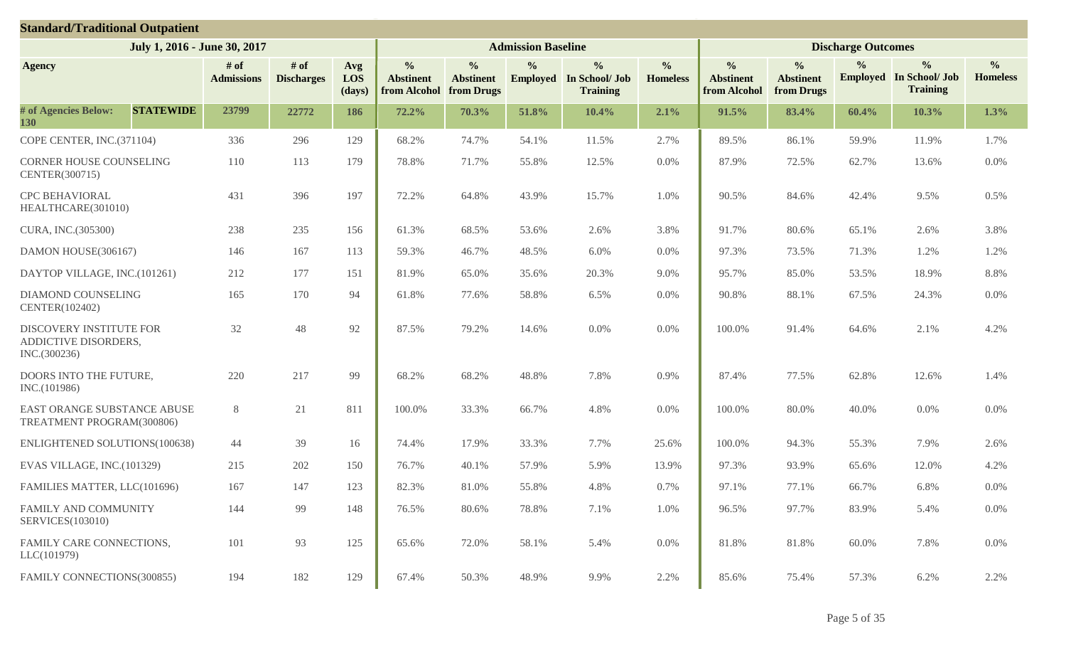| <b>Standard/Traditional Outpatient</b>                          |                              |                             |                      |                                                   |                                                 |                           |                                                                    |                                  |                                                   |                                                 |                           |                                                                    |                                  |
|-----------------------------------------------------------------|------------------------------|-----------------------------|----------------------|---------------------------------------------------|-------------------------------------------------|---------------------------|--------------------------------------------------------------------|----------------------------------|---------------------------------------------------|-------------------------------------------------|---------------------------|--------------------------------------------------------------------|----------------------------------|
|                                                                 | July 1, 2016 - June 30, 2017 |                             |                      |                                                   |                                                 | <b>Admission Baseline</b> |                                                                    |                                  |                                                   |                                                 | <b>Discharge Outcomes</b> |                                                                    |                                  |
| <b>Agency</b>                                                   | # of<br><b>Admissions</b>    | $#$ of<br><b>Discharges</b> | Avg<br>LOS<br>(days) | $\frac{0}{0}$<br><b>Abstinent</b><br>from Alcohol | $\frac{0}{0}$<br><b>Abstinent</b><br>from Drugs | $\frac{0}{0}$             | $\frac{0}{0}$<br><b>Employed</b> In School/ Job<br><b>Training</b> | $\frac{0}{0}$<br><b>Homeless</b> | $\frac{0}{0}$<br><b>Abstinent</b><br>from Alcohol | $\frac{0}{0}$<br><b>Abstinent</b><br>from Drugs | $\frac{0}{0}$             | $\frac{0}{0}$<br><b>Employed</b> In School/ Job<br><b>Training</b> | $\frac{0}{0}$<br><b>Homeless</b> |
| # of Agencies Below:<br><b>STATEWIDE</b><br>130                 | 23799                        | 22772                       | 186                  | 72.2%                                             | 70.3%                                           | 51.8%                     | 10.4%                                                              | 2.1%                             | 91.5%                                             | 83.4%                                           | 60.4%                     | 10.3%                                                              | 1.3%                             |
| COPE CENTER, INC.(371104)                                       | 336                          | 296                         | 129                  | 68.2%                                             | 74.7%                                           | 54.1%                     | 11.5%                                                              | 2.7%                             | 89.5%                                             | 86.1%                                           | 59.9%                     | 11.9%                                                              | 1.7%                             |
| <b>CORNER HOUSE COUNSELING</b><br>CENTER(300715)                | 110                          | 113                         | 179                  | 78.8%                                             | 71.7%                                           | 55.8%                     | 12.5%                                                              | $0.0\%$                          | 87.9%                                             | 72.5%                                           | 62.7%                     | 13.6%                                                              | 0.0%                             |
| <b>CPC BEHAVIORAL</b><br>HEALTHCARE(301010)                     | 431                          | 396                         | 197                  | 72.2%                                             | 64.8%                                           | 43.9%                     | 15.7%                                                              | 1.0%                             | 90.5%                                             | 84.6%                                           | 42.4%                     | 9.5%                                                               | 0.5%                             |
| CURA, INC.(305300)                                              | 238                          | 235                         | 156                  | 61.3%                                             | 68.5%                                           | 53.6%                     | 2.6%                                                               | 3.8%                             | 91.7%                                             | 80.6%                                           | 65.1%                     | 2.6%                                                               | 3.8%                             |
| DAMON HOUSE(306167)                                             | 146                          | 167                         | 113                  | 59.3%                                             | 46.7%                                           | 48.5%                     | 6.0%                                                               | 0.0%                             | 97.3%                                             | 73.5%                                           | 71.3%                     | 1.2%                                                               | 1.2%                             |
| DAYTOP VILLAGE, INC.(101261)                                    | 212                          | 177                         | 151                  | 81.9%                                             | 65.0%                                           | 35.6%                     | 20.3%                                                              | 9.0%                             | 95.7%                                             | 85.0%                                           | 53.5%                     | 18.9%                                                              | 8.8%                             |
| <b>DIAMOND COUNSELING</b><br>CENTER(102402)                     | 165                          | 170                         | 94                   | 61.8%                                             | 77.6%                                           | 58.8%                     | 6.5%                                                               | 0.0%                             | 90.8%                                             | 88.1%                                           | 67.5%                     | 24.3%                                                              | $0.0\%$                          |
| DISCOVERY INSTITUTE FOR<br>ADDICTIVE DISORDERS,<br>INC.(300236) | 32                           | 48                          | 92                   | 87.5%                                             | 79.2%                                           | 14.6%                     | 0.0%                                                               | 0.0%                             | 100.0%                                            | 91.4%                                           | 64.6%                     | 2.1%                                                               | 4.2%                             |
| DOORS INTO THE FUTURE,<br>INC.(101986)                          | 220                          | 217                         | 99                   | 68.2%                                             | 68.2%                                           | 48.8%                     | 7.8%                                                               | 0.9%                             | 87.4%                                             | 77.5%                                           | 62.8%                     | 12.6%                                                              | 1.4%                             |
| EAST ORANGE SUBSTANCE ABUSE<br>TREATMENT PROGRAM(300806)        | 8                            | 21                          | 811                  | 100.0%                                            | 33.3%                                           | 66.7%                     | 4.8%                                                               | 0.0%                             | 100.0%                                            | 80.0%                                           | 40.0%                     | 0.0%                                                               | $0.0\%$                          |
| <b>ENLIGHTENED SOLUTIONS(100638)</b>                            | 44                           | 39                          | 16                   | 74.4%                                             | 17.9%                                           | 33.3%                     | 7.7%                                                               | 25.6%                            | 100.0%                                            | 94.3%                                           | 55.3%                     | 7.9%                                                               | 2.6%                             |
| EVAS VILLAGE, INC.(101329)                                      | 215                          | 202                         | 150                  | 76.7%                                             | 40.1%                                           | 57.9%                     | 5.9%                                                               | 13.9%                            | 97.3%                                             | 93.9%                                           | 65.6%                     | 12.0%                                                              | 4.2%                             |
| FAMILIES MATTER, LLC(101696)                                    | 167                          | 147                         | 123                  | 82.3%                                             | 81.0%                                           | 55.8%                     | 4.8%                                                               | 0.7%                             | 97.1%                                             | 77.1%                                           | 66.7%                     | 6.8%                                                               | 0.0%                             |
| FAMILY AND COMMUNITY<br><b>SERVICES(103010)</b>                 | 144                          | 99                          | 148                  | 76.5%                                             | 80.6%                                           | 78.8%                     | 7.1%                                                               | 1.0%                             | 96.5%                                             | 97.7%                                           | 83.9%                     | 5.4%                                                               | $0.0\%$                          |
| FAMILY CARE CONNECTIONS,<br>LLC(101979)                         | 101                          | 93                          | 125                  | 65.6%                                             | 72.0%                                           | 58.1%                     | 5.4%                                                               | $0.0\%$                          | 81.8%                                             | 81.8%                                           | 60.0%                     | 7.8%                                                               | $0.0\%$                          |
| FAMILY CONNECTIONS(300855)                                      | 194                          | 182                         | 129                  | 67.4%                                             | 50.3%                                           | 48.9%                     | 9.9%                                                               | 2.2%                             | 85.6%                                             | 75.4%                                           | 57.3%                     | 6.2%                                                               | 2.2%                             |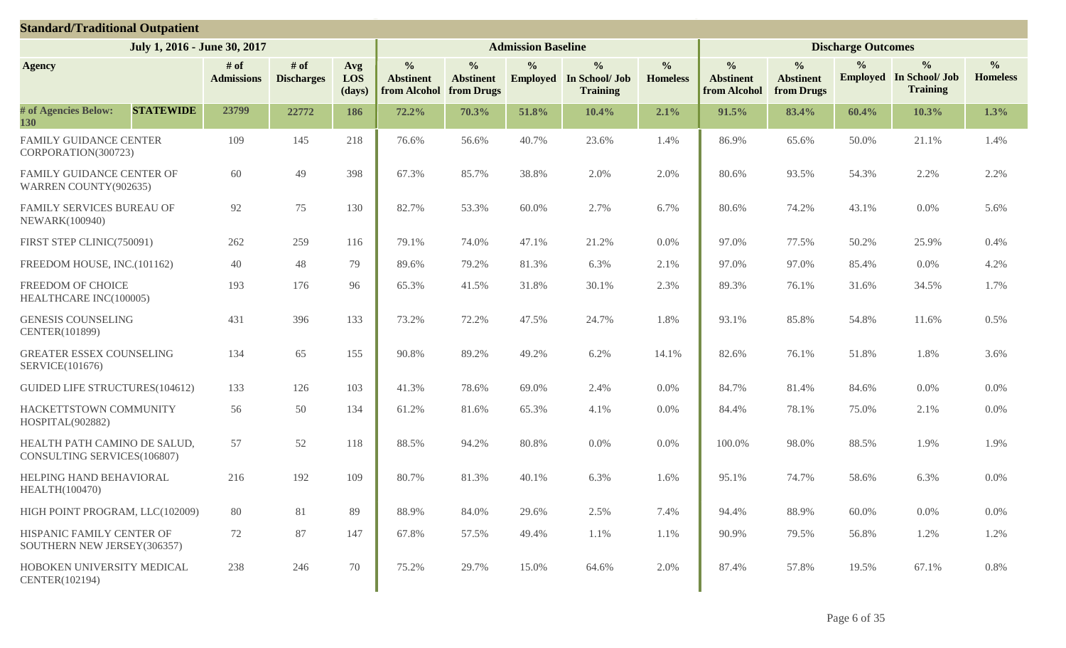| <b>Standard/Traditional Outpatient</b>                      |                           |                             |                      |                                                   |                                                 |                           |                                                                    |                                  |                                                   |                                                 |                           |                                                                    |                                  |
|-------------------------------------------------------------|---------------------------|-----------------------------|----------------------|---------------------------------------------------|-------------------------------------------------|---------------------------|--------------------------------------------------------------------|----------------------------------|---------------------------------------------------|-------------------------------------------------|---------------------------|--------------------------------------------------------------------|----------------------------------|
| July 1, 2016 - June 30, 2017                                |                           |                             |                      |                                                   |                                                 | <b>Admission Baseline</b> |                                                                    |                                  |                                                   |                                                 | <b>Discharge Outcomes</b> |                                                                    |                                  |
| <b>Agency</b>                                               | # of<br><b>Admissions</b> | $#$ of<br><b>Discharges</b> | Avg<br>LOS<br>(days) | $\frac{0}{0}$<br><b>Abstinent</b><br>from Alcohol | $\frac{0}{0}$<br><b>Abstinent</b><br>from Drugs | $\frac{0}{0}$             | $\frac{0}{0}$<br><b>Employed</b> In School/ Job<br><b>Training</b> | $\frac{6}{6}$<br><b>Homeless</b> | $\frac{0}{0}$<br><b>Abstinent</b><br>from Alcohol | $\frac{0}{0}$<br><b>Abstinent</b><br>from Drugs | $\frac{0}{0}$             | $\frac{0}{0}$<br><b>Employed</b> In School/ Job<br><b>Training</b> | $\frac{0}{0}$<br><b>Homeless</b> |
| # of Agencies Below:<br><b>STATEWIDE</b><br>130             | 23799                     | 22772                       | 186                  | 72.2%                                             | 70.3%                                           | 51.8%                     | 10.4%                                                              | 2.1%                             | 91.5%                                             | 83.4%                                           | 60.4%                     | 10.3%                                                              | 1.3%                             |
| <b>FAMILY GUIDANCE CENTER</b><br>CORPORATION(300723)        | 109                       | 145                         | 218                  | 76.6%                                             | 56.6%                                           | 40.7%                     | 23.6%                                                              | 1.4%                             | 86.9%                                             | 65.6%                                           | 50.0%                     | 21.1%                                                              | 1.4%                             |
| FAMILY GUIDANCE CENTER OF<br>WARREN COUNTY(902635)          | 60                        | 49                          | 398                  | 67.3%                                             | 85.7%                                           | 38.8%                     | 2.0%                                                               | 2.0%                             | 80.6%                                             | 93.5%                                           | 54.3%                     | 2.2%                                                               | 2.2%                             |
| FAMILY SERVICES BUREAU OF<br><b>NEWARK(100940)</b>          | 92                        | 75                          | 130                  | 82.7%                                             | 53.3%                                           | 60.0%                     | 2.7%                                                               | 6.7%                             | 80.6%                                             | 74.2%                                           | 43.1%                     | 0.0%                                                               | 5.6%                             |
| FIRST STEP CLINIC(750091)                                   | 262                       | 259                         | 116                  | 79.1%                                             | 74.0%                                           | 47.1%                     | 21.2%                                                              | $0.0\%$                          | 97.0%                                             | 77.5%                                           | 50.2%                     | 25.9%                                                              | 0.4%                             |
| FREEDOM HOUSE, INC.(101162)                                 | 40                        | 48                          | 79                   | 89.6%                                             | 79.2%                                           | 81.3%                     | 6.3%                                                               | 2.1%                             | 97.0%                                             | 97.0%                                           | 85.4%                     | 0.0%                                                               | 4.2%                             |
| FREEDOM OF CHOICE<br>HEALTHCARE INC(100005)                 | 193                       | 176                         | 96                   | 65.3%                                             | 41.5%                                           | 31.8%                     | 30.1%                                                              | 2.3%                             | 89.3%                                             | 76.1%                                           | 31.6%                     | 34.5%                                                              | 1.7%                             |
| <b>GENESIS COUNSELING</b><br>CENTER(101899)                 | 431                       | 396                         | 133                  | 73.2%                                             | 72.2%                                           | 47.5%                     | 24.7%                                                              | 1.8%                             | 93.1%                                             | 85.8%                                           | 54.8%                     | 11.6%                                                              | 0.5%                             |
| <b>GREATER ESSEX COUNSELING</b><br><b>SERVICE(101676)</b>   | 134                       | 65                          | 155                  | 90.8%                                             | 89.2%                                           | 49.2%                     | 6.2%                                                               | 14.1%                            | 82.6%                                             | 76.1%                                           | 51.8%                     | 1.8%                                                               | 3.6%                             |
| <b>GUIDED LIFE STRUCTURES(104612)</b>                       | 133                       | 126                         | 103                  | 41.3%                                             | 78.6%                                           | 69.0%                     | 2.4%                                                               | 0.0%                             | 84.7%                                             | 81.4%                                           | 84.6%                     | 0.0%                                                               | 0.0%                             |
| HACKETTSTOWN COMMUNITY<br>HOSPITAL(902882)                  | 56                        | 50                          | 134                  | 61.2%                                             | 81.6%                                           | 65.3%                     | 4.1%                                                               | 0.0%                             | 84.4%                                             | 78.1%                                           | 75.0%                     | 2.1%                                                               | $0.0\%$                          |
| HEALTH PATH CAMINO DE SALUD,<br>CONSULTING SERVICES(106807) | 57                        | 52                          | 118                  | 88.5%                                             | 94.2%                                           | 80.8%                     | 0.0%                                                               | 0.0%                             | 100.0%                                            | 98.0%                                           | 88.5%                     | 1.9%                                                               | 1.9%                             |
| HELPING HAND BEHAVIORAL<br>HEALTH(100470)                   | 216                       | 192                         | 109                  | 80.7%                                             | 81.3%                                           | 40.1%                     | 6.3%                                                               | 1.6%                             | 95.1%                                             | 74.7%                                           | 58.6%                     | 6.3%                                                               | 0.0%                             |
| HIGH POINT PROGRAM, LLC(102009)                             | 80                        | 81                          | 89                   | 88.9%                                             | 84.0%                                           | 29.6%                     | 2.5%                                                               | 7.4%                             | 94.4%                                             | 88.9%                                           | 60.0%                     | 0.0%                                                               | $0.0\%$                          |
| HISPANIC FAMILY CENTER OF<br>SOUTHERN NEW JERSEY(306357)    | 72                        | 87                          | 147                  | 67.8%                                             | 57.5%                                           | 49.4%                     | 1.1%                                                               | 1.1%                             | 90.9%                                             | 79.5%                                           | 56.8%                     | 1.2%                                                               | 1.2%                             |
| HOBOKEN UNIVERSITY MEDICAL<br>CENTER(102194)                | 238                       | 246                         | 70                   | 75.2%                                             | 29.7%                                           | 15.0%                     | 64.6%                                                              | 2.0%                             | 87.4%                                             | 57.8%                                           | 19.5%                     | 67.1%                                                              | 0.8%                             |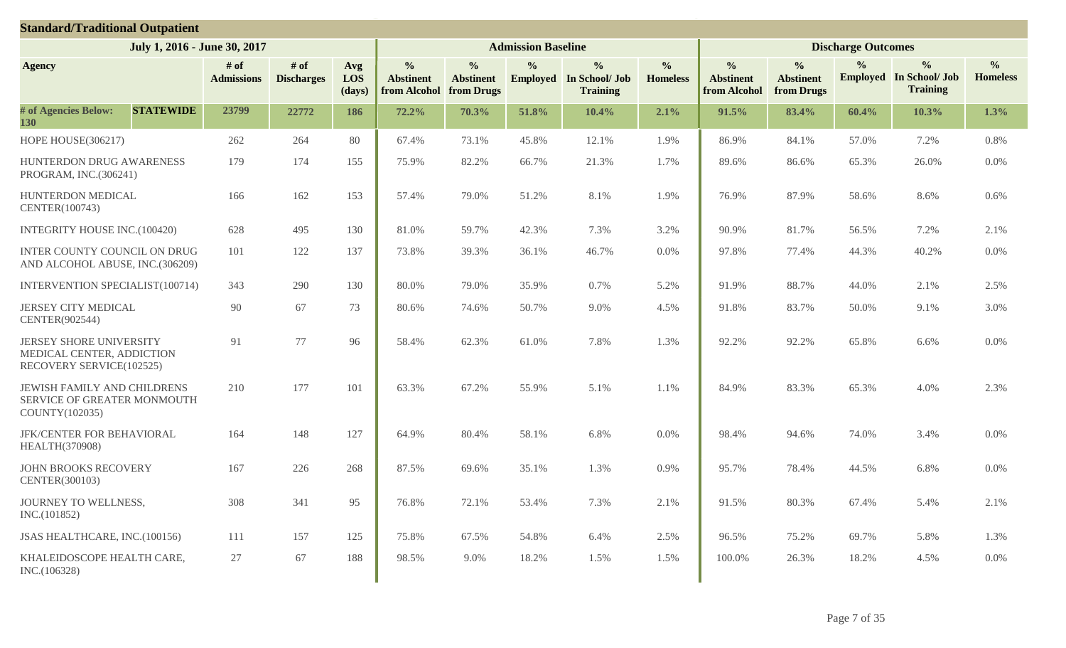| <b>Standard/Traditional Outpatient</b>                                           |                  |                              |                             |                      |                                                   |                                                 |                           |                                                                    |                                  |                                                   |                                                 |                           |                                                                    |                                  |
|----------------------------------------------------------------------------------|------------------|------------------------------|-----------------------------|----------------------|---------------------------------------------------|-------------------------------------------------|---------------------------|--------------------------------------------------------------------|----------------------------------|---------------------------------------------------|-------------------------------------------------|---------------------------|--------------------------------------------------------------------|----------------------------------|
|                                                                                  |                  | July 1, 2016 - June 30, 2017 |                             |                      |                                                   |                                                 | <b>Admission Baseline</b> |                                                                    |                                  |                                                   |                                                 | <b>Discharge Outcomes</b> |                                                                    |                                  |
| <b>Agency</b>                                                                    |                  | # of<br><b>Admissions</b>    | $#$ of<br><b>Discharges</b> | Avg<br>LOS<br>(days) | $\frac{0}{0}$<br><b>Abstinent</b><br>from Alcohol | $\frac{0}{0}$<br><b>Abstinent</b><br>from Drugs | $\frac{0}{0}$             | $\frac{0}{0}$<br><b>Employed</b> In School/ Job<br><b>Training</b> | $\frac{0}{0}$<br><b>Homeless</b> | $\frac{0}{0}$<br><b>Abstinent</b><br>from Alcohol | $\frac{0}{0}$<br><b>Abstinent</b><br>from Drugs | $\frac{0}{0}$             | $\frac{0}{0}$<br><b>Employed</b> In School/ Job<br><b>Training</b> | $\frac{0}{0}$<br><b>Homeless</b> |
| # of Agencies Below:<br>130                                                      | <b>STATEWIDE</b> | 23799                        | 22772                       | 186                  | 72.2%                                             | 70.3%                                           | 51.8%                     | 10.4%                                                              | 2.1%                             | 91.5%                                             | 83.4%                                           | 60.4%                     | 10.3%                                                              | 1.3%                             |
| HOPE HOUSE(306217)                                                               |                  | 262                          | 264                         | 80                   | 67.4%                                             | 73.1%                                           | 45.8%                     | 12.1%                                                              | 1.9%                             | 86.9%                                             | 84.1%                                           | 57.0%                     | 7.2%                                                               | 0.8%                             |
| HUNTERDON DRUG AWARENESS<br>PROGRAM, INC.(306241)                                |                  | 179                          | 174                         | 155                  | 75.9%                                             | 82.2%                                           | 66.7%                     | 21.3%                                                              | 1.7%                             | 89.6%                                             | 86.6%                                           | 65.3%                     | 26.0%                                                              | 0.0%                             |
| HUNTERDON MEDICAL<br>CENTER(100743)                                              |                  | 166                          | 162                         | 153                  | 57.4%                                             | 79.0%                                           | 51.2%                     | 8.1%                                                               | 1.9%                             | 76.9%                                             | 87.9%                                           | 58.6%                     | 8.6%                                                               | 0.6%                             |
| INTEGRITY HOUSE INC.(100420)                                                     |                  | 628                          | 495                         | 130                  | 81.0%                                             | 59.7%                                           | 42.3%                     | 7.3%                                                               | 3.2%                             | 90.9%                                             | 81.7%                                           | 56.5%                     | 7.2%                                                               | 2.1%                             |
| INTER COUNTY COUNCIL ON DRUG<br>AND ALCOHOL ABUSE, INC.(306209)                  |                  | 101                          | 122                         | 137                  | 73.8%                                             | 39.3%                                           | 36.1%                     | 46.7%                                                              | $0.0\%$                          | 97.8%                                             | 77.4%                                           | 44.3%                     | 40.2%                                                              | 0.0%                             |
| <b>INTERVENTION SPECIALIST(100714)</b>                                           |                  | 343                          | 290                         | 130                  | 80.0%                                             | 79.0%                                           | 35.9%                     | 0.7%                                                               | 5.2%                             | 91.9%                                             | 88.7%                                           | 44.0%                     | 2.1%                                                               | 2.5%                             |
| JERSEY CITY MEDICAL<br>CENTER(902544)                                            |                  | 90                           | 67                          | 73                   | 80.6%                                             | 74.6%                                           | 50.7%                     | 9.0%                                                               | 4.5%                             | 91.8%                                             | 83.7%                                           | 50.0%                     | 9.1%                                                               | 3.0%                             |
| JERSEY SHORE UNIVERSITY<br>MEDICAL CENTER, ADDICTION<br>RECOVERY SERVICE(102525) |                  | 91                           | 77                          | 96                   | 58.4%                                             | 62.3%                                           | 61.0%                     | 7.8%                                                               | 1.3%                             | 92.2%                                             | 92.2%                                           | 65.8%                     | 6.6%                                                               | 0.0%                             |
| JEWISH FAMILY AND CHILDRENS<br>SERVICE OF GREATER MONMOUTH<br>COUNTY(102035)     |                  | 210                          | 177                         | 101                  | 63.3%                                             | 67.2%                                           | 55.9%                     | 5.1%                                                               | 1.1%                             | 84.9%                                             | 83.3%                                           | 65.3%                     | 4.0%                                                               | 2.3%                             |
| JFK/CENTER FOR BEHAVIORAL<br>HEALTH(370908)                                      |                  | 164                          | 148                         | 127                  | 64.9%                                             | 80.4%                                           | 58.1%                     | 6.8%                                                               | 0.0%                             | 98.4%                                             | 94.6%                                           | 74.0%                     | 3.4%                                                               | 0.0%                             |
| <b>JOHN BROOKS RECOVERY</b><br>CENTER(300103)                                    |                  | 167                          | 226                         | 268                  | 87.5%                                             | 69.6%                                           | 35.1%                     | 1.3%                                                               | 0.9%                             | 95.7%                                             | 78.4%                                           | 44.5%                     | 6.8%                                                               | 0.0%                             |
| JOURNEY TO WELLNESS,<br>INC.(101852)                                             |                  | 308                          | 341                         | 95                   | 76.8%                                             | 72.1%                                           | 53.4%                     | 7.3%                                                               | 2.1%                             | 91.5%                                             | 80.3%                                           | 67.4%                     | 5.4%                                                               | 2.1%                             |
| JSAS HEALTHCARE, INC.(100156)                                                    |                  | 111                          | 157                         | 125                  | 75.8%                                             | 67.5%                                           | 54.8%                     | 6.4%                                                               | 2.5%                             | 96.5%                                             | 75.2%                                           | 69.7%                     | 5.8%                                                               | 1.3%                             |
| KHALEIDOSCOPE HEALTH CARE,<br>INC.(106328)                                       |                  | 27                           | 67                          | 188                  | 98.5%                                             | 9.0%                                            | 18.2%                     | 1.5%                                                               | 1.5%                             | 100.0%                                            | 26.3%                                           | 18.2%                     | 4.5%                                                               | $0.0\%$                          |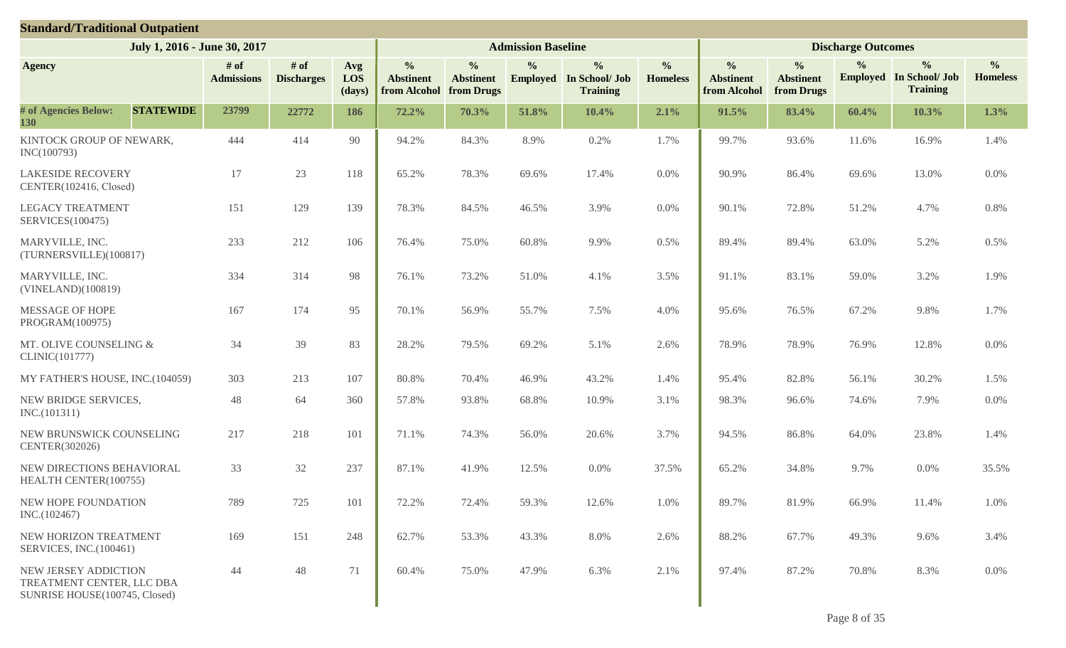| <b>Standard/Traditional Outpatient</b>                                             |                           |                             |                      |                                                   |                                                 |                           |                                                                    |                                  |                                                   |                                                 |                           |                                                                    |                                  |
|------------------------------------------------------------------------------------|---------------------------|-----------------------------|----------------------|---------------------------------------------------|-------------------------------------------------|---------------------------|--------------------------------------------------------------------|----------------------------------|---------------------------------------------------|-------------------------------------------------|---------------------------|--------------------------------------------------------------------|----------------------------------|
| July 1, 2016 - June 30, 2017                                                       |                           |                             |                      |                                                   |                                                 | <b>Admission Baseline</b> |                                                                    |                                  |                                                   |                                                 | <b>Discharge Outcomes</b> |                                                                    |                                  |
| <b>Agency</b>                                                                      | # of<br><b>Admissions</b> | $#$ of<br><b>Discharges</b> | Avg<br>LOS<br>(days) | $\frac{0}{0}$<br><b>Abstinent</b><br>from Alcohol | $\frac{0}{0}$<br><b>Abstinent</b><br>from Drugs | $\frac{0}{0}$             | $\frac{0}{0}$<br><b>Employed</b> In School/ Job<br><b>Training</b> | $\frac{0}{0}$<br><b>Homeless</b> | $\frac{0}{0}$<br><b>Abstinent</b><br>from Alcohol | $\frac{0}{0}$<br><b>Abstinent</b><br>from Drugs | $\frac{0}{0}$             | $\frac{0}{0}$<br><b>Employed</b> In School/ Job<br><b>Training</b> | $\frac{0}{0}$<br><b>Homeless</b> |
| # of Agencies Below:<br><b>STATEWIDE</b><br>130                                    | 23799                     | 22772                       | 186                  | 72.2%                                             | 70.3%                                           | 51.8%                     | 10.4%                                                              | 2.1%                             | 91.5%                                             | 83.4%                                           | 60.4%                     | 10.3%                                                              | 1.3%                             |
| KINTOCK GROUP OF NEWARK,<br>INC(100793)                                            | 444                       | 414                         | 90                   | 94.2%                                             | 84.3%                                           | 8.9%                      | 0.2%                                                               | 1.7%                             | 99.7%                                             | 93.6%                                           | 11.6%                     | 16.9%                                                              | 1.4%                             |
| <b>LAKESIDE RECOVERY</b><br>CENTER(102416, Closed)                                 | 17                        | 23                          | 118                  | 65.2%                                             | 78.3%                                           | 69.6%                     | 17.4%                                                              | $0.0\%$                          | 90.9%                                             | 86.4%                                           | 69.6%                     | 13.0%                                                              | 0.0%                             |
| <b>LEGACY TREATMENT</b><br><b>SERVICES(100475)</b>                                 | 151                       | 129                         | 139                  | 78.3%                                             | 84.5%                                           | 46.5%                     | 3.9%                                                               | 0.0%                             | 90.1%                                             | 72.8%                                           | 51.2%                     | 4.7%                                                               | 0.8%                             |
| MARYVILLE, INC.<br>(TURNERSVILLE)(100817)                                          | 233                       | 212                         | 106                  | 76.4%                                             | 75.0%                                           | 60.8%                     | 9.9%                                                               | 0.5%                             | 89.4%                                             | 89.4%                                           | 63.0%                     | 5.2%                                                               | 0.5%                             |
| MARYVILLE, INC.<br>(VINELAND)(100819)                                              | 334                       | 314                         | 98                   | 76.1%                                             | 73.2%                                           | 51.0%                     | 4.1%                                                               | 3.5%                             | 91.1%                                             | 83.1%                                           | 59.0%                     | 3.2%                                                               | 1.9%                             |
| MESSAGE OF HOPE<br>PROGRAM(100975)                                                 | 167                       | 174                         | 95                   | 70.1%                                             | 56.9%                                           | 55.7%                     | 7.5%                                                               | 4.0%                             | 95.6%                                             | 76.5%                                           | 67.2%                     | 9.8%                                                               | 1.7%                             |
| MT. OLIVE COUNSELING &<br>CLINIC(101777)                                           | 34                        | 39                          | 83                   | 28.2%                                             | 79.5%                                           | 69.2%                     | 5.1%                                                               | 2.6%                             | 78.9%                                             | 78.9%                                           | 76.9%                     | 12.8%                                                              | 0.0%                             |
| MY FATHER'S HOUSE, INC.(104059)                                                    | 303                       | 213                         | 107                  | 80.8%                                             | 70.4%                                           | 46.9%                     | 43.2%                                                              | 1.4%                             | 95.4%                                             | 82.8%                                           | 56.1%                     | 30.2%                                                              | 1.5%                             |
| NEW BRIDGE SERVICES,<br>INC.(101311)                                               | 48                        | 64                          | 360                  | 57.8%                                             | 93.8%                                           | 68.8%                     | 10.9%                                                              | 3.1%                             | 98.3%                                             | 96.6%                                           | 74.6%                     | 7.9%                                                               | 0.0%                             |
| NEW BRUNSWICK COUNSELING<br>CENTER(302026)                                         | 217                       | 218                         | 101                  | 71.1%                                             | 74.3%                                           | 56.0%                     | 20.6%                                                              | 3.7%                             | 94.5%                                             | 86.8%                                           | 64.0%                     | 23.8%                                                              | 1.4%                             |
| NEW DIRECTIONS BEHAVIORAL<br>HEALTH CENTER(100755)                                 | 33                        | 32                          | 237                  | 87.1%                                             | 41.9%                                           | 12.5%                     | 0.0%                                                               | 37.5%                            | 65.2%                                             | 34.8%                                           | 9.7%                      | 0.0%                                                               | 35.5%                            |
| NEW HOPE FOUNDATION<br>INC.(102467)                                                | 789                       | 725                         | 101                  | 72.2%                                             | 72.4%                                           | 59.3%                     | 12.6%                                                              | 1.0%                             | 89.7%                                             | 81.9%                                           | 66.9%                     | 11.4%                                                              | 1.0%                             |
| NEW HORIZON TREATMENT<br>SERVICES, INC.(100461)                                    | 169                       | 151                         | 248                  | 62.7%                                             | 53.3%                                           | 43.3%                     | 8.0%                                                               | 2.6%                             | 88.2%                                             | 67.7%                                           | 49.3%                     | 9.6%                                                               | 3.4%                             |
| NEW JERSEY ADDICTION<br>TREATMENT CENTER, LLC DBA<br>SUNRISE HOUSE(100745, Closed) | 44                        | 48                          | 71                   | 60.4%                                             | 75.0%                                           | 47.9%                     | 6.3%                                                               | 2.1%                             | 97.4%                                             | 87.2%                                           | 70.8%                     | 8.3%                                                               | $0.0\%$                          |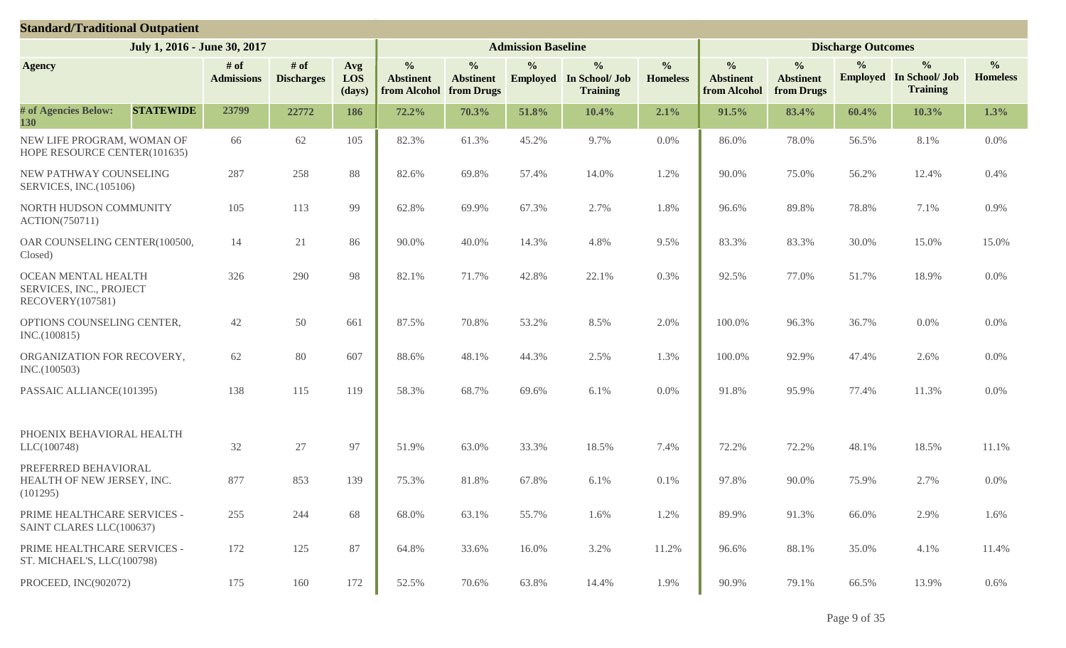| <b>Standard/Traditional Outpatient</b>                             |                             |                             |                      |                                                   |                                                 |                           |                                                                    |                                  |                                                   |                                                 |                           |                                                                    |                                  |
|--------------------------------------------------------------------|-----------------------------|-----------------------------|----------------------|---------------------------------------------------|-------------------------------------------------|---------------------------|--------------------------------------------------------------------|----------------------------------|---------------------------------------------------|-------------------------------------------------|---------------------------|--------------------------------------------------------------------|----------------------------------|
| July 1, 2016 - June 30, 2017                                       |                             |                             |                      |                                                   |                                                 | <b>Admission Baseline</b> |                                                                    |                                  |                                                   |                                                 | <b>Discharge Outcomes</b> |                                                                    |                                  |
| <b>Agency</b>                                                      | $#$ of<br><b>Admissions</b> | $#$ of<br><b>Discharges</b> | Avg<br>LOS<br>(days) | $\frac{0}{0}$<br><b>Abstinent</b><br>from Alcohol | $\frac{0}{0}$<br><b>Abstinent</b><br>from Drugs | $\frac{0}{0}$             | $\frac{0}{0}$<br><b>Employed</b> In School/ Job<br><b>Training</b> | $\frac{0}{0}$<br><b>Homeless</b> | $\frac{0}{0}$<br><b>Abstinent</b><br>from Alcohol | $\frac{0}{0}$<br><b>Abstinent</b><br>from Drugs | $\frac{0}{0}$             | $\frac{0}{0}$<br><b>Employed</b> In School/ Job<br><b>Training</b> | $\frac{0}{0}$<br><b>Homeless</b> |
| # of Agencies Below:<br><b>STATEWIDE</b><br>130                    | 23799                       | 22772                       | 186                  | 72.2%                                             | 70.3%                                           | 51.8%                     | 10.4%                                                              | 2.1%                             | 91.5%                                             | 83.4%                                           | 60.4%                     | 10.3%                                                              | 1.3%                             |
| NEW LIFE PROGRAM, WOMAN OF<br>HOPE RESOURCE CENTER(101635)         | 66                          | 62                          | 105                  | 82.3%                                             | 61.3%                                           | 45.2%                     | 9.7%                                                               | $0.0\%$                          | 86.0%                                             | 78.0%                                           | 56.5%                     | 8.1%                                                               | 0.0%                             |
| NEW PATHWAY COUNSELING<br>SERVICES, INC.(105106)                   | 287                         | 258                         | 88                   | 82.6%                                             | 69.8%                                           | 57.4%                     | 14.0%                                                              | 1.2%                             | 90.0%                                             | 75.0%                                           | 56.2%                     | 12.4%                                                              | 0.4%                             |
| NORTH HUDSON COMMUNITY<br><b>ACTION(750711)</b>                    | 105                         | 113                         | 99                   | 62.8%                                             | 69.9%                                           | 67.3%                     | 2.7%                                                               | 1.8%                             | 96.6%                                             | 89.8%                                           | 78.8%                     | 7.1%                                                               | 0.9%                             |
| OAR COUNSELING CENTER(100500,<br>Closed)                           | 14                          | 21                          | 86                   | 90.0%                                             | 40.0%                                           | 14.3%                     | 4.8%                                                               | 9.5%                             | 83.3%                                             | 83.3%                                           | 30.0%                     | 15.0%                                                              | 15.0%                            |
| OCEAN MENTAL HEALTH<br>SERVICES, INC., PROJECT<br>RECOVERY(107581) | 326                         | 290                         | 98                   | 82.1%                                             | 71.7%                                           | 42.8%                     | 22.1%                                                              | 0.3%                             | 92.5%                                             | 77.0%                                           | 51.7%                     | 18.9%                                                              | 0.0%                             |
| OPTIONS COUNSELING CENTER,<br>INC.(100815)                         | 42                          | 50                          | 661                  | 87.5%                                             | 70.8%                                           | 53.2%                     | 8.5%                                                               | 2.0%                             | 100.0%                                            | 96.3%                                           | 36.7%                     | 0.0%                                                               | 0.0%                             |
| ORGANIZATION FOR RECOVERY,<br>INC.(100503)                         | 62                          | 80                          | 607                  | 88.6%                                             | 48.1%                                           | 44.3%                     | 2.5%                                                               | 1.3%                             | 100.0%                                            | 92.9%                                           | 47.4%                     | 2.6%                                                               | 0.0%                             |
| PASSAIC ALLIANCE(101395)                                           | 138                         | 115                         | 119                  | 58.3%                                             | 68.7%                                           | 69.6%                     | 6.1%                                                               | $0.0\%$                          | 91.8%                                             | 95.9%                                           | 77.4%                     | 11.3%                                                              | 0.0%                             |
| PHOENIX BEHAVIORAL HEALTH<br>LLC(100748)                           | 32                          | 27                          | 97                   | 51.9%                                             | 63.0%                                           | 33.3%                     | 18.5%                                                              | 7.4%                             | 72.2%                                             | 72.2%                                           | 48.1%                     | 18.5%                                                              | 11.1%                            |
| PREFERRED BEHAVIORAL<br>HEALTH OF NEW JERSEY, INC.<br>(101295)     | 877                         | 853                         | 139                  | 75.3%                                             | 81.8%                                           | 67.8%                     | $6.1\%$                                                            | 0.1%                             | 97.8%                                             | 90.0%                                           | 75.9%                     | 2.7%                                                               | 0.0%                             |
| PRIME HEALTHCARE SERVICES -<br>SAINT CLARES LLC(100637)            | 255                         | 244                         | 68                   | 68.0%                                             | 63.1%                                           | 55.7%                     | 1.6%                                                               | 1.2%                             | 89.9%                                             | 91.3%                                           | 66.0%                     | 2.9%                                                               | 1.6%                             |
| PRIME HEALTHCARE SERVICES -<br>ST. MICHAEL'S, LLC(100798)          | 172                         | 125                         | 87                   | 64.8%                                             | 33.6%                                           | 16.0%                     | 3.2%                                                               | 11.2%                            | 96.6%                                             | 88.1%                                           | 35.0%                     | 4.1%                                                               | 11.4%                            |
| PROCEED, INC(902072)                                               | 175                         | 160                         | 172                  | 52.5%                                             | 70.6%                                           | 63.8%                     | 14.4%                                                              | 1.9%                             | 90.9%                                             | 79.1%                                           | 66.5%                     | 13.9%                                                              | 0.6%                             |

Page 9 of 35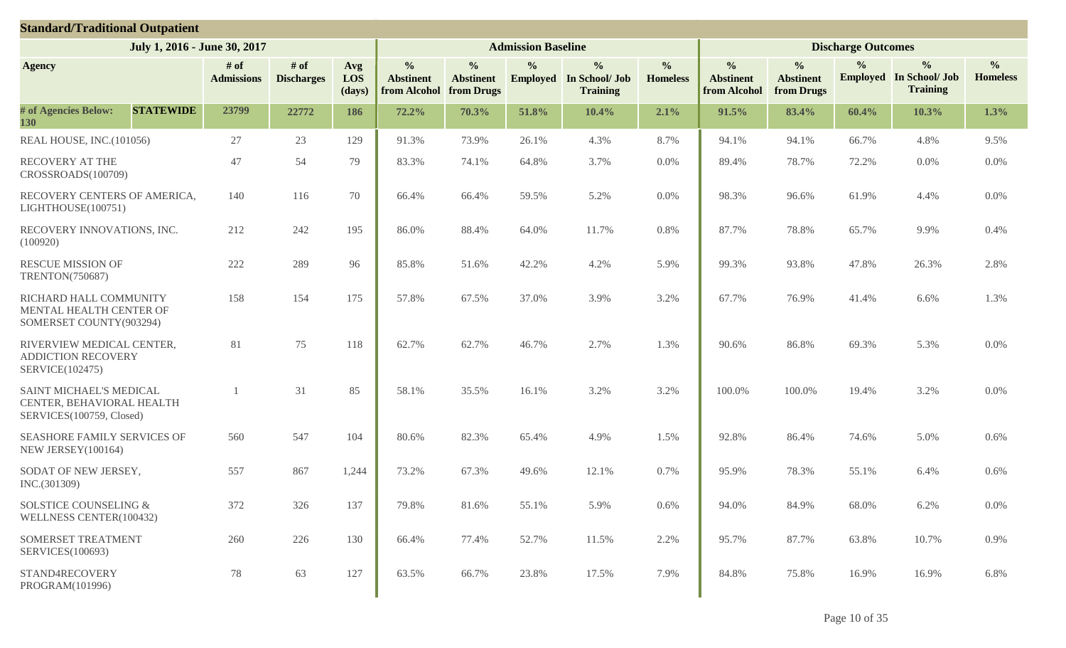| <b>Standard/Traditional Outpatient</b>                                           |                           |                             |                      |                                                   |                                                 |                           |                                                                    |                                  |                                                   |                                                 |                           |                                                                    |                                  |
|----------------------------------------------------------------------------------|---------------------------|-----------------------------|----------------------|---------------------------------------------------|-------------------------------------------------|---------------------------|--------------------------------------------------------------------|----------------------------------|---------------------------------------------------|-------------------------------------------------|---------------------------|--------------------------------------------------------------------|----------------------------------|
| July 1, 2016 - June 30, 2017                                                     |                           |                             |                      |                                                   |                                                 | <b>Admission Baseline</b> |                                                                    |                                  |                                                   |                                                 | <b>Discharge Outcomes</b> |                                                                    |                                  |
| <b>Agency</b>                                                                    | # of<br><b>Admissions</b> | $#$ of<br><b>Discharges</b> | Avg<br>LOS<br>(days) | $\frac{0}{0}$<br><b>Abstinent</b><br>from Alcohol | $\frac{0}{0}$<br><b>Abstinent</b><br>from Drugs | $\frac{0}{0}$             | $\frac{0}{0}$<br><b>Employed</b> In School/ Job<br><b>Training</b> | $\frac{0}{0}$<br><b>Homeless</b> | $\frac{0}{0}$<br><b>Abstinent</b><br>from Alcohol | $\frac{0}{0}$<br><b>Abstinent</b><br>from Drugs | $\frac{0}{0}$             | $\frac{0}{0}$<br><b>Employed</b> In School/ Job<br><b>Training</b> | $\frac{0}{0}$<br><b>Homeless</b> |
| # of Agencies Below:<br><b>STATEWIDE</b><br>130                                  | 23799                     | 22772                       | 186                  | 72.2%                                             | 70.3%                                           | 51.8%                     | 10.4%                                                              | 2.1%                             | 91.5%                                             | 83.4%                                           | 60.4%                     | 10.3%                                                              | 1.3%                             |
| REAL HOUSE, INC.(101056)                                                         | 27                        | 23                          | 129                  | 91.3%                                             | 73.9%                                           | 26.1%                     | 4.3%                                                               | 8.7%                             | 94.1%                                             | 94.1%                                           | 66.7%                     | 4.8%                                                               | 9.5%                             |
| RECOVERY AT THE<br>CROSSROADS(100709)                                            | 47                        | 54                          | 79                   | 83.3%                                             | 74.1%                                           | 64.8%                     | 3.7%                                                               | $0.0\%$                          | 89.4%                                             | 78.7%                                           | 72.2%                     | 0.0%                                                               | $0.0\%$                          |
| RECOVERY CENTERS OF AMERICA,<br>LIGHTHOUSE(100751)                               | 140                       | 116                         | 70                   | 66.4%                                             | 66.4%                                           | 59.5%                     | 5.2%                                                               | 0.0%                             | 98.3%                                             | 96.6%                                           | 61.9%                     | 4.4%                                                               | 0.0%                             |
| RECOVERY INNOVATIONS, INC.<br>(100920)                                           | 212                       | 242                         | 195                  | 86.0%                                             | 88.4%                                           | 64.0%                     | 11.7%                                                              | 0.8%                             | 87.7%                                             | 78.8%                                           | 65.7%                     | 9.9%                                                               | 0.4%                             |
| <b>RESCUE MISSION OF</b><br><b>TRENTON(750687)</b>                               | 222                       | 289                         | 96                   | 85.8%                                             | 51.6%                                           | 42.2%                     | 4.2%                                                               | 5.9%                             | 99.3%                                             | 93.8%                                           | 47.8%                     | 26.3%                                                              | 2.8%                             |
| RICHARD HALL COMMUNITY<br>MENTAL HEALTH CENTER OF<br>SOMERSET COUNTY(903294)     | 158                       | 154                         | 175                  | 57.8%                                             | 67.5%                                           | 37.0%                     | 3.9%                                                               | 3.2%                             | 67.7%                                             | 76.9%                                           | 41.4%                     | 6.6%                                                               | 1.3%                             |
| RIVERVIEW MEDICAL CENTER,<br><b>ADDICTION RECOVERY</b><br>SERVICE(102475)        | 81                        | 75                          | 118                  | 62.7%                                             | 62.7%                                           | 46.7%                     | 2.7%                                                               | 1.3%                             | 90.6%                                             | 86.8%                                           | 69.3%                     | 5.3%                                                               | $0.0\%$                          |
| SAINT MICHAEL'S MEDICAL<br>CENTER, BEHAVIORAL HEALTH<br>SERVICES(100759, Closed) |                           | 31                          | 85                   | 58.1%                                             | 35.5%                                           | 16.1%                     | 3.2%                                                               | 3.2%                             | 100.0%                                            | 100.0%                                          | 19.4%                     | 3.2%                                                               | 0.0%                             |
| SEASHORE FAMILY SERVICES OF<br>NEW JERSEY(100164)                                | 560                       | 547                         | 104                  | 80.6%                                             | 82.3%                                           | 65.4%                     | 4.9%                                                               | 1.5%                             | 92.8%                                             | 86.4%                                           | 74.6%                     | 5.0%                                                               | 0.6%                             |
| SODAT OF NEW JERSEY,<br>INC.(301309)                                             | 557                       | 867                         | 1,244                | 73.2%                                             | 67.3%                                           | 49.6%                     | 12.1%                                                              | 0.7%                             | 95.9%                                             | 78.3%                                           | 55.1%                     | 6.4%                                                               | 0.6%                             |
| SOLSTICE COUNSELING &<br>WELLNESS CENTER(100432)                                 | 372                       | 326                         | 137                  | 79.8%                                             | 81.6%                                           | 55.1%                     | 5.9%                                                               | 0.6%                             | 94.0%                                             | 84.9%                                           | 68.0%                     | 6.2%                                                               | 0.0%                             |
| SOMERSET TREATMENT<br>SERVICES(100693)                                           | 260                       | 226                         | 130                  | 66.4%                                             | 77.4%                                           | 52.7%                     | 11.5%                                                              | 2.2%                             | 95.7%                                             | 87.7%                                           | 63.8%                     | 10.7%                                                              | 0.9%                             |
| STAND4RECOVERY<br>PROGRAM(101996)                                                | 78                        | 63                          | 127                  | 63.5%                                             | 66.7%                                           | 23.8%                     | 17.5%                                                              | 7.9%                             | 84.8%                                             | 75.8%                                           | 16.9%                     | 16.9%                                                              | 6.8%                             |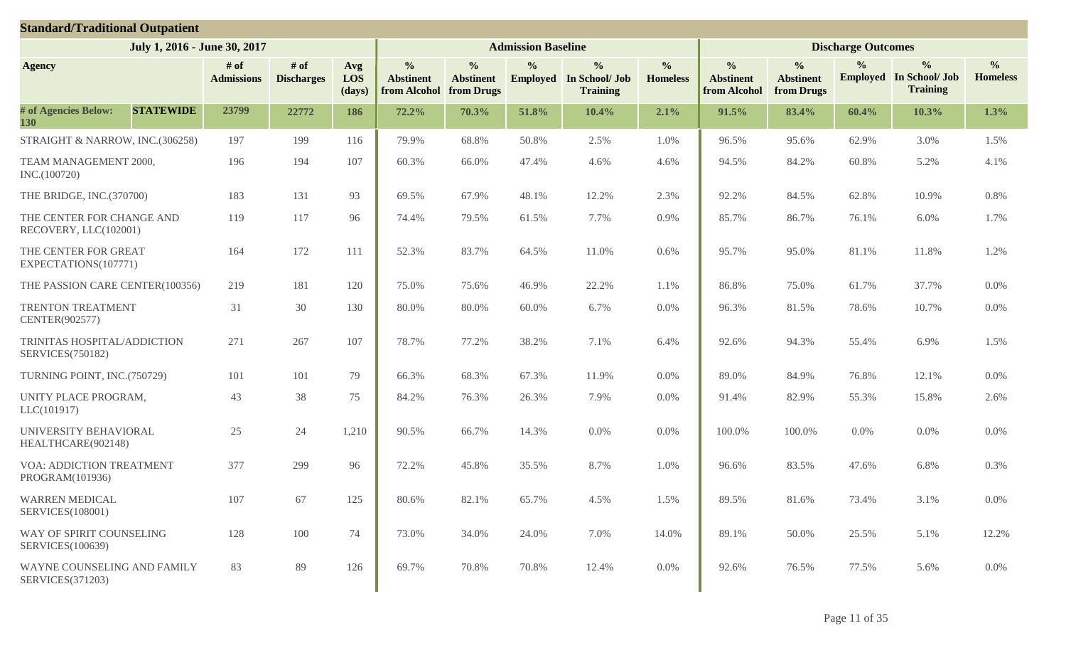| <b>Standard/Traditional Outpatient</b>                 |                           |                           |                      |                                                   |                                                 |                           |                                                                    |                                  |                                                   |                                                 |                           |                                                                    |                                  |
|--------------------------------------------------------|---------------------------|---------------------------|----------------------|---------------------------------------------------|-------------------------------------------------|---------------------------|--------------------------------------------------------------------|----------------------------------|---------------------------------------------------|-------------------------------------------------|---------------------------|--------------------------------------------------------------------|----------------------------------|
| July 1, 2016 - June 30, 2017                           |                           |                           |                      |                                                   |                                                 | <b>Admission Baseline</b> |                                                                    |                                  |                                                   |                                                 | <b>Discharge Outcomes</b> |                                                                    |                                  |
| <b>Agency</b>                                          | # of<br><b>Admissions</b> | # of<br><b>Discharges</b> | Avg<br>LOS<br>(days) | $\frac{0}{0}$<br><b>Abstinent</b><br>from Alcohol | $\frac{0}{0}$<br><b>Abstinent</b><br>from Drugs | $\frac{0}{0}$             | $\frac{0}{0}$<br><b>Employed</b> In School/ Job<br><b>Training</b> | $\frac{0}{0}$<br><b>Homeless</b> | $\frac{0}{0}$<br><b>Abstinent</b><br>from Alcohol | $\frac{0}{0}$<br><b>Abstinent</b><br>from Drugs | $\frac{0}{0}$             | $\frac{0}{0}$<br><b>Employed</b> In School/ Job<br><b>Training</b> | $\frac{0}{0}$<br><b>Homeless</b> |
| # of Agencies Below:<br><b>STATEWIDE</b><br>130        | 23799                     | 22772                     | 186                  | 72.2%                                             | 70.3%                                           | 51.8%                     | 10.4%                                                              | 2.1%                             | 91.5%                                             | 83.4%                                           | 60.4%                     | 10.3%                                                              | 1.3%                             |
| STRAIGHT & NARROW, INC.(306258)                        | 197                       | 199                       | 116                  | 79.9%                                             | 68.8%                                           | 50.8%                     | 2.5%                                                               | 1.0%                             | 96.5%                                             | 95.6%                                           | 62.9%                     | 3.0%                                                               | 1.5%                             |
| TEAM MANAGEMENT 2000,<br>INC.(100720)                  | 196                       | 194                       | 107                  | 60.3%                                             | 66.0%                                           | 47.4%                     | 4.6%                                                               | 4.6%                             | 94.5%                                             | 84.2%                                           | 60.8%                     | 5.2%                                                               | 4.1%                             |
| THE BRIDGE, INC.(370700)                               | 183                       | 131                       | 93                   | 69.5%                                             | 67.9%                                           | 48.1%                     | 12.2%                                                              | 2.3%                             | 92.2%                                             | 84.5%                                           | 62.8%                     | 10.9%                                                              | 0.8%                             |
| THE CENTER FOR CHANGE AND<br>RECOVERY, LLC(102001)     | 119                       | 117                       | 96                   | 74.4%                                             | 79.5%                                           | 61.5%                     | 7.7%                                                               | 0.9%                             | 85.7%                                             | 86.7%                                           | 76.1%                     | 6.0%                                                               | 1.7%                             |
| THE CENTER FOR GREAT<br>EXPECTATIONS(107771)           | 164                       | 172                       | 111                  | 52.3%                                             | 83.7%                                           | 64.5%                     | 11.0%                                                              | 0.6%                             | 95.7%                                             | 95.0%                                           | 81.1%                     | 11.8%                                                              | 1.2%                             |
| THE PASSION CARE CENTER(100356)                        | 219                       | 181                       | 120                  | 75.0%                                             | 75.6%                                           | 46.9%                     | 22.2%                                                              | 1.1%                             | 86.8%                                             | 75.0%                                           | 61.7%                     | 37.7%                                                              | 0.0%                             |
| TRENTON TREATMENT<br>CENTER(902577)                    | 31                        | 30                        | 130                  | 80.0%                                             | 80.0%                                           | 60.0%                     | 6.7%                                                               | 0.0%                             | 96.3%                                             | 81.5%                                           | 78.6%                     | 10.7%                                                              | $0.0\%$                          |
| TRINITAS HOSPITAL/ADDICTION<br><b>SERVICES(750182)</b> | 271                       | 267                       | 107                  | 78.7%                                             | 77.2%                                           | 38.2%                     | 7.1%                                                               | 6.4%                             | 92.6%                                             | 94.3%                                           | 55.4%                     | 6.9%                                                               | 1.5%                             |
| TURNING POINT, INC.(750729)                            | 101                       | 101                       | 79                   | 66.3%                                             | 68.3%                                           | 67.3%                     | 11.9%                                                              | 0.0%                             | 89.0%                                             | 84.9%                                           | 76.8%                     | 12.1%                                                              | 0.0%                             |
| UNITY PLACE PROGRAM,<br>LLC(101917)                    | 43                        | 38                        | 75                   | 84.2%                                             | 76.3%                                           | 26.3%                     | 7.9%                                                               | 0.0%                             | 91.4%                                             | 82.9%                                           | 55.3%                     | 15.8%                                                              | 2.6%                             |
| UNIVERSITY BEHAVIORAL<br>HEALTHCARE(902148)            | 25                        | 24                        | 1,210                | 90.5%                                             | 66.7%                                           | 14.3%                     | 0.0%                                                               | 0.0%                             | 100.0%                                            | 100.0%                                          | 0.0%                      | 0.0%                                                               | 0.0%                             |
| <b>VOA: ADDICTION TREATMENT</b><br>PROGRAM(101936)     | 377                       | 299                       | 96                   | 72.2%                                             | 45.8%                                           | 35.5%                     | 8.7%                                                               | 1.0%                             | 96.6%                                             | 83.5%                                           | 47.6%                     | 6.8%                                                               | 0.3%                             |
| <b>WARREN MEDICAL</b><br><b>SERVICES(108001)</b>       | 107                       | 67                        | 125                  | 80.6%                                             | 82.1%                                           | 65.7%                     | 4.5%                                                               | 1.5%                             | 89.5%                                             | 81.6%                                           | 73.4%                     | 3.1%                                                               | 0.0%                             |
| WAY OF SPIRIT COUNSELING<br><b>SERVICES(100639)</b>    | 128                       | 100                       | 74                   | 73.0%                                             | 34.0%                                           | 24.0%                     | 7.0%                                                               | 14.0%                            | 89.1%                                             | 50.0%                                           | 25.5%                     | 5.1%                                                               | 12.2%                            |
| WAYNE COUNSELING AND FAMILY<br>SERVICES(371203)        | 83                        | 89                        | 126                  | 69.7%                                             | 70.8%                                           | 70.8%                     | 12.4%                                                              | $0.0\%$                          | 92.6%                                             | 76.5%                                           | 77.5%                     | 5.6%                                                               | $0.0\%$                          |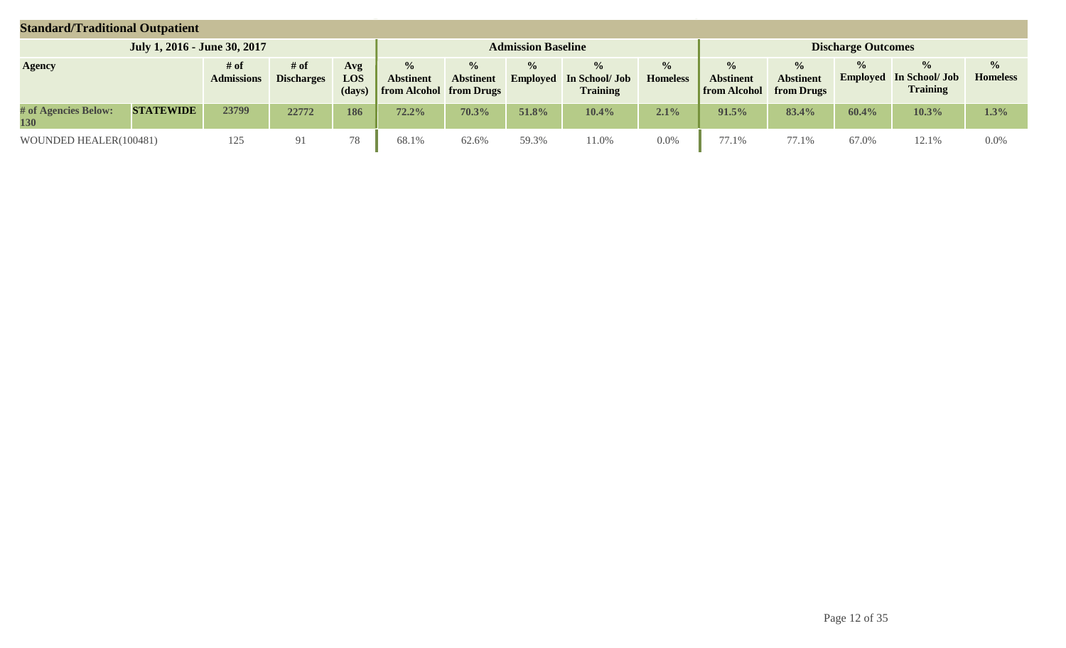| <b>Standard/Traditional Outpatient</b> |                              |                           |                           |                      |                                                            |                                   |                                  |                                                    |                                  |                                                                     |                                   |                                  |                                                    |                                  |
|----------------------------------------|------------------------------|---------------------------|---------------------------|----------------------|------------------------------------------------------------|-----------------------------------|----------------------------------|----------------------------------------------------|----------------------------------|---------------------------------------------------------------------|-----------------------------------|----------------------------------|----------------------------------------------------|----------------------------------|
|                                        | July 1, 2016 - June 30, 2017 |                           |                           |                      |                                                            |                                   | <b>Admission Baseline</b>        |                                                    |                                  |                                                                     |                                   | <b>Discharge Outcomes</b>        |                                                    |                                  |
| <b>Agency</b>                          |                              | # of<br><b>Admissions</b> | # of<br><b>Discharges</b> | Avg<br>LOS<br>(days) | $\%$<br><b>Abstinent</b><br><b>from Alcohol from Drugs</b> | $\frac{0}{0}$<br><b>Abstinent</b> | $\frac{0}{0}$<br><b>Employed</b> | $\frac{1}{2}$<br>In School/ Job<br><b>Training</b> | $\frac{1}{2}$<br><b>Homeless</b> | $\frac{0}{0}$<br><b>Abstinent</b><br><b>from Alcohol</b> from Drugs | $\frac{0}{0}$<br><b>Abstinent</b> | $\frac{0}{0}$<br><b>Employed</b> | $\frac{0}{0}$<br>In School/ Job<br><b>Training</b> | $\frac{0}{0}$<br><b>Homeless</b> |
| # of Agencies Below:<br>130            | <b>STATEWIDE</b>             | 23799                     | 22772                     | 186                  | $72.2\%$                                                   | 70.3%                             | 51.8%                            | 10.4%                                              | 2.1%                             | 91.5%                                                               | 83.4%                             | 60.4%                            | 10.3%                                              | 1.3%                             |
| WOUNDED HEALER(100481)                 |                              | 125                       | 91                        | 78                   | 68.1%                                                      | 62.6%                             | 59.3%                            | 1.0%                                               | 0.0%                             | 77.1%                                                               | 77.1%                             | 67.0%                            | 12.1%                                              | $0.0\%$                          |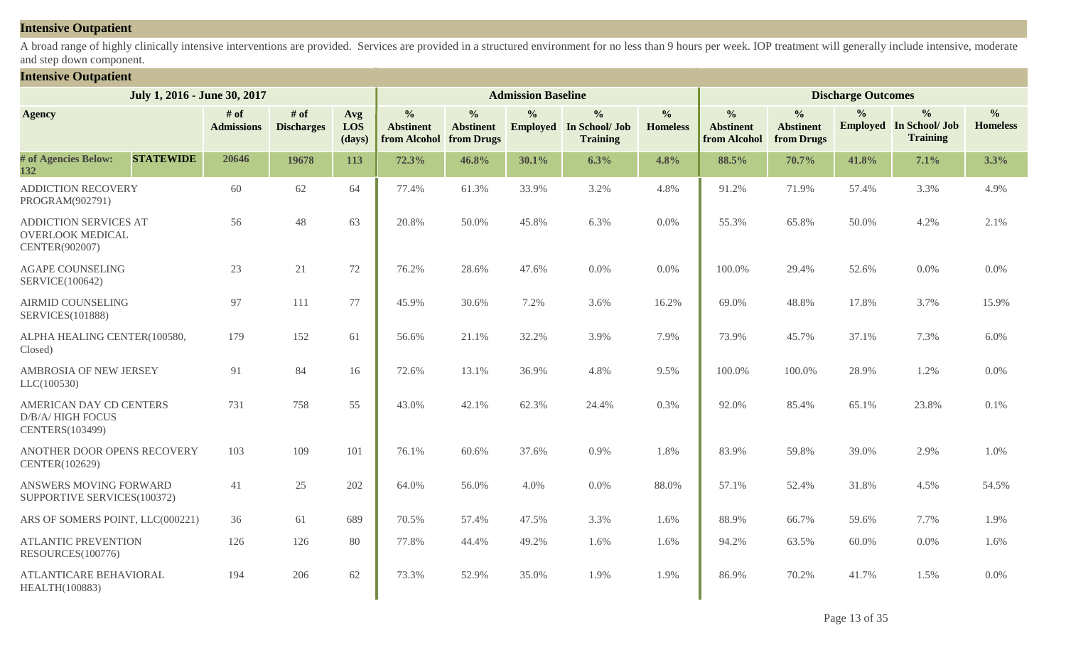## **Intensive Outpatient**

A broad range of highly clinically intensive interventions are provided. Services are provided in a structured environment for no less than 9 hours per week. IOP treatment will generally include intensive, moderate and step down component.

## **Intensive Outpatient**

|                                                                       | July 1, 2016 - June 30, 2017 |                             |                             |                      |                                                              |                                   | <b>Admission Baseline</b> |                                                                    |                                  |                                                   |                                                 | <b>Discharge Outcomes</b> |                                                                    |                                  |
|-----------------------------------------------------------------------|------------------------------|-----------------------------|-----------------------------|----------------------|--------------------------------------------------------------|-----------------------------------|---------------------------|--------------------------------------------------------------------|----------------------------------|---------------------------------------------------|-------------------------------------------------|---------------------------|--------------------------------------------------------------------|----------------------------------|
| <b>Agency</b>                                                         |                              | $#$ of<br><b>Admissions</b> | $#$ of<br><b>Discharges</b> | Avg<br>LOS<br>(days) | $\frac{0}{0}$<br><b>Abstinent</b><br>from Alcohol from Drugs | $\frac{0}{0}$<br><b>Abstinent</b> | $\frac{0}{0}$             | $\frac{0}{0}$<br><b>Employed</b> In School/ Job<br><b>Training</b> | $\frac{0}{0}$<br><b>Homeless</b> | $\frac{0}{0}$<br><b>Abstinent</b><br>from Alcohol | $\frac{0}{0}$<br><b>Abstinent</b><br>from Drugs | $\frac{0}{0}$             | $\frac{0}{0}$<br><b>Employed</b> In School/ Job<br><b>Training</b> | $\frac{6}{6}$<br><b>Homeless</b> |
| # of Agencies Below:<br>132                                           | <b>STATEWIDE</b>             | 20646                       | 19678                       | 113                  | 72.3%                                                        | 46.8%                             | 30.1%                     | 6.3%                                                               | 4.8%                             | 88.5%                                             | 70.7%                                           | 41.8%                     | 7.1%                                                               | 3.3%                             |
| <b>ADDICTION RECOVERY</b><br>PROGRAM(902791)                          |                              | 60                          | 62                          | 64                   | 77.4%                                                        | 61.3%                             | 33.9%                     | 3.2%                                                               | 4.8%                             | 91.2%                                             | 71.9%                                           | 57.4%                     | 3.3%                                                               | 4.9%                             |
| ADDICTION SERVICES AT<br><b>OVERLOOK MEDICAL</b><br>CENTER(902007)    |                              | 56                          | 48                          | 63                   | 20.8%                                                        | 50.0%                             | 45.8%                     | 6.3%                                                               | 0.0%                             | 55.3%                                             | 65.8%                                           | 50.0%                     | 4.2%                                                               | 2.1%                             |
| <b>AGAPE COUNSELING</b><br>SERVICE(100642)                            |                              | 23                          | 21                          | 72                   | 76.2%                                                        | 28.6%                             | 47.6%                     | 0.0%                                                               | 0.0%                             | 100.0%                                            | 29.4%                                           | 52.6%                     | 0.0%                                                               | $0.0\%$                          |
| <b>AIRMID COUNSELING</b><br><b>SERVICES(101888)</b>                   |                              | 97                          | 111                         | 77                   | 45.9%                                                        | 30.6%                             | 7.2%                      | 3.6%                                                               | 16.2%                            | 69.0%                                             | 48.8%                                           | 17.8%                     | 3.7%                                                               | 15.9%                            |
| ALPHA HEALING CENTER(100580,<br>Closed)                               |                              | 179                         | 152                         | 61                   | 56.6%                                                        | 21.1%                             | 32.2%                     | 3.9%                                                               | 7.9%                             | 73.9%                                             | 45.7%                                           | 37.1%                     | 7.3%                                                               | 6.0%                             |
| AMBROSIA OF NEW JERSEY<br>LLC(100530)                                 |                              | 91                          | 84                          | 16                   | 72.6%                                                        | 13.1%                             | 36.9%                     | 4.8%                                                               | 9.5%                             | 100.0%                                            | 100.0%                                          | 28.9%                     | 1.2%                                                               | $0.0\%$                          |
| AMERICAN DAY CD CENTERS<br><b>D/B/A/HIGH FOCUS</b><br>CENTERS(103499) |                              | 731                         | 758                         | 55                   | 43.0%                                                        | 42.1%                             | 62.3%                     | 24.4%                                                              | 0.3%                             | 92.0%                                             | 85.4%                                           | 65.1%                     | 23.8%                                                              | 0.1%                             |
| ANOTHER DOOR OPENS RECOVERY<br>CENTER(102629)                         |                              | 103                         | 109                         | 101                  | 76.1%                                                        | 60.6%                             | 37.6%                     | 0.9%                                                               | 1.8%                             | 83.9%                                             | 59.8%                                           | 39.0%                     | 2.9%                                                               | 1.0%                             |
| ANSWERS MOVING FORWARD<br>SUPPORTIVE SERVICES(100372)                 |                              | 41                          | 25                          | 202                  | 64.0%                                                        | 56.0%                             | 4.0%                      | 0.0%                                                               | 88.0%                            | 57.1%                                             | 52.4%                                           | 31.8%                     | 4.5%                                                               | 54.5%                            |
| ARS OF SOMERS POINT, LLC(000221)                                      |                              | 36                          | 61                          | 689                  | 70.5%                                                        | 57.4%                             | 47.5%                     | 3.3%                                                               | 1.6%                             | 88.9%                                             | 66.7%                                           | 59.6%                     | 7.7%                                                               | 1.9%                             |
| <b>ATLANTIC PREVENTION</b><br>RESOURCES(100776)                       |                              | 126                         | 126                         | 80                   | 77.8%                                                        | 44.4%                             | 49.2%                     | 1.6%                                                               | 1.6%                             | 94.2%                                             | 63.5%                                           | 60.0%                     | 0.0%                                                               | 1.6%                             |
| <b>ATLANTICARE BEHAVIORAL</b><br>HEALTH(100883)                       |                              | 194                         | 206                         | 62                   | 73.3%                                                        | 52.9%                             | 35.0%                     | 1.9%                                                               | 1.9%                             | 86.9%                                             | 70.2%                                           | 41.7%                     | 1.5%                                                               | 0.0%                             |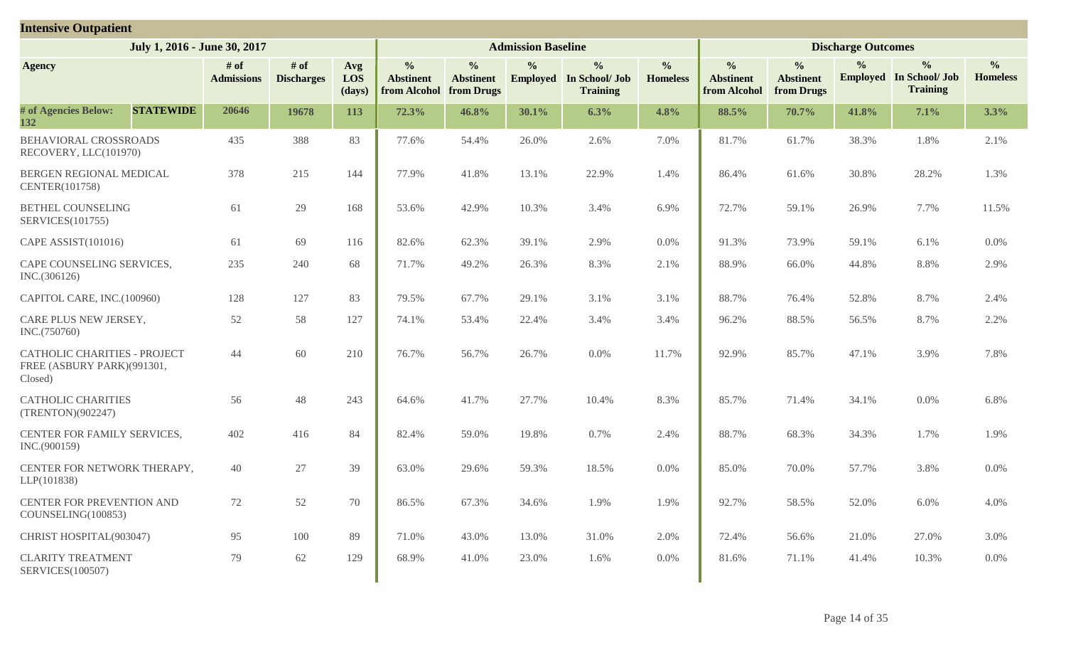| <b>Intensive Outpatient</b>                                                  |                           |                           |                      |                                                   |                                                 |                           |                                                                    |                                  |                                                   |                                                 |                           |                                                                    |                                  |
|------------------------------------------------------------------------------|---------------------------|---------------------------|----------------------|---------------------------------------------------|-------------------------------------------------|---------------------------|--------------------------------------------------------------------|----------------------------------|---------------------------------------------------|-------------------------------------------------|---------------------------|--------------------------------------------------------------------|----------------------------------|
| July 1, 2016 - June 30, 2017                                                 |                           |                           |                      |                                                   |                                                 | <b>Admission Baseline</b> |                                                                    |                                  |                                                   |                                                 | <b>Discharge Outcomes</b> |                                                                    |                                  |
| <b>Agency</b>                                                                | # of<br><b>Admissions</b> | # of<br><b>Discharges</b> | Avg<br>LOS<br>(days) | $\frac{0}{0}$<br><b>Abstinent</b><br>from Alcohol | $\frac{0}{0}$<br><b>Abstinent</b><br>from Drugs | $\frac{0}{0}$             | $\frac{0}{0}$<br><b>Employed</b> In School/ Job<br><b>Training</b> | $\frac{0}{0}$<br><b>Homeless</b> | $\frac{0}{0}$<br><b>Abstinent</b><br>from Alcohol | $\frac{0}{0}$<br><b>Abstinent</b><br>from Drugs | $\frac{6}{9}$             | $\frac{0}{0}$<br><b>Employed</b> In School/ Job<br><b>Training</b> | $\frac{0}{0}$<br><b>Homeless</b> |
| # of Agencies Below:<br><b>STATEWIDE</b><br>132                              | 20646                     | 19678                     | 113                  | 72.3%                                             | 46.8%                                           | 30.1%                     | 6.3%                                                               | 4.8%                             | 88.5%                                             | 70.7%                                           | 41.8%                     | 7.1%                                                               | 3.3%                             |
| BEHAVIORAL CROSSROADS<br>RECOVERY, LLC(101970)                               | 435                       | 388                       | 83                   | 77.6%                                             | 54.4%                                           | 26.0%                     | 2.6%                                                               | 7.0%                             | 81.7%                                             | 61.7%                                           | 38.3%                     | 1.8%                                                               | 2.1%                             |
| BERGEN REGIONAL MEDICAL<br>CENTER(101758)                                    | 378                       | 215                       | 144                  | 77.9%                                             | 41.8%                                           | 13.1%                     | 22.9%                                                              | 1.4%                             | 86.4%                                             | 61.6%                                           | 30.8%                     | 28.2%                                                              | 1.3%                             |
| <b>BETHEL COUNSELING</b><br>SERVICES(101755)                                 | 61                        | 29                        | 168                  | 53.6%                                             | 42.9%                                           | 10.3%                     | 3.4%                                                               | 6.9%                             | 72.7%                                             | 59.1%                                           | 26.9%                     | 7.7%                                                               | 11.5%                            |
| CAPE ASSIST(101016)                                                          | 61                        | 69                        | 116                  | 82.6%                                             | 62.3%                                           | 39.1%                     | 2.9%                                                               | 0.0%                             | 91.3%                                             | 73.9%                                           | 59.1%                     | 6.1%                                                               | 0.0%                             |
| CAPE COUNSELING SERVICES,<br>INC.(306126)                                    | 235                       | 240                       | 68                   | 71.7%                                             | 49.2%                                           | 26.3%                     | 8.3%                                                               | 2.1%                             | 88.9%                                             | 66.0%                                           | 44.8%                     | 8.8%                                                               | 2.9%                             |
| CAPITOL CARE, INC.(100960)                                                   | 128                       | 127                       | 83                   | 79.5%                                             | 67.7%                                           | 29.1%                     | 3.1%                                                               | 3.1%                             | 88.7%                                             | 76.4%                                           | 52.8%                     | 8.7%                                                               | 2.4%                             |
| CARE PLUS NEW JERSEY,<br>INC.(750760)                                        | 52                        | 58                        | 127                  | 74.1%                                             | 53.4%                                           | 22.4%                     | 3.4%                                                               | 3.4%                             | 96.2%                                             | 88.5%                                           | 56.5%                     | 8.7%                                                               | 2.2%                             |
| <b>CATHOLIC CHARITIES - PROJECT</b><br>FREE (ASBURY PARK)(991301,<br>Closed) | 44                        | 60                        | 210                  | 76.7%                                             | 56.7%                                           | 26.7%                     | $0.0\%$                                                            | 11.7%                            | 92.9%                                             | 85.7%                                           | 47.1%                     | 3.9%                                                               | 7.8%                             |
| <b>CATHOLIC CHARITIES</b><br>(TRENTON)(902247)                               | 56                        | 48                        | 243                  | 64.6%                                             | 41.7%                                           | 27.7%                     | 10.4%                                                              | 8.3%                             | 85.7%                                             | 71.4%                                           | 34.1%                     | 0.0%                                                               | 6.8%                             |
| CENTER FOR FAMILY SERVICES,<br>INC.(900159)                                  | 402                       | 416                       | 84                   | 82.4%                                             | 59.0%                                           | 19.8%                     | 0.7%                                                               | 2.4%                             | 88.7%                                             | 68.3%                                           | 34.3%                     | 1.7%                                                               | 1.9%                             |
| CENTER FOR NETWORK THERAPY,<br>LLP(101838)                                   | 40                        | 27                        | 39                   | 63.0%                                             | 29.6%                                           | 59.3%                     | 18.5%                                                              | 0.0%                             | 85.0%                                             | 70.0%                                           | 57.7%                     | 3.8%                                                               | 0.0%                             |
| CENTER FOR PREVENTION AND<br>COUNSELING(100853)                              | 72                        | 52                        | 70                   | 86.5%                                             | 67.3%                                           | 34.6%                     | $1.9\%$                                                            | 1.9%                             | 92.7%                                             | 58.5%                                           | 52.0%                     | 6.0%                                                               | 4.0%                             |
| CHRIST HOSPITAL(903047)                                                      | 95                        | 100                       | 89                   | 71.0%                                             | 43.0%                                           | 13.0%                     | 31.0%                                                              | 2.0%                             | 72.4%                                             | 56.6%                                           | 21.0%                     | 27.0%                                                              | 3.0%                             |
| <b>CLARITY TREATMENT</b><br><b>SERVICES(100507)</b>                          | 79                        | 62                        | 129                  | 68.9%                                             | 41.0%                                           | 23.0%                     | 1.6%                                                               | $0.0\%$                          | 81.6%                                             | 71.1%                                           | 41.4%                     | 10.3%                                                              | $0.0\%$                          |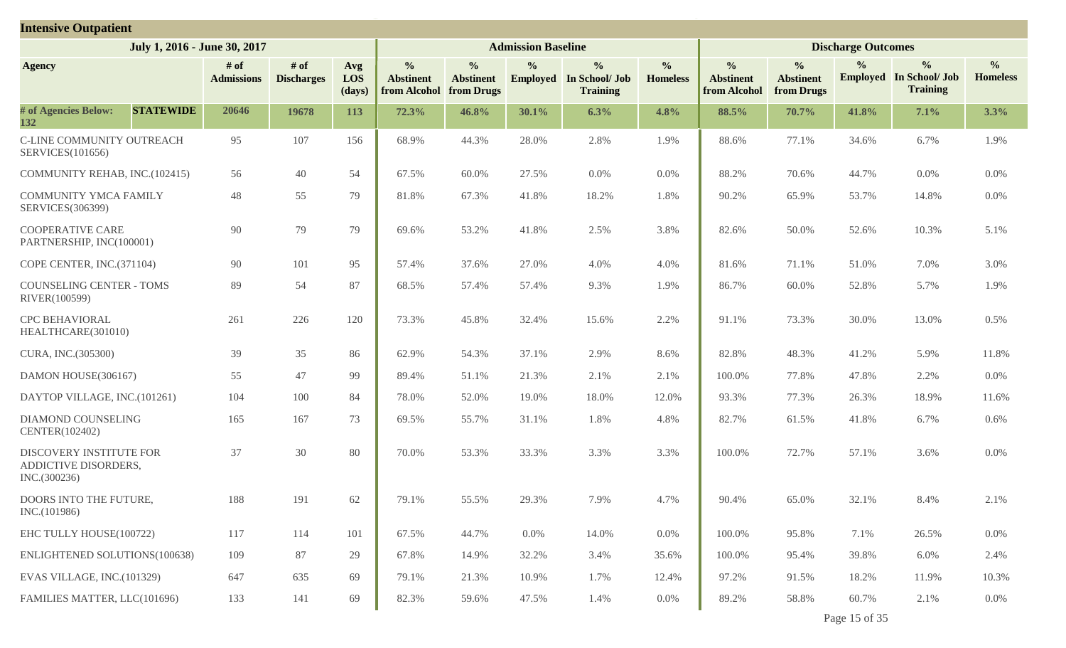| <b>Intensive Outpatient</b>                                     |                              |                             |                             |                                                   |                                                 |                           |                                                                    |                                  |                                                   |                                                 |                           |                                                                    |                                  |
|-----------------------------------------------------------------|------------------------------|-----------------------------|-----------------------------|---------------------------------------------------|-------------------------------------------------|---------------------------|--------------------------------------------------------------------|----------------------------------|---------------------------------------------------|-------------------------------------------------|---------------------------|--------------------------------------------------------------------|----------------------------------|
|                                                                 | July 1, 2016 - June 30, 2017 |                             |                             |                                                   |                                                 | <b>Admission Baseline</b> |                                                                    |                                  |                                                   |                                                 | <b>Discharge Outcomes</b> |                                                                    |                                  |
| <b>Agency</b>                                                   | $#$ of<br><b>Admissions</b>  | $#$ of<br><b>Discharges</b> | Avg<br><b>LOS</b><br>(days) | $\frac{0}{0}$<br><b>Abstinent</b><br>from Alcohol | $\frac{0}{0}$<br><b>Abstinent</b><br>from Drugs | $\frac{0}{0}$             | $\frac{0}{0}$<br><b>Employed</b> In School/ Job<br><b>Training</b> | $\frac{0}{0}$<br><b>Homeless</b> | $\frac{0}{0}$<br><b>Abstinent</b><br>from Alcohol | $\frac{0}{0}$<br><b>Abstinent</b><br>from Drugs | $\frac{0}{0}$             | $\frac{0}{0}$<br><b>Employed</b> In School/ Job<br><b>Training</b> | $\frac{0}{0}$<br><b>Homeless</b> |
| # of Agencies Below:<br><b>STATEWIDE</b><br>132                 | 20646                        | 19678                       | 113                         | 72.3%                                             | 46.8%                                           | 30.1%                     | 6.3%                                                               | 4.8%                             | 88.5%                                             | 70.7%                                           | 41.8%                     | 7.1%                                                               | 3.3%                             |
| C-LINE COMMUNITY OUTREACH<br><b>SERVICES</b> (101656)           | 95                           | 107                         | 156                         | 68.9%                                             | 44.3%                                           | 28.0%                     | 2.8%                                                               | 1.9%                             | 88.6%                                             | 77.1%                                           | 34.6%                     | 6.7%                                                               | 1.9%                             |
| COMMUNITY REHAB, INC.(102415)                                   | 56                           | 40                          | 54                          | 67.5%                                             | 60.0%                                           | 27.5%                     | $0.0\%$                                                            | $0.0\%$                          | 88.2%                                             | 70.6%                                           | 44.7%                     | 0.0%                                                               | 0.0%                             |
| <b>COMMUNITY YMCA FAMILY</b><br>SERVICES(306399)                | 48                           | 55                          | 79                          | 81.8%                                             | 67.3%                                           | 41.8%                     | 18.2%                                                              | 1.8%                             | 90.2%                                             | 65.9%                                           | 53.7%                     | 14.8%                                                              | 0.0%                             |
| <b>COOPERATIVE CARE</b><br>PARTNERSHIP, INC(100001)             | 90                           | 79                          | 79                          | 69.6%                                             | 53.2%                                           | 41.8%                     | 2.5%                                                               | 3.8%                             | 82.6%                                             | 50.0%                                           | 52.6%                     | 10.3%                                                              | 5.1%                             |
| COPE CENTER, INC.(371104)                                       | 90                           | 101                         | 95                          | 57.4%                                             | 37.6%                                           | 27.0%                     | 4.0%                                                               | 4.0%                             | 81.6%                                             | 71.1%                                           | 51.0%                     | 7.0%                                                               | 3.0%                             |
| <b>COUNSELING CENTER - TOMS</b><br>RIVER(100599)                | 89                           | 54                          | 87                          | 68.5%                                             | 57.4%                                           | 57.4%                     | 9.3%                                                               | 1.9%                             | 86.7%                                             | 60.0%                                           | 52.8%                     | 5.7%                                                               | 1.9%                             |
| <b>CPC BEHAVIORAL</b><br>HEALTHCARE(301010)                     | 261                          | 226                         | 120                         | 73.3%                                             | 45.8%                                           | 32.4%                     | 15.6%                                                              | 2.2%                             | 91.1%                                             | 73.3%                                           | 30.0%                     | 13.0%                                                              | 0.5%                             |
| CURA, INC.(305300)                                              | 39                           | 35                          | 86                          | 62.9%                                             | 54.3%                                           | 37.1%                     | 2.9%                                                               | 8.6%                             | 82.8%                                             | 48.3%                                           | 41.2%                     | 5.9%                                                               | 11.8%                            |
| DAMON HOUSE(306167)                                             | 55                           | 47                          | 99                          | 89.4%                                             | 51.1%                                           | 21.3%                     | 2.1%                                                               | 2.1%                             | 100.0%                                            | 77.8%                                           | 47.8%                     | 2.2%                                                               | 0.0%                             |
| DAYTOP VILLAGE, INC.(101261)                                    | 104                          | 100                         | 84                          | 78.0%                                             | 52.0%                                           | 19.0%                     | 18.0%                                                              | 12.0%                            | 93.3%                                             | 77.3%                                           | 26.3%                     | 18.9%                                                              | 11.6%                            |
| DIAMOND COUNSELING<br>CENTER(102402)                            | 165                          | 167                         | 73                          | 69.5%                                             | 55.7%                                           | 31.1%                     | 1.8%                                                               | 4.8%                             | 82.7%                                             | 61.5%                                           | 41.8%                     | 6.7%                                                               | 0.6%                             |
| DISCOVERY INSTITUTE FOR<br>ADDICTIVE DISORDERS,<br>INC.(300236) | 37                           | 30                          | 80                          | 70.0%                                             | 53.3%                                           | 33.3%                     | 3.3%                                                               | 3.3%                             | 100.0%                                            | 72.7%                                           | 57.1%                     | 3.6%                                                               | 0.0%                             |
| DOORS INTO THE FUTURE,<br>INC.(101986)                          | 188                          | 191                         | 62                          | 79.1%                                             | 55.5%                                           | 29.3%                     | 7.9%                                                               | 4.7%                             | 90.4%                                             | 65.0%                                           | 32.1%                     | 8.4%                                                               | 2.1%                             |
| EHC TULLY HOUSE(100722)                                         | 117                          | 114                         | 101                         | 67.5%                                             | 44.7%                                           | $0.0\%$                   | 14.0%                                                              | $0.0\%$                          | 100.0%                                            | 95.8%                                           | 7.1%                      | 26.5%                                                              | $0.0\%$                          |
| ENLIGHTENED SOLUTIONS(100638)                                   | 109                          | 87                          | 29                          | 67.8%                                             | 14.9%                                           | 32.2%                     | 3.4%                                                               | 35.6%                            | 100.0%                                            | 95.4%                                           | 39.8%                     | 6.0%                                                               | 2.4%                             |
| EVAS VILLAGE, INC.(101329)                                      | 647                          | 635                         | 69                          | 79.1%                                             | 21.3%                                           | 10.9%                     | 1.7%                                                               | 12.4%                            | 97.2%                                             | 91.5%                                           | 18.2%                     | 11.9%                                                              | 10.3%                            |
| FAMILIES MATTER, LLC(101696)                                    | 133                          | 141                         | 69                          | 82.3%                                             | 59.6%                                           | 47.5%                     | 1.4%                                                               | $0.0\%$                          | 89.2%                                             | 58.8%                                           | 60.7%                     | 2.1%                                                               | $0.0\%$                          |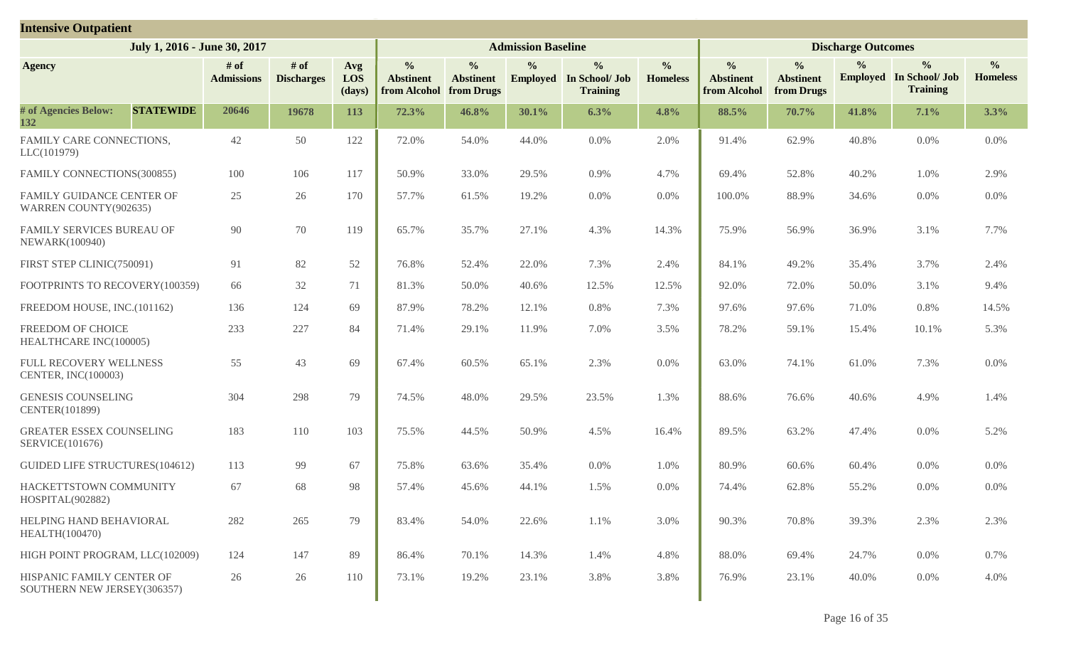| <b>Intensive Outpatient</b>                              |                           |                           |                             |                                                   |                                                 |                           |                                                                    |                                  |                                                   |                                                 |                           |                                                                    |                                  |
|----------------------------------------------------------|---------------------------|---------------------------|-----------------------------|---------------------------------------------------|-------------------------------------------------|---------------------------|--------------------------------------------------------------------|----------------------------------|---------------------------------------------------|-------------------------------------------------|---------------------------|--------------------------------------------------------------------|----------------------------------|
| July 1, 2016 - June 30, 2017                             |                           |                           |                             |                                                   |                                                 | <b>Admission Baseline</b> |                                                                    |                                  |                                                   |                                                 | <b>Discharge Outcomes</b> |                                                                    |                                  |
| <b>Agency</b>                                            | # of<br><b>Admissions</b> | # of<br><b>Discharges</b> | Avg<br><b>LOS</b><br>(days) | $\frac{0}{0}$<br><b>Abstinent</b><br>from Alcohol | $\frac{0}{0}$<br><b>Abstinent</b><br>from Drugs | $\frac{0}{0}$             | $\frac{0}{0}$<br><b>Employed</b> In School/ Job<br><b>Training</b> | $\frac{6}{6}$<br><b>Homeless</b> | $\frac{1}{2}$<br><b>Abstinent</b><br>from Alcohol | $\frac{0}{0}$<br><b>Abstinent</b><br>from Drugs | $\frac{0}{0}$             | $\frac{0}{0}$<br><b>Employed</b> In School/ Job<br><b>Training</b> | $\frac{0}{0}$<br><b>Homeless</b> |
| # of Agencies Below:<br><b>STATEWIDE</b><br>132          | 20646                     | 19678                     | 113                         | 72.3%                                             | 46.8%                                           | 30.1%                     | 6.3%                                                               | 4.8%                             | 88.5%                                             | 70.7%                                           | 41.8%                     | 7.1%                                                               | 3.3%                             |
| FAMILY CARE CONNECTIONS,<br>LLC(101979)                  | 42                        | 50                        | 122                         | 72.0%                                             | 54.0%                                           | 44.0%                     | 0.0%                                                               | 2.0%                             | 91.4%                                             | 62.9%                                           | 40.8%                     | 0.0%                                                               | 0.0%                             |
| FAMILY CONNECTIONS(300855)                               | 100                       | 106                       | 117                         | 50.9%                                             | 33.0%                                           | 29.5%                     | 0.9%                                                               | 4.7%                             | 69.4%                                             | 52.8%                                           | 40.2%                     | 1.0%                                                               | 2.9%                             |
| FAMILY GUIDANCE CENTER OF<br>WARREN COUNTY(902635)       | 25                        | 26                        | 170                         | 57.7%                                             | 61.5%                                           | 19.2%                     | 0.0%                                                               | $0.0\%$                          | 100.0%                                            | 88.9%                                           | 34.6%                     | 0.0%                                                               | 0.0%                             |
| FAMILY SERVICES BUREAU OF<br>NEWARK(100940)              | 90                        | 70                        | 119                         | 65.7%                                             | 35.7%                                           | 27.1%                     | 4.3%                                                               | 14.3%                            | 75.9%                                             | 56.9%                                           | 36.9%                     | 3.1%                                                               | 7.7%                             |
| FIRST STEP CLINIC(750091)                                | 91                        | 82                        | 52                          | 76.8%                                             | 52.4%                                           | 22.0%                     | 7.3%                                                               | 2.4%                             | 84.1%                                             | 49.2%                                           | 35.4%                     | 3.7%                                                               | 2.4%                             |
| FOOTPRINTS TO RECOVERY(100359)                           | 66                        | 32                        | 71                          | 81.3%                                             | 50.0%                                           | 40.6%                     | 12.5%                                                              | 12.5%                            | 92.0%                                             | 72.0%                                           | 50.0%                     | 3.1%                                                               | 9.4%                             |
| FREEDOM HOUSE, INC.(101162)                              | 136                       | 124                       | 69                          | 87.9%                                             | 78.2%                                           | 12.1%                     | 0.8%                                                               | 7.3%                             | 97.6%                                             | 97.6%                                           | 71.0%                     | 0.8%                                                               | 14.5%                            |
| FREEDOM OF CHOICE<br>HEALTHCARE INC(100005)              | 233                       | 227                       | 84                          | 71.4%                                             | 29.1%                                           | 11.9%                     | 7.0%                                                               | 3.5%                             | 78.2%                                             | 59.1%                                           | 15.4%                     | 10.1%                                                              | 5.3%                             |
| FULL RECOVERY WELLNESS<br>CENTER, INC(100003)            | 55                        | 43                        | 69                          | 67.4%                                             | 60.5%                                           | 65.1%                     | 2.3%                                                               | $0.0\%$                          | 63.0%                                             | 74.1%                                           | 61.0%                     | 7.3%                                                               | 0.0%                             |
| <b>GENESIS COUNSELING</b><br>CENTER(101899)              | 304                       | 298                       | 79                          | 74.5%                                             | 48.0%                                           | 29.5%                     | 23.5%                                                              | 1.3%                             | 88.6%                                             | 76.6%                                           | 40.6%                     | 4.9%                                                               | 1.4%                             |
| <b>GREATER ESSEX COUNSELING</b><br>SERVICE(101676)       | 183                       | 110                       | 103                         | 75.5%                                             | 44.5%                                           | 50.9%                     | 4.5%                                                               | 16.4%                            | 89.5%                                             | 63.2%                                           | 47.4%                     | 0.0%                                                               | 5.2%                             |
| <b>GUIDED LIFE STRUCTURES(104612)</b>                    | 113                       | 99                        | 67                          | 75.8%                                             | 63.6%                                           | 35.4%                     | 0.0%                                                               | 1.0%                             | 80.9%                                             | 60.6%                                           | 60.4%                     | 0.0%                                                               | 0.0%                             |
| HACKETTSTOWN COMMUNITY<br>HOSPITAL(902882)               | 67                        | 68                        | 98                          | 57.4%                                             | 45.6%                                           | 44.1%                     | 1.5%                                                               | $0.0\%$                          | 74.4%                                             | 62.8%                                           | 55.2%                     | 0.0%                                                               | 0.0%                             |
| HELPING HAND BEHAVIORAL<br><b>HEALTH(100470)</b>         | 282                       | 265                       | 79                          | 83.4%                                             | 54.0%                                           | 22.6%                     | 1.1%                                                               | 3.0%                             | 90.3%                                             | 70.8%                                           | 39.3%                     | 2.3%                                                               | 2.3%                             |
| HIGH POINT PROGRAM, LLC(102009)                          | 124                       | 147                       | 89                          | 86.4%                                             | 70.1%                                           | 14.3%                     | 1.4%                                                               | 4.8%                             | 88.0%                                             | 69.4%                                           | 24.7%                     | 0.0%                                                               | 0.7%                             |
| HISPANIC FAMILY CENTER OF<br>SOUTHERN NEW JERSEY(306357) | 26                        | 26                        | 110                         | 73.1%                                             | 19.2%                                           | 23.1%                     | 3.8%                                                               | 3.8%                             | 76.9%                                             | 23.1%                                           | 40.0%                     | 0.0%                                                               | 4.0%                             |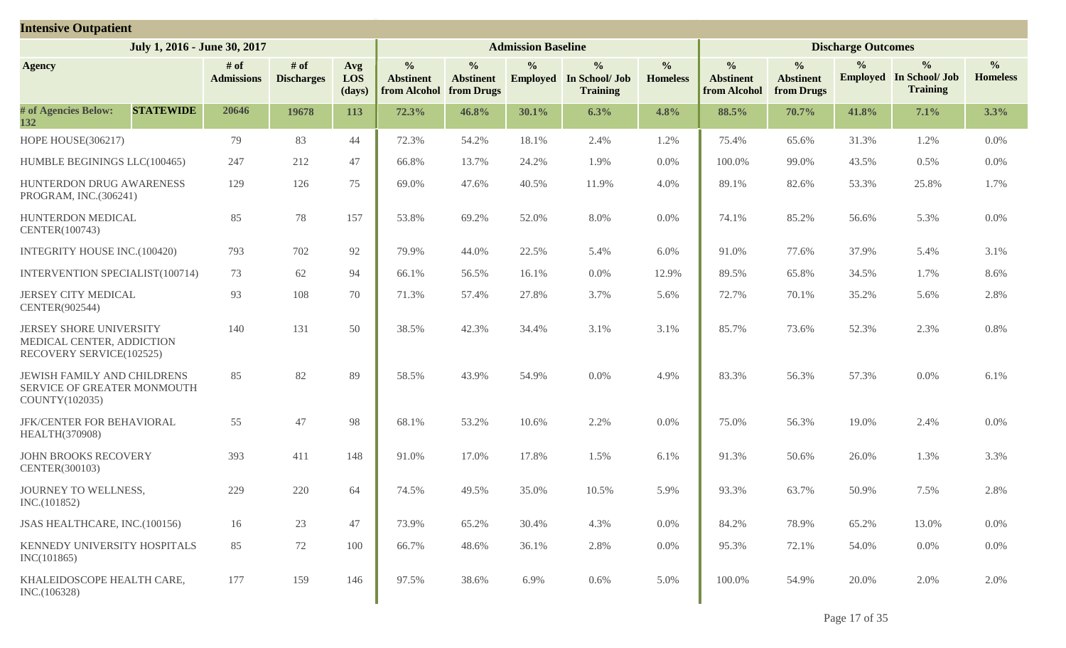| <b>Intensive Outpatient</b>                                                             |                           |                             |                      |                                                   |                                                 |                           |                                                                    |                                  |                                                   |                                                 |                           |                                                                    |                                  |
|-----------------------------------------------------------------------------------------|---------------------------|-----------------------------|----------------------|---------------------------------------------------|-------------------------------------------------|---------------------------|--------------------------------------------------------------------|----------------------------------|---------------------------------------------------|-------------------------------------------------|---------------------------|--------------------------------------------------------------------|----------------------------------|
| July 1, 2016 - June 30, 2017                                                            |                           |                             |                      |                                                   |                                                 | <b>Admission Baseline</b> |                                                                    |                                  |                                                   |                                                 | <b>Discharge Outcomes</b> |                                                                    |                                  |
| <b>Agency</b>                                                                           | # of<br><b>Admissions</b> | $#$ of<br><b>Discharges</b> | Avg<br>LOS<br>(days) | $\frac{6}{6}$<br><b>Abstinent</b><br>from Alcohol | $\frac{0}{0}$<br><b>Abstinent</b><br>from Drugs | $\frac{0}{0}$             | $\frac{0}{0}$<br><b>Employed</b> In School/ Job<br><b>Training</b> | $\frac{0}{0}$<br><b>Homeless</b> | $\frac{0}{0}$<br><b>Abstinent</b><br>from Alcohol | $\frac{0}{0}$<br><b>Abstinent</b><br>from Drugs | $\frac{6}{9}$             | $\frac{0}{0}$<br><b>Employed</b> In School/ Job<br><b>Training</b> | $\frac{0}{0}$<br><b>Homeless</b> |
| # of Agencies Below:<br><b>STATEWIDE</b><br>132                                         | 20646                     | 19678                       | 113                  | 72.3%                                             | 46.8%                                           | 30.1%                     | 6.3%                                                               | 4.8%                             | 88.5%                                             | 70.7%                                           | 41.8%                     | 7.1%                                                               | 3.3%                             |
| <b>HOPE HOUSE(306217)</b>                                                               | 79                        | 83                          | 44                   | 72.3%                                             | 54.2%                                           | 18.1%                     | 2.4%                                                               | 1.2%                             | 75.4%                                             | 65.6%                                           | 31.3%                     | 1.2%                                                               | 0.0%                             |
| HUMBLE BEGININGS LLC(100465)                                                            | 247                       | 212                         | 47                   | 66.8%                                             | 13.7%                                           | 24.2%                     | 1.9%                                                               | 0.0%                             | 100.0%                                            | 99.0%                                           | 43.5%                     | 0.5%                                                               | 0.0%                             |
| HUNTERDON DRUG AWARENESS<br>PROGRAM, INC.(306241)                                       | 129                       | 126                         | 75                   | 69.0%                                             | 47.6%                                           | 40.5%                     | 11.9%                                                              | 4.0%                             | 89.1%                                             | 82.6%                                           | 53.3%                     | 25.8%                                                              | 1.7%                             |
| HUNTERDON MEDICAL<br>CENTER(100743)                                                     | 85                        | 78                          | 157                  | 53.8%                                             | 69.2%                                           | 52.0%                     | 8.0%                                                               | 0.0%                             | 74.1%                                             | 85.2%                                           | 56.6%                     | 5.3%                                                               | 0.0%                             |
| INTEGRITY HOUSE INC.(100420)                                                            | 793                       | 702                         | 92                   | 79.9%                                             | 44.0%                                           | 22.5%                     | 5.4%                                                               | 6.0%                             | 91.0%                                             | 77.6%                                           | 37.9%                     | 5.4%                                                               | 3.1%                             |
| INTERVENTION SPECIALIST(100714)                                                         | 73                        | 62                          | 94                   | 66.1%                                             | 56.5%                                           | 16.1%                     | 0.0%                                                               | 12.9%                            | 89.5%                                             | 65.8%                                           | 34.5%                     | 1.7%                                                               | 8.6%                             |
| <b>JERSEY CITY MEDICAL</b><br>CENTER(902544)                                            | 93                        | 108                         | 70                   | 71.3%                                             | 57.4%                                           | 27.8%                     | 3.7%                                                               | 5.6%                             | 72.7%                                             | 70.1%                                           | 35.2%                     | 5.6%                                                               | 2.8%                             |
| <b>JERSEY SHORE UNIVERSITY</b><br>MEDICAL CENTER, ADDICTION<br>RECOVERY SERVICE(102525) | 140                       | 131                         | 50                   | 38.5%                                             | 42.3%                                           | 34.4%                     | 3.1%                                                               | 3.1%                             | 85.7%                                             | 73.6%                                           | 52.3%                     | 2.3%                                                               | 0.8%                             |
| JEWISH FAMILY AND CHILDRENS<br>SERVICE OF GREATER MONMOUTH<br>COUNTY(102035)            | 85                        | 82                          | 89                   | 58.5%                                             | 43.9%                                           | 54.9%                     | 0.0%                                                               | 4.9%                             | 83.3%                                             | 56.3%                                           | 57.3%                     | 0.0%                                                               | 6.1%                             |
| JFK/CENTER FOR BEHAVIORAL<br>HEALTH(370908)                                             | 55                        | 47                          | 98                   | 68.1%                                             | 53.2%                                           | 10.6%                     | 2.2%                                                               | 0.0%                             | 75.0%                                             | 56.3%                                           | 19.0%                     | 2.4%                                                               | 0.0%                             |
| <b>JOHN BROOKS RECOVERY</b><br>CENTER(300103)                                           | 393                       | 411                         | 148                  | 91.0%                                             | 17.0%                                           | 17.8%                     | 1.5%                                                               | 6.1%                             | 91.3%                                             | 50.6%                                           | 26.0%                     | 1.3%                                                               | 3.3%                             |
| JOURNEY TO WELLNESS,<br>INC.(101852)                                                    | 229                       | 220                         | 64                   | 74.5%                                             | 49.5%                                           | 35.0%                     | 10.5%                                                              | 5.9%                             | 93.3%                                             | 63.7%                                           | 50.9%                     | 7.5%                                                               | 2.8%                             |
| JSAS HEALTHCARE, INC.(100156)                                                           | 16                        | 23                          | 47                   | 73.9%                                             | 65.2%                                           | 30.4%                     | 4.3%                                                               | $0.0\%$                          | 84.2%                                             | 78.9%                                           | 65.2%                     | 13.0%                                                              | 0.0%                             |
| KENNEDY UNIVERSITY HOSPITALS<br>INC(101865)                                             | 85                        | 72                          | 100                  | 66.7%                                             | 48.6%                                           | 36.1%                     | 2.8%                                                               | 0.0%                             | 95.3%                                             | 72.1%                                           | 54.0%                     | 0.0%                                                               | 0.0%                             |
| KHALEIDOSCOPE HEALTH CARE,<br>INC.(106328)                                              | 177                       | 159                         | 146                  | 97.5%                                             | 38.6%                                           | 6.9%                      | 0.6%                                                               | 5.0%                             | 100.0%                                            | 54.9%                                           | 20.0%                     | 2.0%                                                               | 2.0%                             |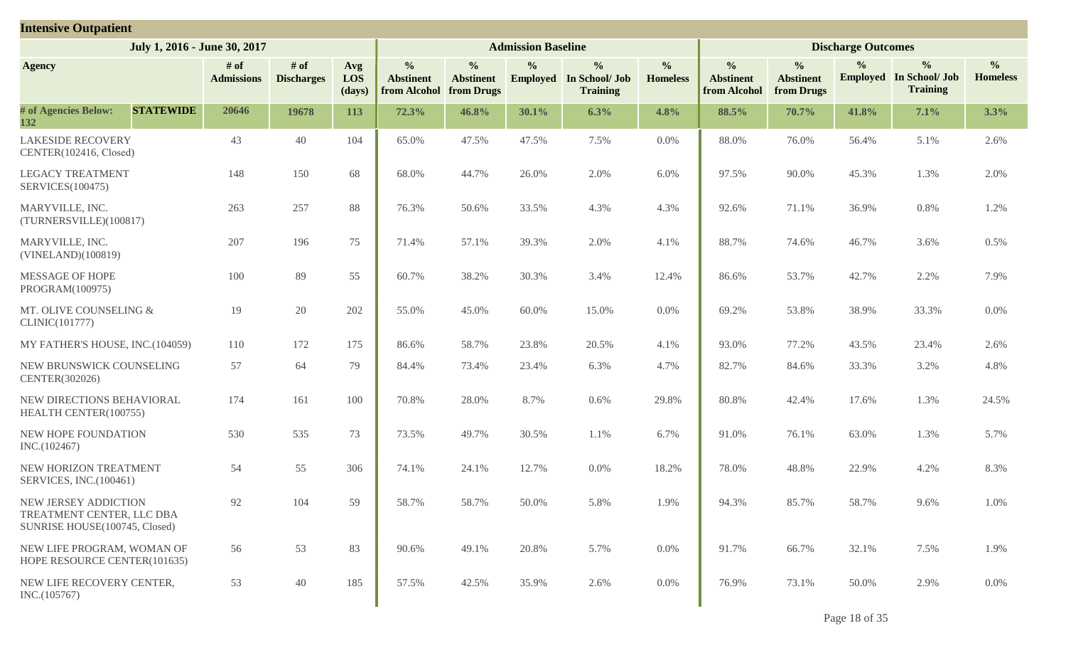| <b>Intensive Outpatient</b>                                                        |                           |                             |                      |                                                   |                                                 |                           |                                                                    |                                  |                                                   |                                                 |                           |                                                                    |                                  |
|------------------------------------------------------------------------------------|---------------------------|-----------------------------|----------------------|---------------------------------------------------|-------------------------------------------------|---------------------------|--------------------------------------------------------------------|----------------------------------|---------------------------------------------------|-------------------------------------------------|---------------------------|--------------------------------------------------------------------|----------------------------------|
| July 1, 2016 - June 30, 2017                                                       |                           |                             |                      |                                                   |                                                 | <b>Admission Baseline</b> |                                                                    |                                  |                                                   |                                                 | <b>Discharge Outcomes</b> |                                                                    |                                  |
| <b>Agency</b>                                                                      | # of<br><b>Admissions</b> | $#$ of<br><b>Discharges</b> | Avg<br>LOS<br>(days) | $\frac{0}{0}$<br><b>Abstinent</b><br>from Alcohol | $\frac{0}{0}$<br><b>Abstinent</b><br>from Drugs | $\frac{0}{0}$             | $\frac{0}{0}$<br><b>Employed</b> In School/ Job<br><b>Training</b> | $\frac{0}{0}$<br><b>Homeless</b> | $\frac{0}{0}$<br><b>Abstinent</b><br>from Alcohol | $\frac{0}{0}$<br><b>Abstinent</b><br>from Drugs | $\frac{6}{9}$             | $\frac{0}{0}$<br><b>Employed</b> In School/ Job<br><b>Training</b> | $\frac{0}{0}$<br><b>Homeless</b> |
| # of Agencies Below:<br><b>STATEWIDE</b><br>132                                    | 20646                     | 19678                       | 113                  | 72.3%                                             | 46.8%                                           | 30.1%                     | 6.3%                                                               | 4.8%                             | 88.5%                                             | 70.7%                                           | 41.8%                     | 7.1%                                                               | 3.3%                             |
| <b>LAKESIDE RECOVERY</b><br>CENTER(102416, Closed)                                 | 43                        | 40                          | 104                  | 65.0%                                             | 47.5%                                           | 47.5%                     | 7.5%                                                               | 0.0%                             | 88.0%                                             | 76.0%                                           | 56.4%                     | 5.1%                                                               | 2.6%                             |
| <b>LEGACY TREATMENT</b><br><b>SERVICES(100475)</b>                                 | 148                       | 150                         | 68                   | 68.0%                                             | 44.7%                                           | 26.0%                     | 2.0%                                                               | 6.0%                             | 97.5%                                             | 90.0%                                           | 45.3%                     | 1.3%                                                               | 2.0%                             |
| MARYVILLE, INC.<br>(TURNERSVILLE)(100817)                                          | 263                       | 257                         | 88                   | 76.3%                                             | 50.6%                                           | 33.5%                     | 4.3%                                                               | 4.3%                             | 92.6%                                             | 71.1%                                           | 36.9%                     | 0.8%                                                               | 1.2%                             |
| MARYVILLE, INC.<br>(VINELAND)(100819)                                              | 207                       | 196                         | 75                   | 71.4%                                             | 57.1%                                           | 39.3%                     | 2.0%                                                               | 4.1%                             | 88.7%                                             | 74.6%                                           | 46.7%                     | 3.6%                                                               | 0.5%                             |
| MESSAGE OF HOPE<br>PROGRAM(100975)                                                 | 100                       | 89                          | 55                   | 60.7%                                             | 38.2%                                           | 30.3%                     | 3.4%                                                               | 12.4%                            | 86.6%                                             | 53.7%                                           | 42.7%                     | 2.2%                                                               | 7.9%                             |
| MT. OLIVE COUNSELING &<br>CLINIC(101777)                                           | 19                        | 20                          | 202                  | 55.0%                                             | 45.0%                                           | 60.0%                     | 15.0%                                                              | 0.0%                             | 69.2%                                             | 53.8%                                           | 38.9%                     | 33.3%                                                              | 0.0%                             |
| MY FATHER'S HOUSE, INC.(104059)                                                    | 110                       | 172                         | 175                  | 86.6%                                             | 58.7%                                           | 23.8%                     | 20.5%                                                              | 4.1%                             | 93.0%                                             | 77.2%                                           | 43.5%                     | 23.4%                                                              | 2.6%                             |
| NEW BRUNSWICK COUNSELING<br>CENTER(302026)                                         | 57                        | 64                          | 79                   | 84.4%                                             | 73.4%                                           | 23.4%                     | 6.3%                                                               | 4.7%                             | 82.7%                                             | 84.6%                                           | 33.3%                     | 3.2%                                                               | 4.8%                             |
| NEW DIRECTIONS BEHAVIORAL<br>HEALTH CENTER(100755)                                 | 174                       | 161                         | 100                  | 70.8%                                             | 28.0%                                           | 8.7%                      | 0.6%                                                               | 29.8%                            | 80.8%                                             | 42.4%                                           | 17.6%                     | 1.3%                                                               | 24.5%                            |
| NEW HOPE FOUNDATION<br>INC.(102467)                                                | 530                       | 535                         | 73                   | 73.5%                                             | 49.7%                                           | 30.5%                     | 1.1%                                                               | 6.7%                             | 91.0%                                             | 76.1%                                           | 63.0%                     | 1.3%                                                               | 5.7%                             |
| NEW HORIZON TREATMENT<br>SERVICES, INC.(100461)                                    | 54                        | 55                          | 306                  | 74.1%                                             | 24.1%                                           | 12.7%                     | $0.0\%$                                                            | 18.2%                            | 78.0%                                             | 48.8%                                           | 22.9%                     | 4.2%                                                               | 8.3%                             |
| NEW JERSEY ADDICTION<br>TREATMENT CENTER, LLC DBA<br>SUNRISE HOUSE(100745, Closed) | 92                        | 104                         | 59                   | 58.7%                                             | 58.7%                                           | 50.0%                     | 5.8%                                                               | 1.9%                             | 94.3%                                             | 85.7%                                           | 58.7%                     | 9.6%                                                               | 1.0%                             |
| NEW LIFE PROGRAM, WOMAN OF<br>HOPE RESOURCE CENTER(101635)                         | 56                        | 53                          | 83                   | 90.6%                                             | 49.1%                                           | 20.8%                     | 5.7%                                                               | $0.0\%$                          | 91.7%                                             | 66.7%                                           | 32.1%                     | 7.5%                                                               | 1.9%                             |
| NEW LIFE RECOVERY CENTER,<br>INC.(105767)                                          | 53                        | 40                          | 185                  | 57.5%                                             | 42.5%                                           | 35.9%                     | 2.6%                                                               | $0.0\%$                          | 76.9%                                             | 73.1%                                           | 50.0%                     | 2.9%                                                               | $0.0\%$                          |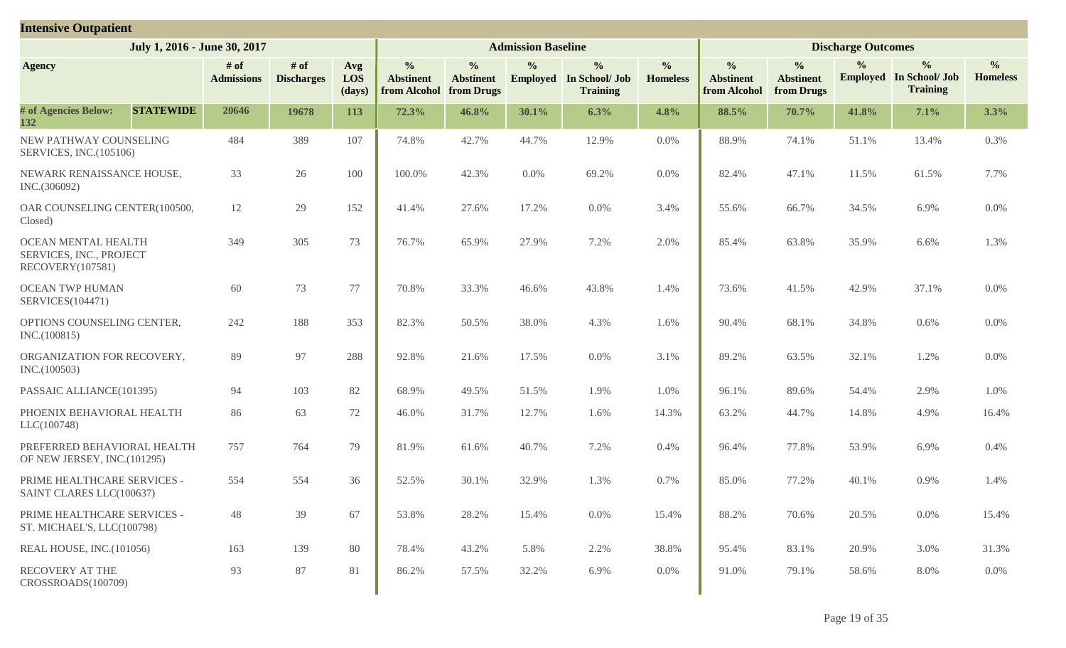| <b>Intensive Outpatient</b>                                               |                           |                             |                      |                                                   |                                                 |                           |                                                                    |                                  |                                                   |                                                 |                           |                                                                    |                                  |
|---------------------------------------------------------------------------|---------------------------|-----------------------------|----------------------|---------------------------------------------------|-------------------------------------------------|---------------------------|--------------------------------------------------------------------|----------------------------------|---------------------------------------------------|-------------------------------------------------|---------------------------|--------------------------------------------------------------------|----------------------------------|
| July 1, 2016 - June 30, 2017                                              |                           |                             |                      |                                                   |                                                 | <b>Admission Baseline</b> |                                                                    |                                  |                                                   |                                                 | <b>Discharge Outcomes</b> |                                                                    |                                  |
| <b>Agency</b>                                                             | # of<br><b>Admissions</b> | $#$ of<br><b>Discharges</b> | Avg<br>LOS<br>(days) | $\frac{6}{6}$<br><b>Abstinent</b><br>from Alcohol | $\frac{6}{6}$<br><b>Abstinent</b><br>from Drugs | $\frac{0}{0}$             | $\frac{0}{0}$<br><b>Employed</b> In School/ Job<br><b>Training</b> | $\frac{0}{0}$<br><b>Homeless</b> | $\frac{0}{0}$<br><b>Abstinent</b><br>from Alcohol | $\frac{0}{0}$<br><b>Abstinent</b><br>from Drugs | $\frac{0}{0}$             | $\frac{0}{0}$<br><b>Employed</b> In School/ Job<br><b>Training</b> | $\frac{0}{0}$<br><b>Homeless</b> |
| # of Agencies Below:<br><b>STATEWIDE</b><br>132                           | 20646                     | 19678                       | 113                  | 72.3%                                             | 46.8%                                           | 30.1%                     | 6.3%                                                               | 4.8%                             | 88.5%                                             | 70.7%                                           | 41.8%                     | 7.1%                                                               | 3.3%                             |
| NEW PATHWAY COUNSELING<br>SERVICES, INC.(105106)                          | 484                       | 389                         | 107                  | 74.8%                                             | 42.7%                                           | 44.7%                     | 12.9%                                                              | $0.0\%$                          | 88.9%                                             | 74.1%                                           | 51.1%                     | 13.4%                                                              | 0.3%                             |
| NEWARK RENAISSANCE HOUSE,<br>INC.(306092)                                 | 33                        | 26                          | 100                  | 100.0%                                            | 42.3%                                           | 0.0%                      | 69.2%                                                              | $0.0\%$                          | 82.4%                                             | 47.1%                                           | 11.5%                     | 61.5%                                                              | 7.7%                             |
| OAR COUNSELING CENTER(100500,<br>Closed)                                  | 12                        | 29                          | 152                  | 41.4%                                             | 27.6%                                           | 17.2%                     | 0.0%                                                               | 3.4%                             | 55.6%                                             | 66.7%                                           | 34.5%                     | 6.9%                                                               | $0.0\%$                          |
| <b>OCEAN MENTAL HEALTH</b><br>SERVICES, INC., PROJECT<br>RECOVERY(107581) | 349                       | 305                         | 73                   | 76.7%                                             | 65.9%                                           | 27.9%                     | 7.2%                                                               | 2.0%                             | 85.4%                                             | 63.8%                                           | 35.9%                     | 6.6%                                                               | 1.3%                             |
| <b>OCEAN TWP HUMAN</b><br><b>SERVICES(104471)</b>                         | 60                        | 73                          | 77                   | 70.8%                                             | 33.3%                                           | 46.6%                     | 43.8%                                                              | 1.4%                             | 73.6%                                             | 41.5%                                           | 42.9%                     | 37.1%                                                              | 0.0%                             |
| OPTIONS COUNSELING CENTER,<br>INC.(100815)                                | 242                       | 188                         | 353                  | 82.3%                                             | 50.5%                                           | 38.0%                     | 4.3%                                                               | 1.6%                             | 90.4%                                             | 68.1%                                           | 34.8%                     | 0.6%                                                               | $0.0\%$                          |
| ORGANIZATION FOR RECOVERY,<br>INC.(100503)                                | 89                        | 97                          | 288                  | 92.8%                                             | 21.6%                                           | 17.5%                     | 0.0%                                                               | 3.1%                             | 89.2%                                             | 63.5%                                           | 32.1%                     | 1.2%                                                               | 0.0%                             |
| PASSAIC ALLIANCE(101395)                                                  | 94                        | 103                         | 82                   | 68.9%                                             | 49.5%                                           | 51.5%                     | 1.9%                                                               | 1.0%                             | 96.1%                                             | 89.6%                                           | 54.4%                     | 2.9%                                                               | 1.0%                             |
| PHOENIX BEHAVIORAL HEALTH<br>LLC(100748)                                  | 86                        | 63                          | 72                   | 46.0%                                             | 31.7%                                           | 12.7%                     | 1.6%                                                               | 14.3%                            | 63.2%                                             | 44.7%                                           | 14.8%                     | 4.9%                                                               | 16.4%                            |
| PREFERRED BEHAVIORAL HEALTH<br>OF NEW JERSEY, INC.(101295)                | 757                       | 764                         | 79                   | 81.9%                                             | 61.6%                                           | 40.7%                     | 7.2%                                                               | 0.4%                             | 96.4%                                             | 77.8%                                           | 53.9%                     | 6.9%                                                               | 0.4%                             |
| PRIME HEALTHCARE SERVICES -<br>SAINT CLARES LLC(100637)                   | 554                       | 554                         | 36                   | 52.5%                                             | 30.1%                                           | 32.9%                     | 1.3%                                                               | 0.7%                             | 85.0%                                             | 77.2%                                           | 40.1%                     | 0.9%                                                               | 1.4%                             |
| PRIME HEALTHCARE SERVICES -<br>ST. MICHAEL'S, LLC(100798)                 | 48                        | 39                          | 67                   | 53.8%                                             | 28.2%                                           | 15.4%                     | 0.0%                                                               | 15.4%                            | 88.2%                                             | 70.6%                                           | 20.5%                     | 0.0%                                                               | 15.4%                            |
| REAL HOUSE, INC.(101056)                                                  | 163                       | 139                         | 80                   | 78.4%                                             | 43.2%                                           | 5.8%                      | 2.2%                                                               | 38.8%                            | 95.4%                                             | 83.1%                                           | 20.9%                     | 3.0%                                                               | 31.3%                            |
| RECOVERY AT THE<br>CROSSROADS(100709)                                     | 93                        | 87                          | 81                   | 86.2%                                             | 57.5%                                           | 32.2%                     | 6.9%                                                               | $0.0\%$                          | 91.0%                                             | 79.1%                                           | 58.6%                     | 8.0%                                                               | $0.0\%$                          |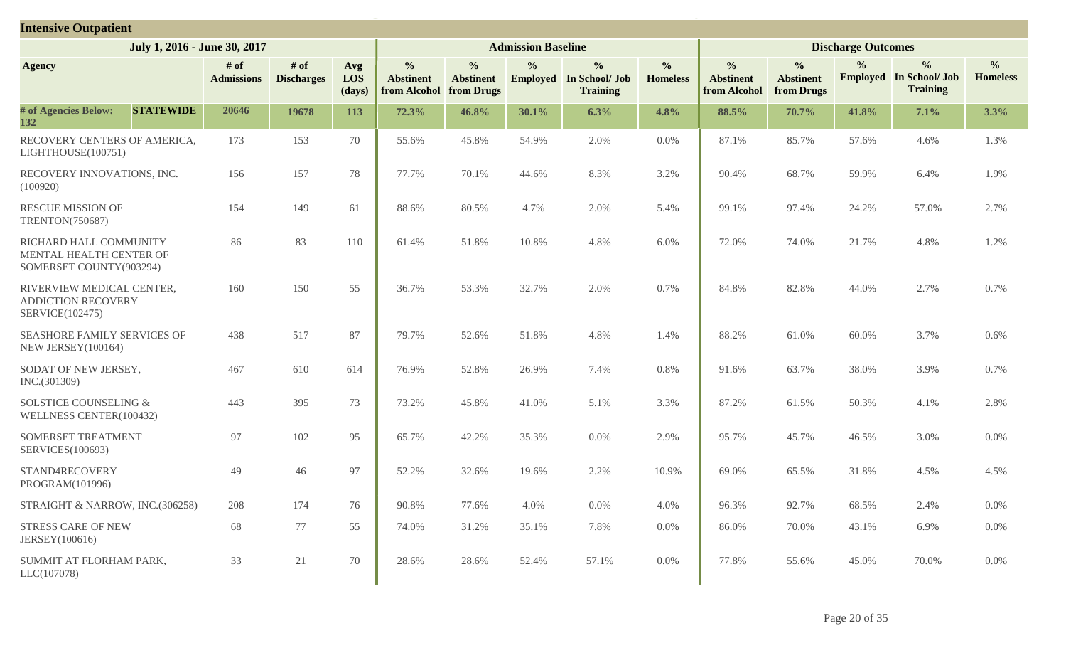| <b>Intensive Outpatient</b>                                                  |                           |                             |                      |                                                   |                                                 |                           |                                                                    |                                  |                                                   |                                                 |                           |                                                                    |                                  |
|------------------------------------------------------------------------------|---------------------------|-----------------------------|----------------------|---------------------------------------------------|-------------------------------------------------|---------------------------|--------------------------------------------------------------------|----------------------------------|---------------------------------------------------|-------------------------------------------------|---------------------------|--------------------------------------------------------------------|----------------------------------|
| July 1, 2016 - June 30, 2017                                                 |                           |                             |                      |                                                   |                                                 | <b>Admission Baseline</b> |                                                                    |                                  |                                                   |                                                 | <b>Discharge Outcomes</b> |                                                                    |                                  |
| <b>Agency</b>                                                                | # of<br><b>Admissions</b> | $#$ of<br><b>Discharges</b> | Avg<br>LOS<br>(days) | $\frac{0}{0}$<br><b>Abstinent</b><br>from Alcohol | $\frac{0}{0}$<br><b>Abstinent</b><br>from Drugs | $\frac{0}{0}$             | $\frac{0}{0}$<br><b>Employed</b> In School/ Job<br><b>Training</b> | $\frac{0}{0}$<br><b>Homeless</b> | $\frac{0}{0}$<br><b>Abstinent</b><br>from Alcohol | $\frac{0}{0}$<br><b>Abstinent</b><br>from Drugs | $\frac{6}{10}$            | $\frac{0}{0}$<br><b>Employed</b> In School/ Job<br><b>Training</b> | $\frac{0}{0}$<br><b>Homeless</b> |
| # of Agencies Below:<br><b>STATEWIDE</b><br>132                              | 20646                     | 19678                       | 113                  | 72.3%                                             | 46.8%                                           | 30.1%                     | 6.3%                                                               | 4.8%                             | 88.5%                                             | 70.7%                                           | 41.8%                     | 7.1%                                                               | 3.3%                             |
| RECOVERY CENTERS OF AMERICA,<br>LIGHTHOUSE(100751)                           | 173                       | 153                         | 70                   | 55.6%                                             | 45.8%                                           | 54.9%                     | 2.0%                                                               | 0.0%                             | 87.1%                                             | 85.7%                                           | 57.6%                     | 4.6%                                                               | 1.3%                             |
| RECOVERY INNOVATIONS, INC.<br>(100920)                                       | 156                       | 157                         | 78                   | 77.7%                                             | 70.1%                                           | 44.6%                     | 8.3%                                                               | 3.2%                             | 90.4%                                             | 68.7%                                           | 59.9%                     | 6.4%                                                               | 1.9%                             |
| <b>RESCUE MISSION OF</b><br>TRENTON(750687)                                  | 154                       | 149                         | 61                   | 88.6%                                             | 80.5%                                           | 4.7%                      | 2.0%                                                               | 5.4%                             | 99.1%                                             | 97.4%                                           | 24.2%                     | 57.0%                                                              | 2.7%                             |
| RICHARD HALL COMMUNITY<br>MENTAL HEALTH CENTER OF<br>SOMERSET COUNTY(903294) | 86                        | 83                          | 110                  | 61.4%                                             | 51.8%                                           | 10.8%                     | 4.8%                                                               | 6.0%                             | 72.0%                                             | 74.0%                                           | 21.7%                     | 4.8%                                                               | 1.2%                             |
| RIVERVIEW MEDICAL CENTER,<br><b>ADDICTION RECOVERY</b><br>SERVICE(102475)    | 160                       | 150                         | 55                   | 36.7%                                             | 53.3%                                           | 32.7%                     | 2.0%                                                               | 0.7%                             | 84.8%                                             | 82.8%                                           | 44.0%                     | 2.7%                                                               | 0.7%                             |
| SEASHORE FAMILY SERVICES OF<br>NEW JERSEY(100164)                            | 438                       | 517                         | 87                   | 79.7%                                             | 52.6%                                           | 51.8%                     | 4.8%                                                               | 1.4%                             | 88.2%                                             | 61.0%                                           | 60.0%                     | 3.7%                                                               | 0.6%                             |
| SODAT OF NEW JERSEY,<br>INC.(301309)                                         | 467                       | 610                         | 614                  | 76.9%                                             | 52.8%                                           | 26.9%                     | 7.4%                                                               | 0.8%                             | 91.6%                                             | 63.7%                                           | 38.0%                     | 3.9%                                                               | 0.7%                             |
| <b>SOLSTICE COUNSELING &amp;</b><br>WELLNESS CENTER(100432)                  | 443                       | 395                         | 73                   | 73.2%                                             | 45.8%                                           | 41.0%                     | 5.1%                                                               | 3.3%                             | 87.2%                                             | 61.5%                                           | 50.3%                     | 4.1%                                                               | 2.8%                             |
| SOMERSET TREATMENT<br>SERVICES(100693)                                       | 97                        | 102                         | 95                   | 65.7%                                             | 42.2%                                           | 35.3%                     | 0.0%                                                               | 2.9%                             | 95.7%                                             | 45.7%                                           | 46.5%                     | 3.0%                                                               | 0.0%                             |
| STAND4RECOVERY<br>PROGRAM(101996)                                            | 49                        | 46                          | 97                   | 52.2%                                             | 32.6%                                           | 19.6%                     | 2.2%                                                               | 10.9%                            | 69.0%                                             | 65.5%                                           | 31.8%                     | 4.5%                                                               | 4.5%                             |
| STRAIGHT & NARROW, INC.(306258)                                              | 208                       | 174                         | 76                   | 90.8%                                             | 77.6%                                           | 4.0%                      | 0.0%                                                               | 4.0%                             | 96.3%                                             | 92.7%                                           | 68.5%                     | 2.4%                                                               | 0.0%                             |
| STRESS CARE OF NEW<br>JERSEY(100616)                                         | 68                        | 77                          | 55                   | 74.0%                                             | 31.2%                                           | 35.1%                     | 7.8%                                                               | 0.0%                             | 86.0%                                             | 70.0%                                           | 43.1%                     | 6.9%                                                               | 0.0%                             |
| SUMMIT AT FLORHAM PARK,<br>LLC(107078)                                       | 33                        | 21                          | 70                   | 28.6%                                             | 28.6%                                           | 52.4%                     | 57.1%                                                              | $0.0\%$                          | 77.8%                                             | 55.6%                                           | 45.0%                     | 70.0%                                                              | 0.0%                             |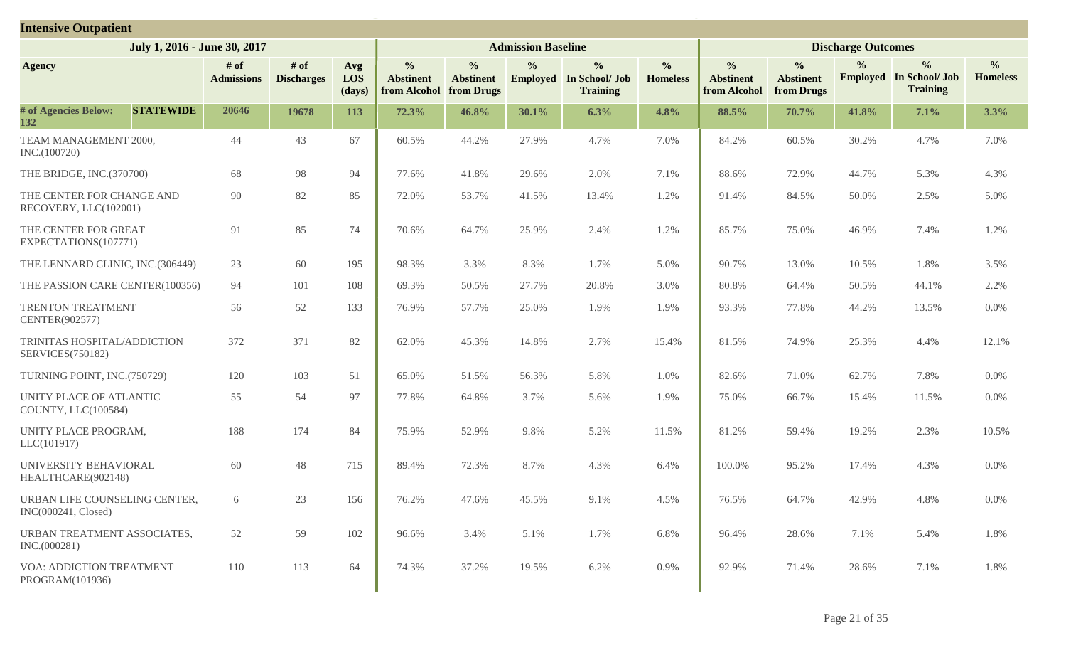| <b>Intensive Outpatient</b>                            |                           |                             |                      |                                                   |                                                 |                           |                                                                    |                                  |                                                   |                                                 |                           |                                                                    |                                  |
|--------------------------------------------------------|---------------------------|-----------------------------|----------------------|---------------------------------------------------|-------------------------------------------------|---------------------------|--------------------------------------------------------------------|----------------------------------|---------------------------------------------------|-------------------------------------------------|---------------------------|--------------------------------------------------------------------|----------------------------------|
| July 1, 2016 - June 30, 2017                           |                           |                             |                      |                                                   |                                                 | <b>Admission Baseline</b> |                                                                    |                                  |                                                   |                                                 | <b>Discharge Outcomes</b> |                                                                    |                                  |
| <b>Agency</b>                                          | # of<br><b>Admissions</b> | $#$ of<br><b>Discharges</b> | Avg<br>LOS<br>(days) | $\frac{6}{6}$<br><b>Abstinent</b><br>from Alcohol | $\frac{0}{0}$<br><b>Abstinent</b><br>from Drugs | $\frac{0}{0}$             | $\frac{0}{0}$<br><b>Employed</b> In School/ Job<br><b>Training</b> | $\frac{0}{0}$<br><b>Homeless</b> | $\frac{0}{0}$<br><b>Abstinent</b><br>from Alcohol | $\frac{0}{0}$<br><b>Abstinent</b><br>from Drugs | $\frac{0}{0}$             | $\frac{0}{0}$<br><b>Employed</b> In School/ Job<br><b>Training</b> | $\frac{0}{0}$<br><b>Homeless</b> |
| # of Agencies Below:<br><b>STATEWIDE</b><br>132        | 20646                     | 19678                       | 113                  | 72.3%                                             | 46.8%                                           | 30.1%                     | 6.3%                                                               | 4.8%                             | 88.5%                                             | 70.7%                                           | 41.8%                     | 7.1%                                                               | 3.3%                             |
| TEAM MANAGEMENT 2000,<br>INC.(100720)                  | 44                        | 43                          | 67                   | 60.5%                                             | 44.2%                                           | 27.9%                     | 4.7%                                                               | 7.0%                             | 84.2%                                             | 60.5%                                           | 30.2%                     | 4.7%                                                               | 7.0%                             |
| THE BRIDGE, INC.(370700)                               | 68                        | 98                          | 94                   | 77.6%                                             | 41.8%                                           | 29.6%                     | 2.0%                                                               | 7.1%                             | 88.6%                                             | 72.9%                                           | 44.7%                     | 5.3%                                                               | 4.3%                             |
| THE CENTER FOR CHANGE AND<br>RECOVERY, LLC(102001)     | 90                        | 82                          | 85                   | 72.0%                                             | 53.7%                                           | 41.5%                     | 13.4%                                                              | 1.2%                             | 91.4%                                             | 84.5%                                           | 50.0%                     | 2.5%                                                               | 5.0%                             |
| THE CENTER FOR GREAT<br>EXPECTATIONS(107771)           | 91                        | 85                          | 74                   | 70.6%                                             | 64.7%                                           | 25.9%                     | 2.4%                                                               | 1.2%                             | 85.7%                                             | 75.0%                                           | 46.9%                     | 7.4%                                                               | 1.2%                             |
| THE LENNARD CLINIC, INC.(306449)                       | 23                        | 60                          | 195                  | 98.3%                                             | 3.3%                                            | 8.3%                      | 1.7%                                                               | 5.0%                             | 90.7%                                             | 13.0%                                           | 10.5%                     | 1.8%                                                               | 3.5%                             |
| THE PASSION CARE CENTER(100356)                        | 94                        | 101                         | 108                  | 69.3%                                             | 50.5%                                           | 27.7%                     | 20.8%                                                              | 3.0%                             | 80.8%                                             | 64.4%                                           | 50.5%                     | 44.1%                                                              | 2.2%                             |
| TRENTON TREATMENT<br>CENTER(902577)                    | 56                        | 52                          | 133                  | 76.9%                                             | 57.7%                                           | 25.0%                     | 1.9%                                                               | 1.9%                             | 93.3%                                             | 77.8%                                           | 44.2%                     | 13.5%                                                              | $0.0\%$                          |
| TRINITAS HOSPITAL/ADDICTION<br><b>SERVICES(750182)</b> | 372                       | 371                         | 82                   | 62.0%                                             | 45.3%                                           | 14.8%                     | 2.7%                                                               | 15.4%                            | 81.5%                                             | 74.9%                                           | 25.3%                     | 4.4%                                                               | 12.1%                            |
| TURNING POINT, INC.(750729)                            | 120                       | 103                         | 51                   | 65.0%                                             | 51.5%                                           | 56.3%                     | 5.8%                                                               | 1.0%                             | 82.6%                                             | 71.0%                                           | 62.7%                     | 7.8%                                                               | 0.0%                             |
| UNITY PLACE OF ATLANTIC<br>COUNTY, LLC(100584)         | 55                        | 54                          | 97                   | 77.8%                                             | 64.8%                                           | 3.7%                      | 5.6%                                                               | 1.9%                             | 75.0%                                             | 66.7%                                           | 15.4%                     | 11.5%                                                              | $0.0\%$                          |
| UNITY PLACE PROGRAM,<br>LLC(101917)                    | 188                       | 174                         | 84                   | 75.9%                                             | 52.9%                                           | 9.8%                      | 5.2%                                                               | 11.5%                            | 81.2%                                             | 59.4%                                           | 19.2%                     | 2.3%                                                               | 10.5%                            |
| UNIVERSITY BEHAVIORAL<br>HEALTHCARE(902148)            | 60                        | 48                          | 715                  | 89.4%                                             | 72.3%                                           | 8.7%                      | 4.3%                                                               | 6.4%                             | 100.0%                                            | 95.2%                                           | 17.4%                     | 4.3%                                                               | 0.0%                             |
| URBAN LIFE COUNSELING CENTER,<br>INC(000241, Closed)   | 6                         | 23                          | 156                  | 76.2%                                             | 47.6%                                           | 45.5%                     | 9.1%                                                               | 4.5%                             | 76.5%                                             | 64.7%                                           | 42.9%                     | 4.8%                                                               | $0.0\%$                          |
| URBAN TREATMENT ASSOCIATES,<br>INC.(000281)            | 52                        | 59                          | 102                  | 96.6%                                             | 3.4%                                            | 5.1%                      | 1.7%                                                               | 6.8%                             | 96.4%                                             | 28.6%                                           | 7.1%                      | 5.4%                                                               | 1.8%                             |
| VOA: ADDICTION TREATMENT<br>PROGRAM(101936)            | 110                       | 113                         | 64                   | 74.3%                                             | 37.2%                                           | 19.5%                     | 6.2%                                                               | 0.9%                             | 92.9%                                             | 71.4%                                           | 28.6%                     | 7.1%                                                               | 1.8%                             |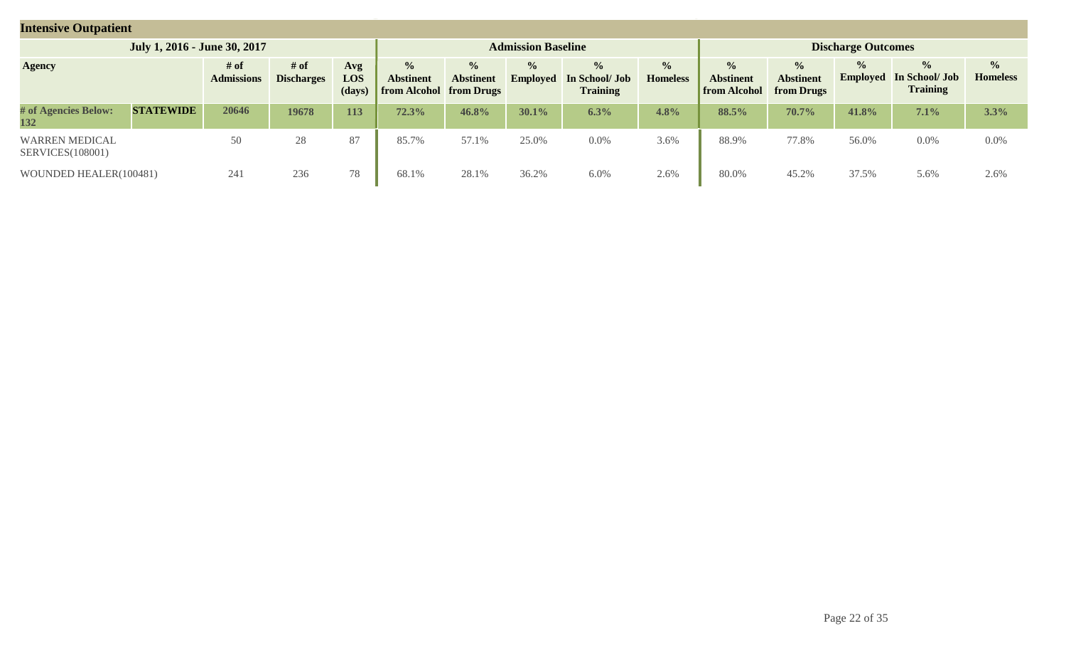| <b>Intensive Outpatient</b>                       |                                                                                |       |       |     |       |                                                              |                                  |                                                    |                                  |                                                          |                                                 |                                  |                                                    |                                  |
|---------------------------------------------------|--------------------------------------------------------------------------------|-------|-------|-----|-------|--------------------------------------------------------------|----------------------------------|----------------------------------------------------|----------------------------------|----------------------------------------------------------|-------------------------------------------------|----------------------------------|----------------------------------------------------|----------------------------------|
|                                                   | July 1, 2016 - June 30, 2017                                                   |       |       |     |       |                                                              | <b>Admission Baseline</b>        |                                                    |                                  |                                                          |                                                 | <b>Discharge Outcomes</b>        |                                                    |                                  |
| <b>Agency</b>                                     | # of<br># of<br>Avg<br>LOS<br><b>Admissions</b><br><b>Discharges</b><br>(days) |       |       |     |       | $\frac{0}{0}$<br><b>Abstinent</b><br>from Alcohol from Drugs | $\frac{0}{0}$<br><b>Employed</b> | $\frac{0}{0}$<br>In School/ Job<br><b>Training</b> | $\frac{0}{0}$<br><b>Homeless</b> | $\frac{1}{2}$<br><b>Abstinent</b><br><b>from Alcohol</b> | $\frac{0}{0}$<br><b>Abstinent</b><br>from Drugs | $\frac{1}{2}$<br><b>Employed</b> | $\frac{6}{6}$<br>In School/ Job<br><b>Training</b> | $\frac{6}{6}$<br><b>Homeless</b> |
| # of Agencies Below:<br>132                       | <b>STATEWIDE</b>                                                               | 20646 | 19678 | 113 | 72.3% | 46.8%                                                        | $30.1\%$                         | 6.3%                                               | 4.8%                             | 88.5%                                                    | 70.7%                                           | 41.8%                            | 7.1%                                               | 3.3%                             |
| <b>WARREN MEDICAL</b><br><b>SERVICES</b> (108001) |                                                                                | 50    | 28    | 87  | 85.7% | 57.1%                                                        | 25.0%                            | 0.0%                                               | 3.6%                             | 88.9%                                                    | 77.8%                                           | 56.0%                            | 0.0%                                               | $0.0\%$                          |
| WOUNDED HEALER(100481)                            |                                                                                | 241   | 236   | 78  | 68.1% | 28.1%                                                        | 36.2%                            | $6.0\%$                                            | 2.6%                             | 80.0%                                                    | 45.2%                                           | 37.5%                            | 5.6%                                               | 2.6%                             |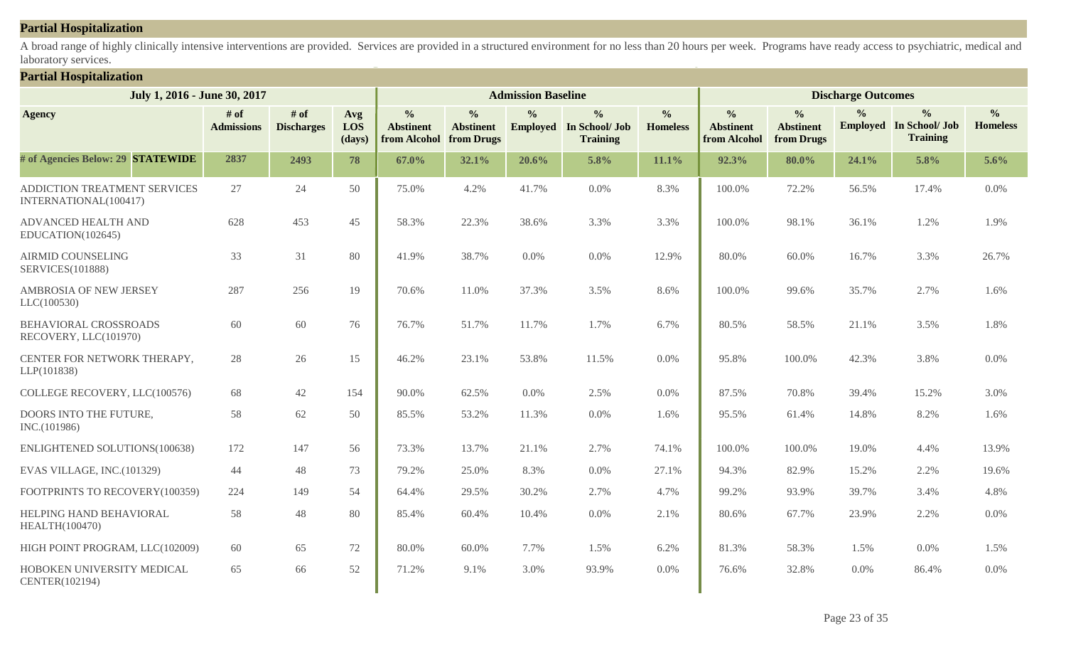#### **Partial Hospitalization**

A broad range of highly clinically intensive interventions are provided. Services are provided in a structured environment for no less than 20 hours per week. Programs have ready access to psychiatric, medical and laboratory services.

#### **Partial Hospitalization**

| July 1, 2016 - June 30, 2017                          |                           |                             |                      |                                                   |                                                 | <b>Admission Baseline</b> |                                                                    |                                  |                                                   |                                                 | <b>Discharge Outcomes</b> |                                                                    |                                  |
|-------------------------------------------------------|---------------------------|-----------------------------|----------------------|---------------------------------------------------|-------------------------------------------------|---------------------------|--------------------------------------------------------------------|----------------------------------|---------------------------------------------------|-------------------------------------------------|---------------------------|--------------------------------------------------------------------|----------------------------------|
| <b>Agency</b>                                         | # of<br><b>Admissions</b> | $#$ of<br><b>Discharges</b> | Avg<br>LOS<br>(days) | $\frac{0}{0}$<br><b>Abstinent</b><br>from Alcohol | $\frac{0}{0}$<br><b>Abstinent</b><br>from Drugs | $\frac{6}{6}$             | $\frac{0}{0}$<br><b>Employed</b> In School/ Job<br><b>Training</b> | $\frac{0}{0}$<br><b>Homeless</b> | $\frac{0}{0}$<br><b>Abstinent</b><br>from Alcohol | $\frac{0}{0}$<br><b>Abstinent</b><br>from Drugs | $\frac{0}{0}$             | $\frac{0}{0}$<br><b>Employed</b> In School/ Job<br><b>Training</b> | $\frac{0}{0}$<br><b>Homeless</b> |
| # of Agencies Below: 29 STATEWIDE                     | 2837                      | 2493                        | 78                   | 67.0%                                             | 32.1%                                           | 20.6%                     | 5.8%                                                               | 11.1%                            | 92.3%                                             | 80.0%                                           | 24.1%                     | 5.8%                                                               | 5.6%                             |
| ADDICTION TREATMENT SERVICES<br>INTERNATIONAL(100417) | 27                        | 24                          | 50                   | 75.0%                                             | 4.2%                                            | 41.7%                     | 0.0%                                                               | 8.3%                             | 100.0%                                            | 72.2%                                           | 56.5%                     | 17.4%                                                              | $0.0\%$                          |
| <b>ADVANCED HEALTH AND</b><br>EDUCATION(102645)       | 628                       | 453                         | 45                   | 58.3%                                             | 22.3%                                           | 38.6%                     | 3.3%                                                               | 3.3%                             | 100.0%                                            | 98.1%                                           | 36.1%                     | 1.2%                                                               | 1.9%                             |
| <b>AIRMID COUNSELING</b><br><b>SERVICES(101888)</b>   | 33                        | 31                          | 80                   | 41.9%                                             | 38.7%                                           | 0.0%                      | 0.0%                                                               | 12.9%                            | 80.0%                                             | 60.0%                                           | 16.7%                     | 3.3%                                                               | 26.7%                            |
| <b>AMBROSIA OF NEW JERSEY</b><br>LLC(100530)          | 287                       | 256                         | 19                   | 70.6%                                             | 11.0%                                           | 37.3%                     | 3.5%                                                               | 8.6%                             | 100.0%                                            | 99.6%                                           | 35.7%                     | 2.7%                                                               | 1.6%                             |
| BEHAVIORAL CROSSROADS<br>RECOVERY, LLC(101970)        | 60                        | 60                          | 76                   | 76.7%                                             | 51.7%                                           | 11.7%                     | 1.7%                                                               | 6.7%                             | 80.5%                                             | 58.5%                                           | 21.1%                     | 3.5%                                                               | 1.8%                             |
| CENTER FOR NETWORK THERAPY,<br>LLP(101838)            | 28                        | 26                          | 15                   | 46.2%                                             | 23.1%                                           | 53.8%                     | 11.5%                                                              | 0.0%                             | 95.8%                                             | 100.0%                                          | 42.3%                     | 3.8%                                                               | 0.0%                             |
| COLLEGE RECOVERY, LLC(100576)                         | 68                        | 42                          | 154                  | 90.0%                                             | 62.5%                                           | 0.0%                      | 2.5%                                                               | 0.0%                             | 87.5%                                             | 70.8%                                           | 39.4%                     | 15.2%                                                              | 3.0%                             |
| DOORS INTO THE FUTURE,<br>INC.(101986)                | 58                        | 62                          | 50                   | 85.5%                                             | 53.2%                                           | 11.3%                     | 0.0%                                                               | 1.6%                             | 95.5%                                             | 61.4%                                           | 14.8%                     | 8.2%                                                               | 1.6%                             |
| ENLIGHTENED SOLUTIONS(100638)                         | 172                       | 147                         | 56                   | 73.3%                                             | 13.7%                                           | 21.1%                     | 2.7%                                                               | 74.1%                            | 100.0%                                            | 100.0%                                          | 19.0%                     | 4.4%                                                               | 13.9%                            |
| EVAS VILLAGE, INC.(101329)                            | 44                        | 48                          | 73                   | 79.2%                                             | 25.0%                                           | 8.3%                      | 0.0%                                                               | 27.1%                            | 94.3%                                             | 82.9%                                           | 15.2%                     | 2.2%                                                               | 19.6%                            |
| FOOTPRINTS TO RECOVERY(100359)                        | 224                       | 149                         | 54                   | 64.4%                                             | 29.5%                                           | 30.2%                     | 2.7%                                                               | 4.7%                             | 99.2%                                             | 93.9%                                           | 39.7%                     | 3.4%                                                               | 4.8%                             |
| HELPING HAND BEHAVIORAL<br><b>HEALTH(100470)</b>      | 58                        | 48                          | 80                   | 85.4%                                             | 60.4%                                           | 10.4%                     | 0.0%                                                               | 2.1%                             | 80.6%                                             | 67.7%                                           | 23.9%                     | 2.2%                                                               | 0.0%                             |
| HIGH POINT PROGRAM, LLC(102009)                       | 60                        | 65                          | 72                   | 80.0%                                             | 60.0%                                           | 7.7%                      | 1.5%                                                               | 6.2%                             | 81.3%                                             | 58.3%                                           | 1.5%                      | 0.0%                                                               | 1.5%                             |
| HOBOKEN UNIVERSITY MEDICAL<br>CENTER(102194)          | 65                        | 66                          | 52                   | 71.2%                                             | 9.1%                                            | 3.0%                      | 93.9%                                                              | 0.0%                             | 76.6%                                             | 32.8%                                           | 0.0%                      | 86.4%                                                              | 0.0%                             |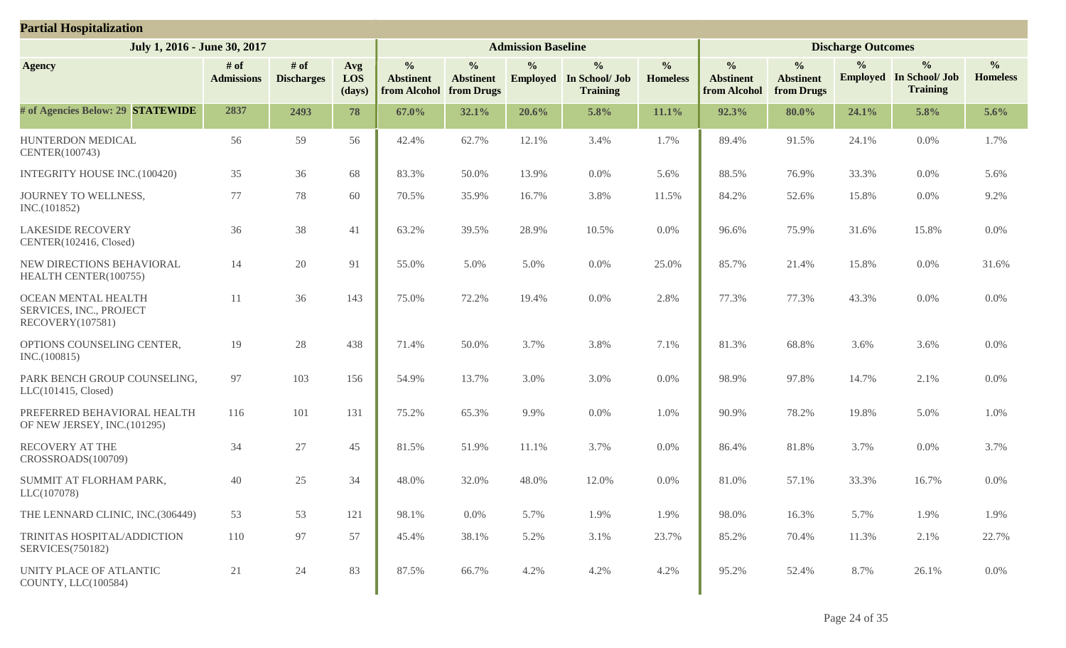| <b>Partial Hospitalization</b>                                     |                           |                           |                      |                                                   |                                                 |                           |                                                                    |                                  |                                                   |                                                 |                           |                                                                    |                                  |
|--------------------------------------------------------------------|---------------------------|---------------------------|----------------------|---------------------------------------------------|-------------------------------------------------|---------------------------|--------------------------------------------------------------------|----------------------------------|---------------------------------------------------|-------------------------------------------------|---------------------------|--------------------------------------------------------------------|----------------------------------|
| July 1, 2016 - June 30, 2017                                       |                           |                           |                      |                                                   |                                                 | <b>Admission Baseline</b> |                                                                    |                                  |                                                   |                                                 | <b>Discharge Outcomes</b> |                                                                    |                                  |
| <b>Agency</b>                                                      | # of<br><b>Admissions</b> | # of<br><b>Discharges</b> | Avg<br>LOS<br>(days) | $\frac{0}{0}$<br><b>Abstinent</b><br>from Alcohol | $\frac{0}{0}$<br><b>Abstinent</b><br>from Drugs | $\frac{6}{6}$             | $\frac{0}{0}$<br><b>Employed</b> In School/ Job<br><b>Training</b> | $\frac{0}{0}$<br><b>Homeless</b> | $\frac{0}{0}$<br><b>Abstinent</b><br>from Alcohol | $\frac{0}{0}$<br><b>Abstinent</b><br>from Drugs | $\frac{6}{9}$             | $\frac{0}{0}$<br><b>Employed</b> In School/ Job<br><b>Training</b> | $\frac{0}{0}$<br><b>Homeless</b> |
| # of Agencies Below: 29 STATEWIDE                                  | 2837                      | 2493                      | 78                   | 67.0%                                             | 32.1%                                           | 20.6%                     | 5.8%                                                               | 11.1%                            | 92.3%                                             | $80.0\%$                                        | 24.1%                     | 5.8%                                                               | 5.6%                             |
| HUNTERDON MEDICAL<br>CENTER(100743)                                | 56                        | 59                        | 56                   | 42.4%                                             | 62.7%                                           | 12.1%                     | 3.4%                                                               | 1.7%                             | 89.4%                                             | 91.5%                                           | 24.1%                     | 0.0%                                                               | 1.7%                             |
| <b>INTEGRITY HOUSE INC.(100420)</b>                                | 35                        | 36                        | 68                   | 83.3%                                             | 50.0%                                           | 13.9%                     | $0.0\%$                                                            | 5.6%                             | 88.5%                                             | 76.9%                                           | 33.3%                     | 0.0%                                                               | 5.6%                             |
| JOURNEY TO WELLNESS,<br>INC.(101852)                               | 77                        | 78                        | 60                   | 70.5%                                             | 35.9%                                           | 16.7%                     | 3.8%                                                               | 11.5%                            | 84.2%                                             | 52.6%                                           | 15.8%                     | 0.0%                                                               | 9.2%                             |
| <b>LAKESIDE RECOVERY</b><br>CENTER(102416, Closed)                 | 36                        | 38                        | 41                   | 63.2%                                             | 39.5%                                           | 28.9%                     | 10.5%                                                              | 0.0%                             | 96.6%                                             | 75.9%                                           | 31.6%                     | 15.8%                                                              | 0.0%                             |
| NEW DIRECTIONS BEHAVIORAL<br>HEALTH CENTER(100755)                 | 14                        | 20                        | 91                   | 55.0%                                             | 5.0%                                            | 5.0%                      | $0.0\%$                                                            | 25.0%                            | 85.7%                                             | 21.4%                                           | 15.8%                     | 0.0%                                                               | 31.6%                            |
| OCEAN MENTAL HEALTH<br>SERVICES, INC., PROJECT<br>RECOVERY(107581) | 11                        | 36                        | 143                  | 75.0%                                             | 72.2%                                           | 19.4%                     | $0.0\%$                                                            | 2.8%                             | 77.3%                                             | 77.3%                                           | 43.3%                     | 0.0%                                                               | 0.0%                             |
| OPTIONS COUNSELING CENTER,<br>INC.(100815)                         | 19                        | 28                        | 438                  | 71.4%                                             | 50.0%                                           | 3.7%                      | 3.8%                                                               | 7.1%                             | 81.3%                                             | 68.8%                                           | 3.6%                      | 3.6%                                                               | 0.0%                             |
| PARK BENCH GROUP COUNSELING,<br>LLC(101415, Closed)                | 97                        | 103                       | 156                  | 54.9%                                             | 13.7%                                           | 3.0%                      | 3.0%                                                               | 0.0%                             | 98.9%                                             | 97.8%                                           | 14.7%                     | 2.1%                                                               | 0.0%                             |
| PREFERRED BEHAVIORAL HEALTH<br>OF NEW JERSEY, INC.(101295)         | 116                       | 101                       | 131                  | 75.2%                                             | 65.3%                                           | 9.9%                      | $0.0\%$                                                            | 1.0%                             | 90.9%                                             | 78.2%                                           | 19.8%                     | 5.0%                                                               | 1.0%                             |
| <b>RECOVERY AT THE</b><br>CROSSROADS(100709)                       | 34                        | 27                        | 45                   | 81.5%                                             | 51.9%                                           | 11.1%                     | 3.7%                                                               | 0.0%                             | 86.4%                                             | 81.8%                                           | 3.7%                      | 0.0%                                                               | 3.7%                             |
| SUMMIT AT FLORHAM PARK,<br>LLC(107078)                             | 40                        | 25                        | 34                   | 48.0%                                             | 32.0%                                           | 48.0%                     | 12.0%                                                              | 0.0%                             | 81.0%                                             | 57.1%                                           | 33.3%                     | 16.7%                                                              | 0.0%                             |
| THE LENNARD CLINIC, INC.(306449)                                   | 53                        | 53                        | 121                  | 98.1%                                             | 0.0%                                            | 5.7%                      | 1.9%                                                               | 1.9%                             | 98.0%                                             | 16.3%                                           | 5.7%                      | 1.9%                                                               | 1.9%                             |
| TRINITAS HOSPITAL/ADDICTION<br><b>SERVICES(750182)</b>             | 110                       | 97                        | 57                   | 45.4%                                             | 38.1%                                           | 5.2%                      | 3.1%                                                               | 23.7%                            | 85.2%                                             | 70.4%                                           | 11.3%                     | 2.1%                                                               | 22.7%                            |
| UNITY PLACE OF ATLANTIC<br>COUNTY, LLC(100584)                     | 21                        | 24                        | 83                   | 87.5%                                             | 66.7%                                           | 4.2%                      | 4.2%                                                               | 4.2%                             | 95.2%                                             | 52.4%                                           | 8.7%                      | 26.1%                                                              | $0.0\%$                          |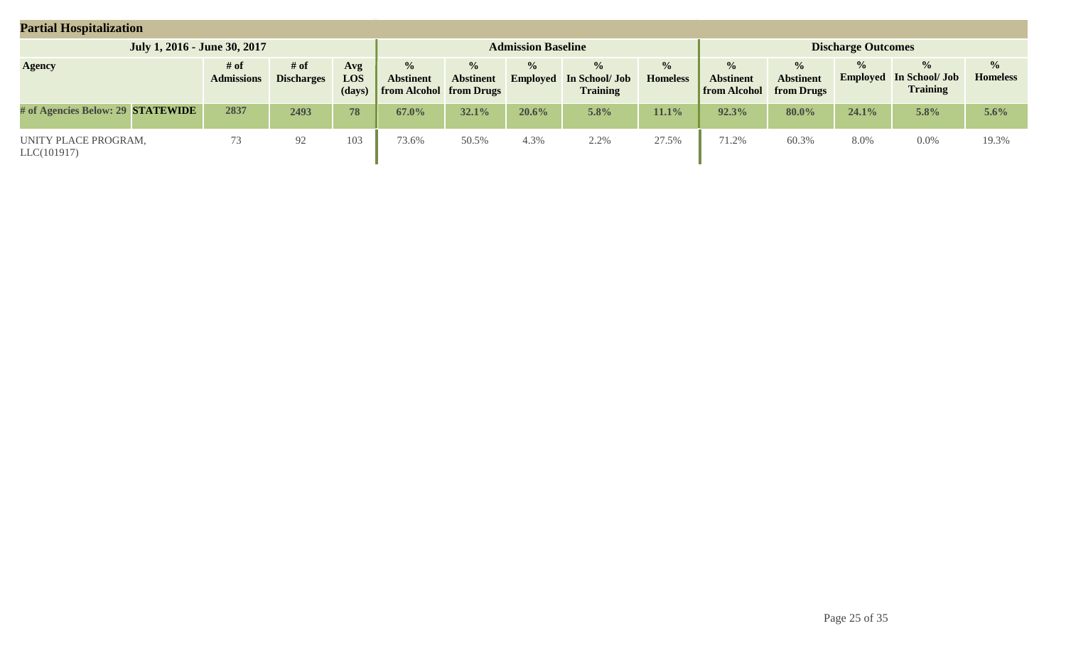| <b>Partial Hospitalization</b>      |                           |                           |                      |                                                                     |                                   |                                  |                                                    |                                  |                                                          |                                                        |                                  |                                                    |                                  |
|-------------------------------------|---------------------------|---------------------------|----------------------|---------------------------------------------------------------------|-----------------------------------|----------------------------------|----------------------------------------------------|----------------------------------|----------------------------------------------------------|--------------------------------------------------------|----------------------------------|----------------------------------------------------|----------------------------------|
| July 1, 2016 - June 30, 2017        |                           |                           |                      |                                                                     |                                   | <b>Admission Baseline</b>        |                                                    |                                  |                                                          |                                                        | <b>Discharge Outcomes</b>        |                                                    |                                  |
| <b>Agency</b>                       | # of<br><b>Admissions</b> | # of<br><b>Discharges</b> | Avg<br>LOS<br>(days) | $\frac{0}{0}$<br><b>Abstinent</b><br><b>from Alcohol from Drugs</b> | $\frac{0}{0}$<br><b>Abstinent</b> | $\frac{0}{0}$<br><b>Employed</b> | $\frac{0}{0}$<br>In School/ Job<br><b>Training</b> | $\frac{0}{0}$<br><b>Homeless</b> | $\frac{0}{0}$<br><b>Abstinent</b><br><b>from Alcohol</b> | $\frac{0}{0}$<br><b>Abstinent</b><br><b>from Drugs</b> | $\frac{0}{0}$<br><b>Employed</b> | $\frac{0}{0}$<br>In School/ Job<br><b>Training</b> | $\frac{0}{0}$<br><b>Homeless</b> |
| # of Agencies Below: 29 STATEWIDE   | 2837                      | 2493                      | 78                   | 67.0%                                                               | 32.1%                             | $20.6\%$                         | 5.8%                                               | $11.1\%$                         | 92.3%                                                    | 80.0%                                                  | 24.1%                            | 5.8%                                               | $5.6\%$                          |
| UNITY PLACE PROGRAM,<br>LLC(101917) | 73                        | 92                        | 103                  | 73.6%                                                               | 50.5%                             | 4.3%                             | 2.2%                                               | 27.5%                            | 71.2%                                                    | 60.3%                                                  | 8.0%                             | $0.0\%$                                            | 19.3%                            |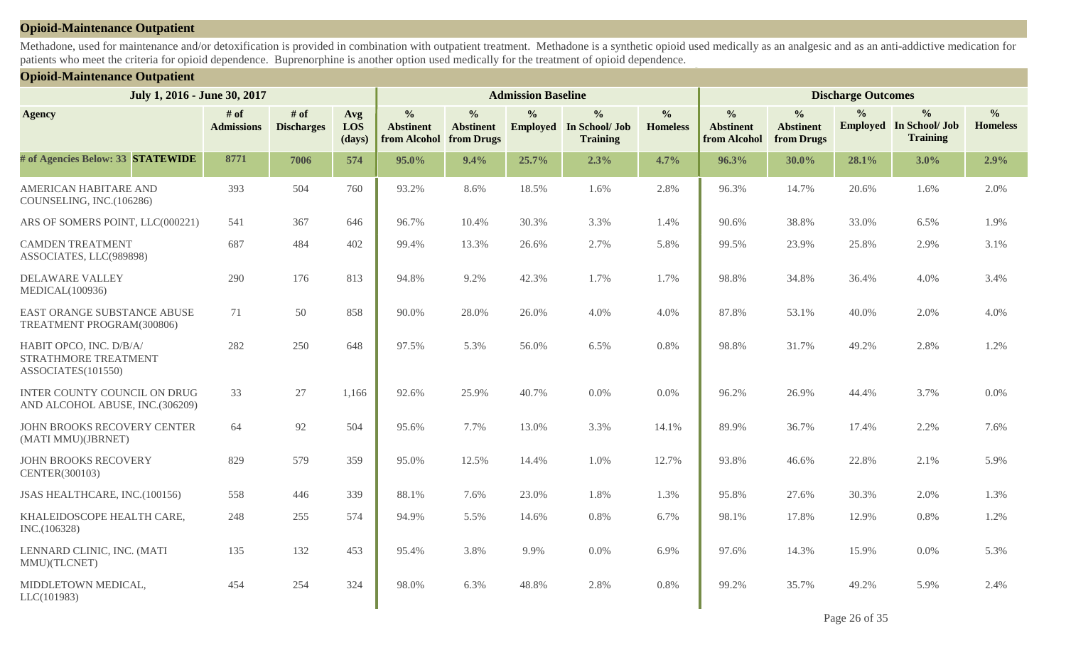#### **Opioid-Maintenance Outpatient**

Methadone, used for maintenance and/or detoxification is provided in combination with outpatient treatment. Methadone is a synthetic opioid used medically as an analgesic and as an anti-addictive medication for patients who meet the criteria for opioid dependence. Buprenorphine is another option used medically for the treatment of opioid dependence.

#### **Opioid-Maintenance Outpatient**

| July 1, 2016 - June 30, 2017                                           |                             |                             |                      | <b>Admission Baseline</b>                         |                                                 | <b>Discharge Outcomes</b> |                                                                    |                                  |                                                   |                                                 |               |                                                                    |                                  |
|------------------------------------------------------------------------|-----------------------------|-----------------------------|----------------------|---------------------------------------------------|-------------------------------------------------|---------------------------|--------------------------------------------------------------------|----------------------------------|---------------------------------------------------|-------------------------------------------------|---------------|--------------------------------------------------------------------|----------------------------------|
| <b>Agency</b>                                                          | $#$ of<br><b>Admissions</b> | $#$ of<br><b>Discharges</b> | Avg<br>LOS<br>(days) | $\frac{0}{0}$<br><b>Abstinent</b><br>from Alcohol | $\frac{0}{0}$<br><b>Abstinent</b><br>from Drugs | $\frac{0}{0}$             | $\frac{0}{0}$<br><b>Employed</b> In School/ Job<br><b>Training</b> | $\frac{0}{0}$<br><b>Homeless</b> | $\frac{0}{0}$<br><b>Abstinent</b><br>from Alcohol | $\frac{0}{0}$<br><b>Abstinent</b><br>from Drugs | $\frac{0}{0}$ | $\frac{0}{0}$<br><b>Employed</b> In School/ Job<br><b>Training</b> | $\frac{0}{0}$<br><b>Homeless</b> |
| # of Agencies Below: 33 STATEWIDE                                      | 8771                        | 7006                        | 574                  | 95.0%                                             | 9.4%                                            | 25.7%                     | 2.3%                                                               | 4.7%                             | 96.3%                                             | $30.0\%$                                        | 28.1%         | $3.0\%$                                                            | 2.9%                             |
| AMERICAN HABITARE AND<br>COUNSELING, INC.(106286)                      | 393                         | 504                         | 760                  | 93.2%                                             | 8.6%                                            | 18.5%                     | 1.6%                                                               | 2.8%                             | 96.3%                                             | 14.7%                                           | 20.6%         | 1.6%                                                               | 2.0%                             |
| ARS OF SOMERS POINT, LLC(000221)                                       | 541                         | 367                         | 646                  | 96.7%                                             | 10.4%                                           | 30.3%                     | 3.3%                                                               | 1.4%                             | 90.6%                                             | 38.8%                                           | 33.0%         | 6.5%                                                               | 1.9%                             |
| <b>CAMDEN TREATMENT</b><br>ASSOCIATES, LLC(989898)                     | 687                         | 484                         | 402                  | 99.4%                                             | 13.3%                                           | 26.6%                     | 2.7%                                                               | 5.8%                             | 99.5%                                             | 23.9%                                           | 25.8%         | 2.9%                                                               | 3.1%                             |
| <b>DELAWARE VALLEY</b><br><b>MEDICAL(100936)</b>                       | 290                         | 176                         | 813                  | 94.8%                                             | 9.2%                                            | 42.3%                     | 1.7%                                                               | 1.7%                             | 98.8%                                             | 34.8%                                           | 36.4%         | 4.0%                                                               | 3.4%                             |
| EAST ORANGE SUBSTANCE ABUSE<br>TREATMENT PROGRAM(300806)               | 71                          | 50                          | 858                  | 90.0%                                             | 28.0%                                           | 26.0%                     | 4.0%                                                               | 4.0%                             | 87.8%                                             | 53.1%                                           | 40.0%         | 2.0%                                                               | 4.0%                             |
| HABIT OPCO, INC. D/B/A/<br>STRATHMORE TREATMENT<br>ASSOCIATES(101550)  | 282                         | 250                         | 648                  | 97.5%                                             | 5.3%                                            | 56.0%                     | 6.5%                                                               | 0.8%                             | 98.8%                                             | 31.7%                                           | 49.2%         | 2.8%                                                               | 1.2%                             |
| <b>INTER COUNTY COUNCIL ON DRUG</b><br>AND ALCOHOL ABUSE, INC.(306209) | 33                          | 27                          | 1,166                | 92.6%                                             | 25.9%                                           | 40.7%                     | 0.0%                                                               | 0.0%                             | 96.2%                                             | 26.9%                                           | 44.4%         | 3.7%                                                               | 0.0%                             |
| JOHN BROOKS RECOVERY CENTER<br>(MATI MMU)(JBRNET)                      | 64                          | 92                          | 504                  | 95.6%                                             | 7.7%                                            | 13.0%                     | 3.3%                                                               | 14.1%                            | 89.9%                                             | 36.7%                                           | 17.4%         | 2.2%                                                               | 7.6%                             |
| <b>JOHN BROOKS RECOVERY</b><br>CENTER(300103)                          | 829                         | 579                         | 359                  | 95.0%                                             | 12.5%                                           | 14.4%                     | 1.0%                                                               | 12.7%                            | 93.8%                                             | 46.6%                                           | 22.8%         | 2.1%                                                               | 5.9%                             |
| JSAS HEALTHCARE, INC.(100156)                                          | 558                         | 446                         | 339                  | 88.1%                                             | 7.6%                                            | 23.0%                     | 1.8%                                                               | 1.3%                             | 95.8%                                             | 27.6%                                           | 30.3%         | 2.0%                                                               | 1.3%                             |
| KHALEIDOSCOPE HEALTH CARE,<br>INC.(106328)                             | 248                         | 255                         | 574                  | 94.9%                                             | 5.5%                                            | 14.6%                     | 0.8%                                                               | 6.7%                             | 98.1%                                             | 17.8%                                           | 12.9%         | 0.8%                                                               | 1.2%                             |
| LENNARD CLINIC, INC. (MATI<br>MMU)(TLCNET)                             | 135                         | 132                         | 453                  | 95.4%                                             | 3.8%                                            | 9.9%                      | 0.0%                                                               | 6.9%                             | 97.6%                                             | 14.3%                                           | 15.9%         | 0.0%                                                               | 5.3%                             |
| MIDDLETOWN MEDICAL,<br>LLC(101983)                                     | 454                         | 254                         | 324                  | 98.0%                                             | 6.3%                                            | 48.8%                     | 2.8%                                                               | 0.8%                             | 99.2%                                             | 35.7%                                           | 49.2%         | 5.9%                                                               | 2.4%                             |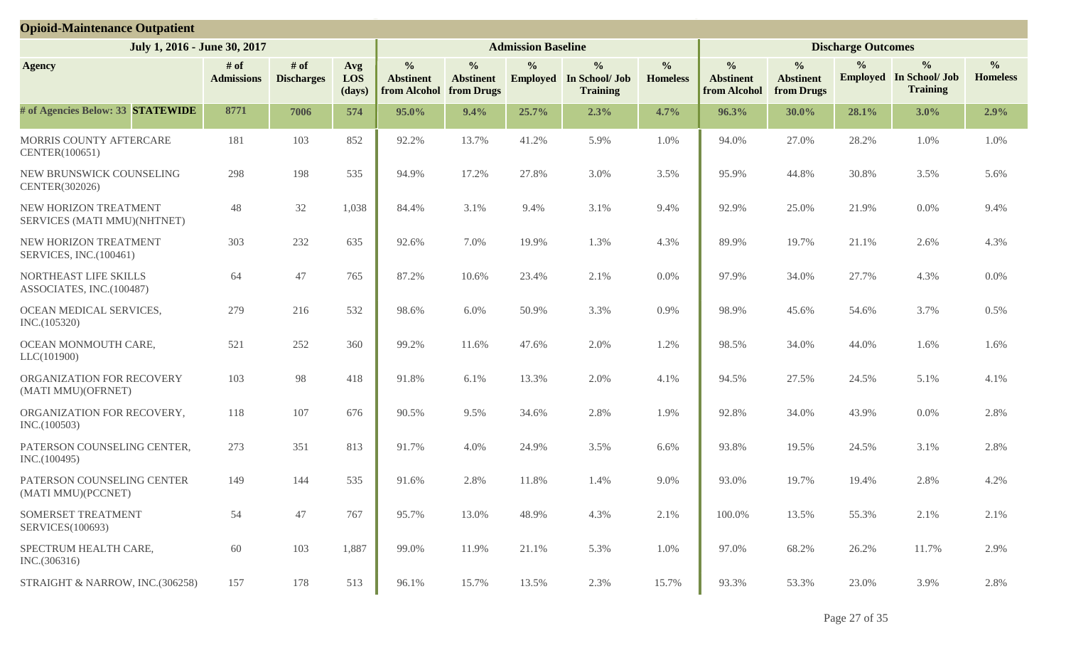| <b>Opioid-Maintenance Outpatient</b>                 |                           |                             |                      |                                                   |                                                 |                           |                                                                    |                                  |                                                   |                                                 |                           |                                                                    |                                  |
|------------------------------------------------------|---------------------------|-----------------------------|----------------------|---------------------------------------------------|-------------------------------------------------|---------------------------|--------------------------------------------------------------------|----------------------------------|---------------------------------------------------|-------------------------------------------------|---------------------------|--------------------------------------------------------------------|----------------------------------|
| July 1, 2016 - June 30, 2017                         |                           |                             |                      |                                                   |                                                 | <b>Admission Baseline</b> |                                                                    |                                  |                                                   |                                                 | <b>Discharge Outcomes</b> |                                                                    |                                  |
| <b>Agency</b>                                        | # of<br><b>Admissions</b> | $#$ of<br><b>Discharges</b> | Avg<br>LOS<br>(days) | $\frac{0}{0}$<br><b>Abstinent</b><br>from Alcohol | $\frac{0}{0}$<br><b>Abstinent</b><br>from Drugs | $\frac{0}{0}$             | $\frac{0}{0}$<br><b>Employed</b> In School/ Job<br><b>Training</b> | $\frac{0}{0}$<br><b>Homeless</b> | $\frac{0}{0}$<br><b>Abstinent</b><br>from Alcohol | $\frac{0}{0}$<br><b>Abstinent</b><br>from Drugs | $\frac{0}{0}$             | $\frac{0}{0}$<br><b>Employed</b> In School/ Job<br><b>Training</b> | $\frac{0}{0}$<br><b>Homeless</b> |
| # of Agencies Below: 33 STATEWIDE                    | 8771                      | 7006                        | 574                  | 95.0%                                             | 9.4%                                            | 25.7%                     | 2.3%                                                               | 4.7%                             | 96.3%                                             | 30.0%                                           | 28.1%                     | 3.0%                                                               | 2.9%                             |
| MORRIS COUNTY AFTERCARE<br>CENTER(100651)            | 181                       | 103                         | 852                  | 92.2%                                             | 13.7%                                           | 41.2%                     | 5.9%                                                               | 1.0%                             | 94.0%                                             | 27.0%                                           | 28.2%                     | 1.0%                                                               | 1.0%                             |
| NEW BRUNSWICK COUNSELING<br>CENTER(302026)           | 298                       | 198                         | 535                  | 94.9%                                             | 17.2%                                           | 27.8%                     | 3.0%                                                               | 3.5%                             | 95.9%                                             | 44.8%                                           | 30.8%                     | 3.5%                                                               | 5.6%                             |
| NEW HORIZON TREATMENT<br>SERVICES (MATI MMU)(NHTNET) | 48                        | 32                          | 1,038                | 84.4%                                             | 3.1%                                            | 9.4%                      | 3.1%                                                               | 9.4%                             | 92.9%                                             | 25.0%                                           | 21.9%                     | 0.0%                                                               | 9.4%                             |
| NEW HORIZON TREATMENT<br>SERVICES, INC.(100461)      | 303                       | 232                         | 635                  | 92.6%                                             | 7.0%                                            | 19.9%                     | 1.3%                                                               | 4.3%                             | 89.9%                                             | 19.7%                                           | 21.1%                     | 2.6%                                                               | 4.3%                             |
| NORTHEAST LIFE SKILLS<br>ASSOCIATES, INC.(100487)    | 64                        | 47                          | 765                  | 87.2%                                             | 10.6%                                           | 23.4%                     | 2.1%                                                               | $0.0\%$                          | 97.9%                                             | 34.0%                                           | 27.7%                     | 4.3%                                                               | 0.0%                             |
| OCEAN MEDICAL SERVICES,<br>INC.(105320)              | 279                       | 216                         | 532                  | 98.6%                                             | 6.0%                                            | 50.9%                     | 3.3%                                                               | 0.9%                             | 98.9%                                             | 45.6%                                           | 54.6%                     | 3.7%                                                               | 0.5%                             |
| OCEAN MONMOUTH CARE,<br>LLC(101900)                  | 521                       | 252                         | 360                  | 99.2%                                             | 11.6%                                           | 47.6%                     | 2.0%                                                               | 1.2%                             | 98.5%                                             | 34.0%                                           | 44.0%                     | 1.6%                                                               | 1.6%                             |
| ORGANIZATION FOR RECOVERY<br>(MATI MMU)(OFRNET)      | 103                       | 98                          | 418                  | 91.8%                                             | 6.1%                                            | 13.3%                     | 2.0%                                                               | 4.1%                             | 94.5%                                             | 27.5%                                           | 24.5%                     | 5.1%                                                               | 4.1%                             |
| ORGANIZATION FOR RECOVERY,<br>INC.(100503)           | 118                       | 107                         | 676                  | 90.5%                                             | 9.5%                                            | 34.6%                     | 2.8%                                                               | 1.9%                             | 92.8%                                             | 34.0%                                           | 43.9%                     | 0.0%                                                               | 2.8%                             |
| PATERSON COUNSELING CENTER,<br>INC.(100495)          | 273                       | 351                         | 813                  | 91.7%                                             | 4.0%                                            | 24.9%                     | 3.5%                                                               | 6.6%                             | 93.8%                                             | 19.5%                                           | 24.5%                     | 3.1%                                                               | 2.8%                             |
| PATERSON COUNSELING CENTER<br>(MATI MMU)(PCCNET)     | 149                       | 144                         | 535                  | 91.6%                                             | 2.8%                                            | 11.8%                     | 1.4%                                                               | 9.0%                             | 93.0%                                             | 19.7%                                           | 19.4%                     | 2.8%                                                               | 4.2%                             |
| SOMERSET TREATMENT<br>SERVICES(100693)               | 54                        | 47                          | 767                  | 95.7%                                             | 13.0%                                           | 48.9%                     | 4.3%                                                               | 2.1%                             | 100.0%                                            | 13.5%                                           | 55.3%                     | 2.1%                                                               | 2.1%                             |
| SPECTRUM HEALTH CARE,<br>INC.(306316)                | 60                        | 103                         | 1,887                | 99.0%                                             | 11.9%                                           | 21.1%                     | 5.3%                                                               | 1.0%                             | 97.0%                                             | 68.2%                                           | 26.2%                     | 11.7%                                                              | 2.9%                             |
| STRAIGHT & NARROW, INC.(306258)                      | 157                       | 178                         | 513                  | 96.1%                                             | 15.7%                                           | 13.5%                     | 2.3%                                                               | 15.7%                            | 93.3%                                             | 53.3%                                           | 23.0%                     | 3.9%                                                               | 2.8%                             |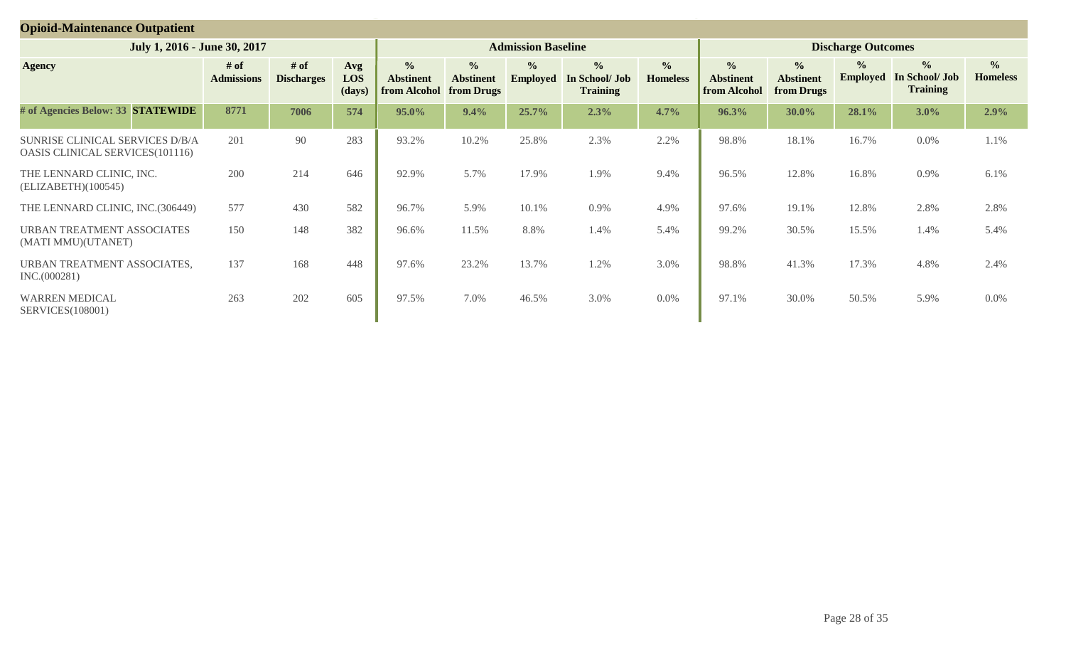| <b>Opioid-Maintenance Outpatient</b>                               |                           |                           |                      |                                                          |                                                        |                                  |                                                    |                                  |                                                          |                                                 |                                  |                                                    |                                   |
|--------------------------------------------------------------------|---------------------------|---------------------------|----------------------|----------------------------------------------------------|--------------------------------------------------------|----------------------------------|----------------------------------------------------|----------------------------------|----------------------------------------------------------|-------------------------------------------------|----------------------------------|----------------------------------------------------|-----------------------------------|
| July 1, 2016 - June 30, 2017                                       |                           |                           |                      |                                                          |                                                        | <b>Admission Baseline</b>        |                                                    |                                  |                                                          |                                                 | <b>Discharge Outcomes</b>        |                                                    |                                   |
| <b>Agency</b>                                                      | # of<br><b>Admissions</b> | # of<br><b>Discharges</b> | Avg<br>LOS<br>(days) | $\frac{0}{0}$<br><b>Abstinent</b><br><b>from Alcohol</b> | $\frac{6}{6}$<br><b>Abstinent</b><br><b>from Drugs</b> | $\frac{0}{0}$<br><b>Employed</b> | $\frac{0}{0}$<br>In School/ Job<br><b>Training</b> | $\frac{0}{0}$<br><b>Homeless</b> | $\frac{0}{0}$<br><b>Abstinent</b><br><b>from Alcohol</b> | $\frac{0}{0}$<br><b>Abstinent</b><br>from Drugs | $\frac{0}{0}$<br><b>Employed</b> | $\frac{6}{6}$<br>In School/ Job<br><b>Training</b> | $\frac{6}{10}$<br><b>Homeless</b> |
| # of Agencies Below: 33 STATEWIDE                                  | 8771                      | 7006                      | 574                  | 95.0%                                                    | 9.4%                                                   | 25.7%                            | 2.3%                                               | 4.7%                             | 96.3%                                                    | 30.0%                                           | 28.1%                            | $3.0\%$                                            | 2.9%                              |
| SUNRISE CLINICAL SERVICES D/B/A<br>OASIS CLINICAL SERVICES(101116) | 201                       | 90                        | 283                  | 93.2%                                                    | 10.2%                                                  | 25.8%                            | 2.3%                                               | 2.2%                             | 98.8%                                                    | 18.1%                                           | 16.7%                            | 0.0%                                               | 1.1%                              |
| THE LENNARD CLINIC, INC.<br>(ELIZABETH)(100545)                    | 200                       | 214                       | 646                  | 92.9%                                                    | 5.7%                                                   | 17.9%                            | 1.9%                                               | 9.4%                             | 96.5%                                                    | 12.8%                                           | 16.8%                            | 0.9%                                               | 6.1%                              |
| THE LENNARD CLINIC, INC.(306449)                                   | 577                       | 430                       | 582                  | 96.7%                                                    | 5.9%                                                   | 10.1%                            | 0.9%                                               | 4.9%                             | 97.6%                                                    | 19.1%                                           | 12.8%                            | 2.8%                                               | 2.8%                              |
| URBAN TREATMENT ASSOCIATES<br>(MATI MMU)(UTANET)                   | 150                       | 148                       | 382                  | 96.6%                                                    | 11.5%                                                  | 8.8%                             | 1.4%                                               | 5.4%                             | 99.2%                                                    | 30.5%                                           | 15.5%                            | 1.4%                                               | 5.4%                              |
| URBAN TREATMENT ASSOCIATES,<br>INC.(000281)                        | 137                       | 168                       | 448                  | 97.6%                                                    | 23.2%                                                  | 13.7%                            | 1.2%                                               | 3.0%                             | 98.8%                                                    | 41.3%                                           | 17.3%                            | 4.8%                                               | 2.4%                              |
| <b>WARREN MEDICAL</b><br><b>SERVICES</b> (108001)                  | 263                       | 202                       | 605                  | 97.5%                                                    | 7.0%                                                   | 46.5%                            | 3.0%                                               | $0.0\%$                          | 97.1%                                                    | 30.0%                                           | 50.5%                            | 5.9%                                               | $0.0\%$                           |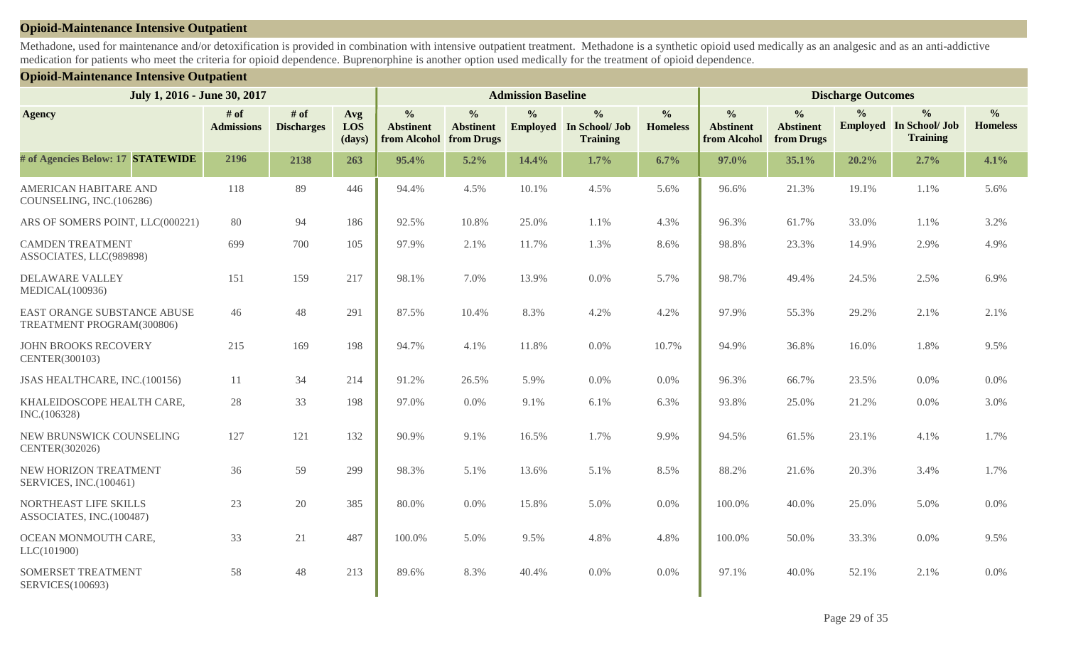#### **Opioid-Maintenance Intensive Outpatient**

Methadone, used for maintenance and/or detoxification is provided in combination with intensive outpatient treatment. Methadone is a synthetic opioid used medically as an analgesic and as an anti-addictive medication for patients who meet the criteria for opioid dependence. Buprenorphine is another option used medically for the treatment of opioid dependence.

#### **Opioid-Maintenance Intensive Outpatient**

| July 1, 2016 - June 30, 2017                             |                           |                           |                      | <b>Admission Baseline</b>                         |                                                 | <b>Discharge Outcomes</b> |                                                                    |                                  |                                                   |                                                 |               |                                                                    |                                  |
|----------------------------------------------------------|---------------------------|---------------------------|----------------------|---------------------------------------------------|-------------------------------------------------|---------------------------|--------------------------------------------------------------------|----------------------------------|---------------------------------------------------|-------------------------------------------------|---------------|--------------------------------------------------------------------|----------------------------------|
| <b>Agency</b>                                            | # of<br><b>Admissions</b> | # of<br><b>Discharges</b> | Avg<br>LOS<br>(days) | $\frac{0}{0}$<br><b>Abstinent</b><br>from Alcohol | $\frac{0}{0}$<br><b>Abstinent</b><br>from Drugs | $\frac{0}{0}$             | $\frac{0}{0}$<br><b>Employed</b> In School/ Job<br><b>Training</b> | $\frac{0}{0}$<br><b>Homeless</b> | $\frac{0}{0}$<br><b>Abstinent</b><br>from Alcohol | $\frac{0}{0}$<br><b>Abstinent</b><br>from Drugs | $\frac{0}{0}$ | $\frac{0}{0}$<br><b>Employed</b> In School/ Job<br><b>Training</b> | $\frac{0}{0}$<br><b>Homeless</b> |
| # of Agencies Below: 17 STATEWIDE                        | 2196                      | 2138                      | 263                  | 95.4%                                             | 5.2%                                            | 14.4%                     | 1.7%                                                               | 6.7%                             | 97.0%                                             | 35.1%                                           | 20.2%         | 2.7%                                                               | 4.1%                             |
| <b>AMERICAN HABITARE AND</b><br>COUNSELING, INC.(106286) | 118                       | 89                        | 446                  | 94.4%                                             | 4.5%                                            | 10.1%                     | 4.5%                                                               | 5.6%                             | 96.6%                                             | 21.3%                                           | 19.1%         | 1.1%                                                               | 5.6%                             |
| ARS OF SOMERS POINT, LLC(000221)                         | 80                        | 94                        | 186                  | 92.5%                                             | 10.8%                                           | 25.0%                     | 1.1%                                                               | 4.3%                             | 96.3%                                             | 61.7%                                           | 33.0%         | 1.1%                                                               | 3.2%                             |
| <b>CAMDEN TREATMENT</b><br>ASSOCIATES, LLC(989898)       | 699                       | 700                       | 105                  | 97.9%                                             | 2.1%                                            | 11.7%                     | 1.3%                                                               | 8.6%                             | 98.8%                                             | 23.3%                                           | 14.9%         | 2.9%                                                               | 4.9%                             |
| DELAWARE VALLEY<br>MEDICAL(100936)                       | 151                       | 159                       | 217                  | 98.1%                                             | 7.0%                                            | 13.9%                     | 0.0%                                                               | 5.7%                             | 98.7%                                             | 49.4%                                           | 24.5%         | 2.5%                                                               | 6.9%                             |
| EAST ORANGE SUBSTANCE ABUSE<br>TREATMENT PROGRAM(300806) | 46                        | 48                        | 291                  | 87.5%                                             | 10.4%                                           | 8.3%                      | 4.2%                                                               | 4.2%                             | 97.9%                                             | 55.3%                                           | 29.2%         | 2.1%                                                               | 2.1%                             |
| <b>JOHN BROOKS RECOVERY</b><br>CENTER(300103)            | 215                       | 169                       | 198                  | 94.7%                                             | 4.1%                                            | 11.8%                     | 0.0%                                                               | 10.7%                            | 94.9%                                             | 36.8%                                           | 16.0%         | 1.8%                                                               | 9.5%                             |
| JSAS HEALTHCARE, INC.(100156)                            | 11                        | 34                        | 214                  | 91.2%                                             | 26.5%                                           | 5.9%                      | 0.0%                                                               | $0.0\%$                          | 96.3%                                             | 66.7%                                           | 23.5%         | 0.0%                                                               | 0.0%                             |
| KHALEIDOSCOPE HEALTH CARE,<br>INC.(106328)               | 28                        | 33                        | 198                  | 97.0%                                             | 0.0%                                            | 9.1%                      | 6.1%                                                               | 6.3%                             | 93.8%                                             | 25.0%                                           | 21.2%         | 0.0%                                                               | 3.0%                             |
| NEW BRUNSWICK COUNSELING<br>CENTER(302026)               | 127                       | 121                       | 132                  | 90.9%                                             | 9.1%                                            | 16.5%                     | 1.7%                                                               | 9.9%                             | 94.5%                                             | 61.5%                                           | 23.1%         | 4.1%                                                               | 1.7%                             |
| NEW HORIZON TREATMENT<br>SERVICES, INC.(100461)          | 36                        | 59                        | 299                  | 98.3%                                             | 5.1%                                            | 13.6%                     | 5.1%                                                               | 8.5%                             | 88.2%                                             | 21.6%                                           | 20.3%         | 3.4%                                                               | 1.7%                             |
| NORTHEAST LIFE SKILLS<br>ASSOCIATES, INC.(100487)        | 23                        | 20                        | 385                  | 80.0%                                             | 0.0%                                            | 15.8%                     | 5.0%                                                               | $0.0\%$                          | 100.0%                                            | 40.0%                                           | 25.0%         | 5.0%                                                               | 0.0%                             |
| OCEAN MONMOUTH CARE,<br>LLC(101900)                      | 33                        | 21                        | 487                  | 100.0%                                            | 5.0%                                            | 9.5%                      | 4.8%                                                               | 4.8%                             | 100.0%                                            | 50.0%                                           | 33.3%         | 0.0%                                                               | 9.5%                             |
| SOMERSET TREATMENT<br>SERVICES(100693)                   | 58                        | 48                        | 213                  | 89.6%                                             | 8.3%                                            | 40.4%                     | $0.0\%$                                                            | 0.0%                             | 97.1%                                             | 40.0%                                           | 52.1%         | 2.1%                                                               | 0.0%                             |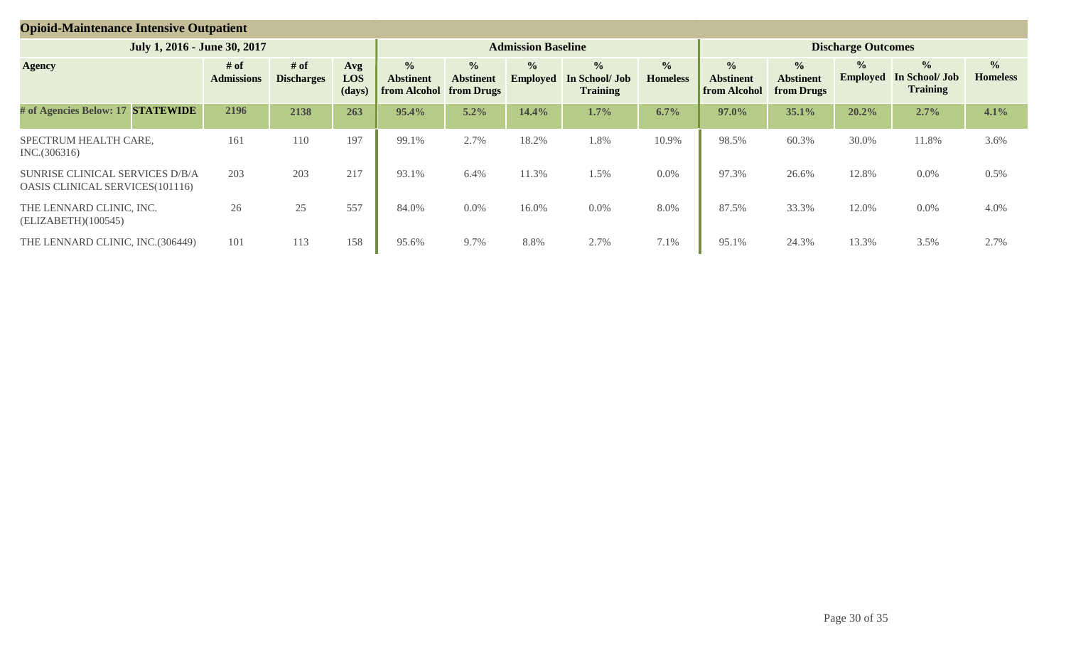| <b>Opioid-Maintenance Intensive Outpatient</b>                     |                              |                           |                           |                      |                                                              |                                   |                                  |                                                    |                                  |                                                          |                                                 |                                  |                                                    |                                  |
|--------------------------------------------------------------------|------------------------------|---------------------------|---------------------------|----------------------|--------------------------------------------------------------|-----------------------------------|----------------------------------|----------------------------------------------------|----------------------------------|----------------------------------------------------------|-------------------------------------------------|----------------------------------|----------------------------------------------------|----------------------------------|
|                                                                    | July 1, 2016 - June 30, 2017 |                           |                           |                      |                                                              |                                   | <b>Admission Baseline</b>        |                                                    |                                  |                                                          |                                                 | <b>Discharge Outcomes</b>        |                                                    |                                  |
| <b>Agency</b>                                                      |                              | # of<br><b>Admissions</b> | # of<br><b>Discharges</b> | Avg<br>LOS<br>(days) | $\frac{0}{0}$<br><b>Abstinent</b><br>from Alcohol from Drugs | $\frac{0}{0}$<br><b>Abstinent</b> | $\frac{0}{0}$<br><b>Employed</b> | $\frac{0}{0}$<br>In School/ Job<br><b>Training</b> | $\frac{0}{0}$<br><b>Homeless</b> | $\frac{0}{0}$<br><b>Abstinent</b><br><b>from Alcohol</b> | $\frac{6}{6}$<br><b>Abstinent</b><br>from Drugs | $\frac{0}{0}$<br><b>Employed</b> | $\frac{1}{2}$<br>In School/ Job<br><b>Training</b> | $\frac{0}{0}$<br><b>Homeless</b> |
| # of Agencies Below: 17 STATEWIDE                                  |                              | 2196                      | 2138                      | 263                  | 95.4%                                                        | 5.2%                              | 14.4%                            | 1.7%                                               | 6.7%                             | 97.0%                                                    | 35.1%                                           | 20.2%                            | 2.7%                                               | 4.1%                             |
| SPECTRUM HEALTH CARE,<br>INC.(306316)                              |                              | 161                       | 110                       | 197                  | 99.1%                                                        | 2.7%                              | 18.2%                            | 1.8%                                               | 10.9%                            | 98.5%                                                    | 60.3%                                           | 30.0%                            | 11.8%                                              | 3.6%                             |
| SUNRISE CLINICAL SERVICES D/B/A<br>OASIS CLINICAL SERVICES(101116) |                              | 203                       | 203                       | 217                  | 93.1%                                                        | 6.4%                              | 11.3%                            | 1.5%                                               | 0.0%                             | 97.3%                                                    | 26.6%                                           | 12.8%                            | 0.0%                                               | 0.5%                             |
| THE LENNARD CLINIC, INC.<br>(ELIZABETH)(100545)                    |                              | 26                        | 25                        | 557                  | 84.0%                                                        | 0.0%                              | 16.0%                            | $0.0\%$                                            | 8.0%                             | 87.5%                                                    | 33.3%                                           | 12.0%                            | 0.0%                                               | 4.0%                             |
| THE LENNARD CLINIC, INC.(306449)                                   |                              | 101                       | 113                       | 158                  | 95.6%                                                        | 9.7%                              | 8.8%                             | 2.7%                                               | 7.1%                             | 95.1%                                                    | 24.3%                                           | 13.3%                            | 3.5%                                               | 2.7%                             |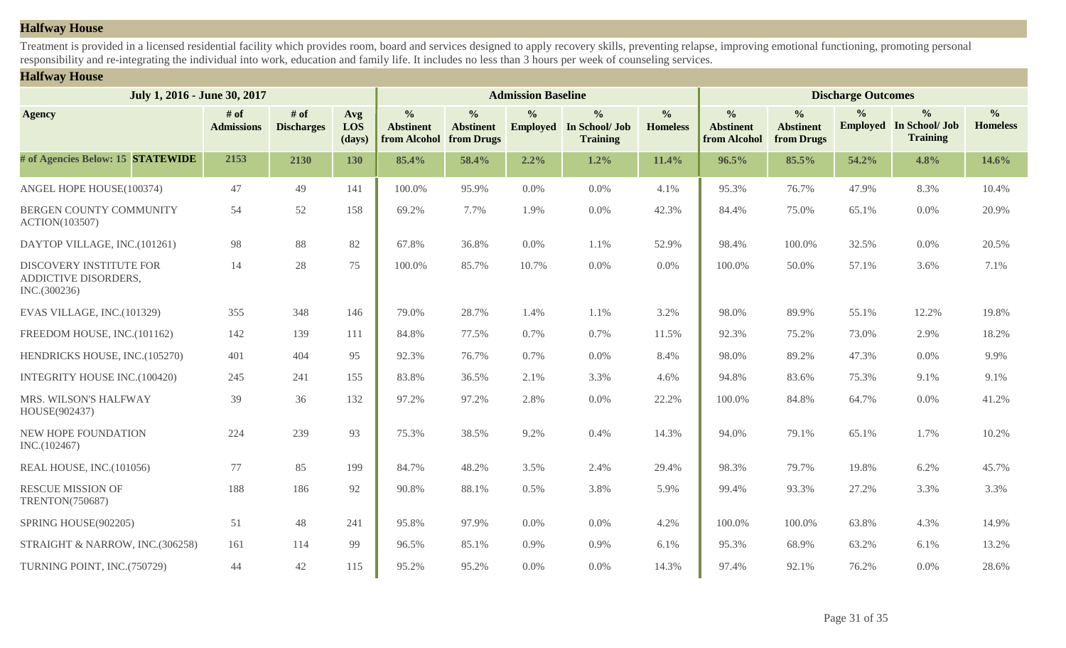## **Halfway House**

Treatment is provided in a licensed residential facility which provides room, board and services designed to apply recovery skills, preventing relapse, improving emotional functioning, promoting personal responsibility and re-integrating the individual into work, education and family life. It includes no less than 3 hours per week of counseling services.

## **Halfway House**

| July 1, 2016 - June 30, 2017                                           |                           | <b>Admission Baseline</b>   |                      |                                                   |                                                 |               |                                                                    | <b>Discharge Outcomes</b>        |                                                   |                                                 |               |                                                                    |                                  |
|------------------------------------------------------------------------|---------------------------|-----------------------------|----------------------|---------------------------------------------------|-------------------------------------------------|---------------|--------------------------------------------------------------------|----------------------------------|---------------------------------------------------|-------------------------------------------------|---------------|--------------------------------------------------------------------|----------------------------------|
| <b>Agency</b>                                                          | # of<br><b>Admissions</b> | $#$ of<br><b>Discharges</b> | Avg<br>LOS<br>(days) | $\frac{6}{6}$<br><b>Abstinent</b><br>from Alcohol | $\frac{0}{0}$<br><b>Abstinent</b><br>from Drugs | $\frac{0}{0}$ | $\frac{0}{0}$<br><b>Employed</b> In School/ Job<br><b>Training</b> | $\frac{0}{0}$<br><b>Homeless</b> | $\frac{6}{6}$<br><b>Abstinent</b><br>from Alcohol | $\frac{0}{0}$<br><b>Abstinent</b><br>from Drugs | $\frac{0}{0}$ | $\frac{0}{0}$<br><b>Employed</b> In School/ Job<br><b>Training</b> | $\frac{0}{0}$<br><b>Homeless</b> |
| # of Agencies Below: 15 STATEWIDE                                      | 2153                      | 2130                        | 130                  | 85.4%                                             | 58.4%                                           | 2.2%          | 1.2%                                                               | 11.4%                            | 96.5%                                             | 85.5%                                           | 54.2%         | 4.8%                                                               | 14.6%                            |
| ANGEL HOPE HOUSE(100374)                                               | 47                        | 49                          | 141                  | 100.0%                                            | 95.9%                                           | 0.0%          | 0.0%                                                               | 4.1%                             | 95.3%                                             | 76.7%                                           | 47.9%         | 8.3%                                                               | 10.4%                            |
| BERGEN COUNTY COMMUNITY<br><b>ACTION(103507)</b>                       | 54                        | 52                          | 158                  | 69.2%                                             | 7.7%                                            | 1.9%          | 0.0%                                                               | 42.3%                            | 84.4%                                             | 75.0%                                           | 65.1%         | 0.0%                                                               | 20.9%                            |
| DAYTOP VILLAGE, INC.(101261)                                           | 98                        | 88                          | 82                   | 67.8%                                             | 36.8%                                           | 0.0%          | 1.1%                                                               | 52.9%                            | 98.4%                                             | 100.0%                                          | 32.5%         | 0.0%                                                               | 20.5%                            |
| <b>DISCOVERY INSTITUTE FOR</b><br>ADDICTIVE DISORDERS,<br>INC.(300236) | 14                        | 28                          | 75                   | 100.0%                                            | 85.7%                                           | 10.7%         | 0.0%                                                               | 0.0%                             | 100.0%                                            | 50.0%                                           | 57.1%         | 3.6%                                                               | 7.1%                             |
| EVAS VILLAGE, INC.(101329)                                             | 355                       | 348                         | 146                  | 79.0%                                             | 28.7%                                           | 1.4%          | 1.1%                                                               | 3.2%                             | 98.0%                                             | 89.9%                                           | 55.1%         | 12.2%                                                              | 19.8%                            |
| FREEDOM HOUSE, INC.(101162)                                            | 142                       | 139                         | 111                  | 84.8%                                             | 77.5%                                           | 0.7%          | 0.7%                                                               | 11.5%                            | 92.3%                                             | 75.2%                                           | 73.0%         | 2.9%                                                               | 18.2%                            |
| HENDRICKS HOUSE, INC.(105270)                                          | 401                       | 404                         | 95                   | 92.3%                                             | 76.7%                                           | 0.7%          | 0.0%                                                               | 8.4%                             | 98.0%                                             | 89.2%                                           | 47.3%         | 0.0%                                                               | 9.9%                             |
| INTEGRITY HOUSE INC.(100420)                                           | 245                       | 241                         | 155                  | 83.8%                                             | 36.5%                                           | 2.1%          | 3.3%                                                               | 4.6%                             | 94.8%                                             | 83.6%                                           | 75.3%         | 9.1%                                                               | 9.1%                             |
| MRS. WILSON'S HALFWAY<br>HOUSE(902437)                                 | 39                        | 36                          | 132                  | 97.2%                                             | 97.2%                                           | 2.8%          | 0.0%                                                               | 22.2%                            | 100.0%                                            | 84.8%                                           | 64.7%         | 0.0%                                                               | 41.2%                            |
| NEW HOPE FOUNDATION<br>INC.(102467)                                    | 224                       | 239                         | 93                   | 75.3%                                             | 38.5%                                           | 9.2%          | 0.4%                                                               | 14.3%                            | 94.0%                                             | 79.1%                                           | 65.1%         | 1.7%                                                               | 10.2%                            |
| REAL HOUSE, INC.(101056)                                               | 77                        | 85                          | 199                  | 84.7%                                             | 48.2%                                           | 3.5%          | 2.4%                                                               | 29.4%                            | 98.3%                                             | 79.7%                                           | 19.8%         | 6.2%                                                               | 45.7%                            |
| <b>RESCUE MISSION OF</b><br><b>TRENTON(750687)</b>                     | 188                       | 186                         | 92                   | 90.8%                                             | 88.1%                                           | 0.5%          | 3.8%                                                               | 5.9%                             | 99.4%                                             | 93.3%                                           | 27.2%         | 3.3%                                                               | 3.3%                             |
| SPRING HOUSE(902205)                                                   | 51                        | 48                          | 241                  | 95.8%                                             | 97.9%                                           | 0.0%          | 0.0%                                                               | 4.2%                             | 100.0%                                            | 100.0%                                          | 63.8%         | 4.3%                                                               | 14.9%                            |
| STRAIGHT & NARROW, INC.(306258)                                        | 161                       | 114                         | 99                   | 96.5%                                             | 85.1%                                           | 0.9%          | 0.9%                                                               | 6.1%                             | 95.3%                                             | 68.9%                                           | 63.2%         | 6.1%                                                               | 13.2%                            |
| TURNING POINT, INC.(750729)                                            | 44                        | 42                          | 115                  | 95.2%                                             | 95.2%                                           | $0.0\%$       | 0.0%                                                               | 14.3%                            | 97.4%                                             | 92.1%                                           | 76.2%         | 0.0%                                                               | 28.6%                            |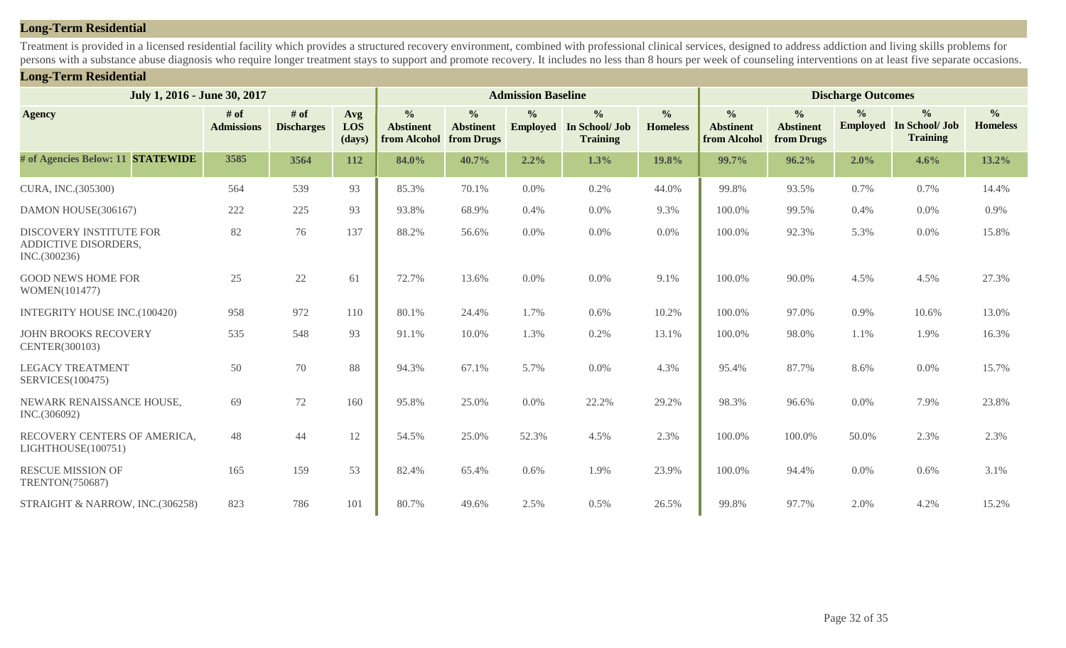## **Long-Term Residential**

Treatment is provided in a licensed residential facility which provides a structured recovery environment, combined with professional clinical services, designed to address addiction and living skills problems for persons with a substance abuse diagnosis who require longer treatment stays to support and promote recovery. It includes no less than 8 hours per week of counseling interventions on at least five separate occasions.

#### **Long-Term Residential**

| July 1, 2016 - June 30, 2017                                           |                             |                             |                      | <b>Admission Baseline</b>                         |                                                 |                                  |                                                    |                                  | <b>Discharge Outcomes</b>                         |                                                 |                                  |                                                    |                                  |
|------------------------------------------------------------------------|-----------------------------|-----------------------------|----------------------|---------------------------------------------------|-------------------------------------------------|----------------------------------|----------------------------------------------------|----------------------------------|---------------------------------------------------|-------------------------------------------------|----------------------------------|----------------------------------------------------|----------------------------------|
| <b>Agency</b>                                                          | $#$ of<br><b>Admissions</b> | $#$ of<br><b>Discharges</b> | Avg<br>LOS<br>(days) | $\frac{0}{0}$<br><b>Abstinent</b><br>from Alcohol | $\frac{0}{0}$<br><b>Abstinent</b><br>from Drugs | $\frac{0}{0}$<br><b>Employed</b> | $\frac{6}{6}$<br>In School/ Job<br><b>Training</b> | $\frac{0}{0}$<br><b>Homeless</b> | $\frac{0}{0}$<br><b>Abstinent</b><br>from Alcohol | $\frac{0}{0}$<br><b>Abstinent</b><br>from Drugs | $\frac{0}{0}$<br><b>Employed</b> | $\frac{0}{0}$<br>In School/ Job<br><b>Training</b> | $\frac{0}{0}$<br><b>Homeless</b> |
| # of Agencies Below: 11 STATEWIDE                                      | 3585                        | 3564                        | 112                  | 84.0%                                             | 40.7%                                           | 2.2%                             | 1.3%                                               | 19.8%                            | 99.7%                                             | 96.2%                                           | 2.0%                             | 4.6%                                               | 13.2%                            |
| CURA, INC.(305300)                                                     | 564                         | 539                         | 93                   | 85.3%                                             | 70.1%                                           | 0.0%                             | 0.2%                                               | 44.0%                            | 99.8%                                             | 93.5%                                           | 0.7%                             | 0.7%                                               | 14.4%                            |
| DAMON HOUSE(306167)                                                    | 222                         | 225                         | 93                   | 93.8%                                             | 68.9%                                           | 0.4%                             | 0.0%                                               | 9.3%                             | 100.0%                                            | 99.5%                                           | 0.4%                             | 0.0%                                               | 0.9%                             |
| <b>DISCOVERY INSTITUTE FOR</b><br>ADDICTIVE DISORDERS,<br>INC.(300236) | 82                          | 76                          | 137                  | 88.2%                                             | 56.6%                                           | 0.0%                             | $0.0\%$                                            | 0.0%                             | 100.0%                                            | 92.3%                                           | 5.3%                             | 0.0%                                               | 15.8%                            |
| <b>GOOD NEWS HOME FOR</b><br>WOMEN(101477)                             | 25                          | 22                          | 61                   | 72.7%                                             | 13.6%                                           | 0.0%                             | 0.0%                                               | 9.1%                             | 100.0%                                            | 90.0%                                           | 4.5%                             | 4.5%                                               | 27.3%                            |
| <b>INTEGRITY HOUSE INC.(100420)</b>                                    | 958                         | 972                         | 110                  | 80.1%                                             | 24.4%                                           | 1.7%                             | 0.6%                                               | 10.2%                            | 100.0%                                            | 97.0%                                           | 0.9%                             | 10.6%                                              | 13.0%                            |
| <b>JOHN BROOKS RECOVERY</b><br>CENTER(300103)                          | 535                         | 548                         | 93                   | 91.1%                                             | 10.0%                                           | 1.3%                             | 0.2%                                               | 13.1%                            | 100.0%                                            | 98.0%                                           | 1.1%                             | 1.9%                                               | 16.3%                            |
| <b>LEGACY TREATMENT</b><br><b>SERVICES(100475)</b>                     | 50                          | 70                          | 88                   | 94.3%                                             | 67.1%                                           | 5.7%                             | 0.0%                                               | 4.3%                             | 95.4%                                             | 87.7%                                           | 8.6%                             | 0.0%                                               | 15.7%                            |
| NEWARK RENAISSANCE HOUSE,<br>INC.(306092)                              | 69                          | 72                          | 160                  | 95.8%                                             | 25.0%                                           | 0.0%                             | 22.2%                                              | 29.2%                            | 98.3%                                             | 96.6%                                           | 0.0%                             | 7.9%                                               | 23.8%                            |
| RECOVERY CENTERS OF AMERICA,<br>LIGHTHOUSE(100751)                     | 48                          | 44                          | 12                   | 54.5%                                             | 25.0%                                           | 52.3%                            | 4.5%                                               | 2.3%                             | 100.0%                                            | 100.0%                                          | 50.0%                            | 2.3%                                               | 2.3%                             |
| <b>RESCUE MISSION OF</b><br>TRENTON(750687)                            | 165                         | 159                         | 53                   | 82.4%                                             | 65.4%                                           | 0.6%                             | 1.9%                                               | 23.9%                            | 100.0%                                            | 94.4%                                           | 0.0%                             | 0.6%                                               | 3.1%                             |
| STRAIGHT & NARROW, INC.(306258)                                        | 823                         | 786                         | 101                  | 80.7%                                             | 49.6%                                           | 2.5%                             | 0.5%                                               | 26.5%                            | 99.8%                                             | 97.7%                                           | 2.0%                             | 4.2%                                               | 15.2%                            |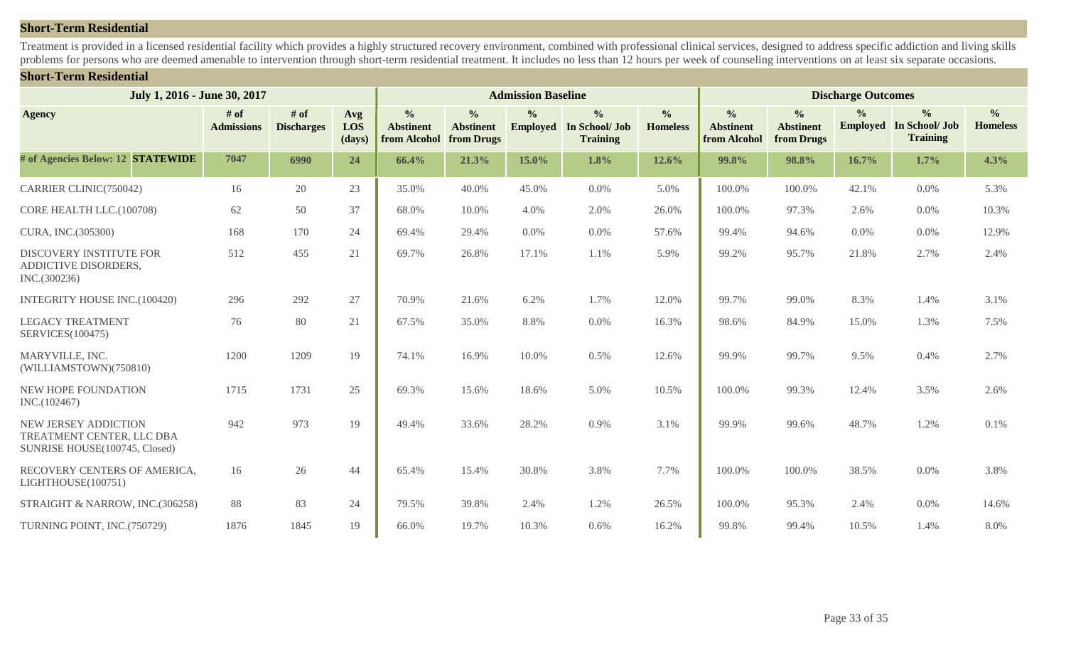## **Short-Term Residential**

Treatment is provided in a licensed residential facility which provides a highly structured recovery environment, combined with professional clinical services, designed to address specific addiction and living skills problems for persons who are deemed amenable to intervention through short-term residential treatment. It includes no less than 12 hours per week of counseling interventions on at least six separate occasions.

#### **Short-Term Residential**

| July 1, 2016 - June 30, 2017                                                       |                           |                             |                      | <b>Admission Baseline</b>                         |                                                 | <b>Discharge Outcomes</b> |                                                                    |                                  |                                                   |                                                 |                                  |                                                           |                                  |
|------------------------------------------------------------------------------------|---------------------------|-----------------------------|----------------------|---------------------------------------------------|-------------------------------------------------|---------------------------|--------------------------------------------------------------------|----------------------------------|---------------------------------------------------|-------------------------------------------------|----------------------------------|-----------------------------------------------------------|----------------------------------|
| <b>Agency</b>                                                                      | # of<br><b>Admissions</b> | $#$ of<br><b>Discharges</b> | Avg<br>LOS<br>(days) | $\frac{0}{0}$<br><b>Abstinent</b><br>from Alcohol | $\frac{0}{0}$<br><b>Abstinent</b><br>from Drugs | $\frac{0}{0}$             | $\frac{0}{0}$<br><b>Employed</b> In School/ Job<br><b>Training</b> | $\frac{0}{0}$<br><b>Homeless</b> | $\frac{0}{0}$<br><b>Abstinent</b><br>from Alcohol | $\frac{0}{0}$<br><b>Abstinent</b><br>from Drugs | $\frac{6}{9}$<br><b>Employed</b> | $\frac{0}{0}$<br><b>In School/ Job</b><br><b>Training</b> | $\frac{0}{0}$<br><b>Homeless</b> |
| # of Agencies Below: 12 STATEWIDE                                                  | 7047                      | 6990                        | 24                   | 66.4%                                             | 21.3%                                           | 15.0%                     | 1.8%                                                               | 12.6%                            | 99.8%                                             | 98.8%                                           | 16.7%                            | 1.7%                                                      | 4.3%                             |
| CARRIER CLINIC(750042)                                                             | 16                        | 20                          | 23                   | 35.0%                                             | 40.0%                                           | 45.0%                     | 0.0%                                                               | 5.0%                             | 100.0%                                            | 100.0%                                          | 42.1%                            | 0.0%                                                      | 5.3%                             |
| CORE HEALTH LLC.(100708)                                                           | 62                        | 50                          | 37                   | 68.0%                                             | 10.0%                                           | 4.0%                      | 2.0%                                                               | 26.0%                            | 100.0%                                            | 97.3%                                           | 2.6%                             | 0.0%                                                      | 10.3%                            |
| CURA, INC.(305300)                                                                 | 168                       | 170                         | 24                   | 69.4%                                             | 29.4%                                           | $0.0\%$                   | 0.0%                                                               | 57.6%                            | 99.4%                                             | 94.6%                                           | 0.0%                             | 0.0%                                                      | 12.9%                            |
| <b>DISCOVERY INSTITUTE FOR</b><br>ADDICTIVE DISORDERS,<br>INC.(300236)             | 512                       | 455                         | 21                   | 69.7%                                             | 26.8%                                           | 17.1%                     | 1.1%                                                               | 5.9%                             | 99.2%                                             | 95.7%                                           | 21.8%                            | 2.7%                                                      | 2.4%                             |
| <b>INTEGRITY HOUSE INC.(100420)</b>                                                | 296                       | 292                         | 27                   | 70.9%                                             | 21.6%                                           | 6.2%                      | 1.7%                                                               | 12.0%                            | 99.7%                                             | 99.0%                                           | 8.3%                             | 1.4%                                                      | 3.1%                             |
| <b>LEGACY TREATMENT</b><br>SERVICES(100475)                                        | 76                        | 80                          | 21                   | 67.5%                                             | 35.0%                                           | 8.8%                      | 0.0%                                                               | 16.3%                            | 98.6%                                             | 84.9%                                           | 15.0%                            | 1.3%                                                      | 7.5%                             |
| MARYVILLE, INC.<br>(WILLIAMSTOWN)(750810)                                          | 1200                      | 1209                        | 19                   | 74.1%                                             | 16.9%                                           | 10.0%                     | 0.5%                                                               | 12.6%                            | 99.9%                                             | 99.7%                                           | 9.5%                             | 0.4%                                                      | 2.7%                             |
| NEW HOPE FOUNDATION<br>INC.(102467)                                                | 1715                      | 1731                        | 25                   | 69.3%                                             | 15.6%                                           | 18.6%                     | 5.0%                                                               | 10.5%                            | 100.0%                                            | 99.3%                                           | 12.4%                            | 3.5%                                                      | 2.6%                             |
| NEW JERSEY ADDICTION<br>TREATMENT CENTER, LLC DBA<br>SUNRISE HOUSE(100745, Closed) | 942                       | 973                         | 19                   | 49.4%                                             | 33.6%                                           | 28.2%                     | 0.9%                                                               | 3.1%                             | 99.9%                                             | 99.6%                                           | 48.7%                            | 1.2%                                                      | 0.1%                             |
| RECOVERY CENTERS OF AMERICA,<br>LIGHTHOUSE(100751)                                 | 16                        | 26                          | 44                   | 65.4%                                             | 15.4%                                           | 30.8%                     | 3.8%                                                               | 7.7%                             | 100.0%                                            | 100.0%                                          | 38.5%                            | 0.0%                                                      | 3.8%                             |
| STRAIGHT & NARROW, INC.(306258)                                                    | 88                        | 83                          | 24                   | 79.5%                                             | 39.8%                                           | 2.4%                      | 1.2%                                                               | 26.5%                            | 100.0%                                            | 95.3%                                           | 2.4%                             | 0.0%                                                      | 14.6%                            |
| TURNING POINT, INC.(750729)                                                        | 1876                      | 1845                        | 19                   | 66.0%                                             | 19.7%                                           | 10.3%                     | 0.6%                                                               | 16.2%                            | 99.8%                                             | 99.4%                                           | 10.5%                            | 1.4%                                                      | 8.0%                             |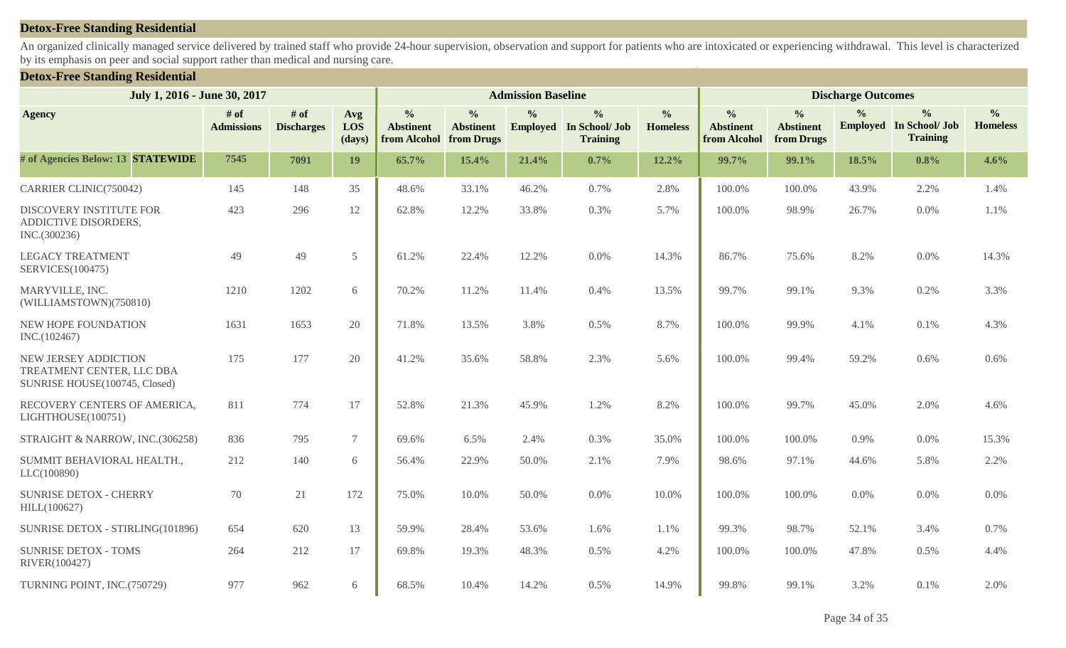#### **Detox-Free Standing Residential**

An organized clinically managed service delivered by trained staff who provide 24-hour supervision, observation and support for patients who are intoxicated or experiencing withdrawal. This level is characterized by its emphasis on peer and social support rather than medical and nursing care.

#### **Detox-Free Standing Residential**

| July 1, 2016 - June 30, 2017                                                       |                           |                             |                             | <b>Admission Baseline</b>                                    |                                   | <b>Discharge Outcomes</b> |                                                                    |                                  |                                                   |                                                 |               |                                                                    |                                  |
|------------------------------------------------------------------------------------|---------------------------|-----------------------------|-----------------------------|--------------------------------------------------------------|-----------------------------------|---------------------------|--------------------------------------------------------------------|----------------------------------|---------------------------------------------------|-------------------------------------------------|---------------|--------------------------------------------------------------------|----------------------------------|
| <b>Agency</b>                                                                      | # of<br><b>Admissions</b> | $#$ of<br><b>Discharges</b> | Avg<br><b>LOS</b><br>(days) | $\frac{0}{0}$<br><b>Abstinent</b><br>from Alcohol from Drugs | $\frac{0}{0}$<br><b>Abstinent</b> | $\frac{0}{0}$             | $\frac{0}{0}$<br><b>Employed</b> In School/ Job<br><b>Training</b> | $\frac{0}{0}$<br><b>Homeless</b> | $\frac{0}{0}$<br><b>Abstinent</b><br>from Alcohol | $\frac{0}{0}$<br><b>Abstinent</b><br>from Drugs | $\frac{0}{0}$ | $\frac{0}{0}$<br><b>Employed</b> In School/ Job<br><b>Training</b> | $\frac{0}{0}$<br><b>Homeless</b> |
| # of Agencies Below: 13 STATEWIDE                                                  | 7545                      | 7091                        | 19                          | 65.7%                                                        | 15.4%                             | 21.4%                     | 0.7%                                                               | 12.2%                            | 99.7%                                             | 99.1%                                           | 18.5%         | 0.8%                                                               | 4.6%                             |
| CARRIER CLINIC(750042)                                                             | 145                       | 148                         | 35                          | 48.6%                                                        | 33.1%                             | 46.2%                     | 0.7%                                                               | 2.8%                             | 100.0%                                            | 100.0%                                          | 43.9%         | 2.2%                                                               | 1.4%                             |
| DISCOVERY INSTITUTE FOR<br>ADDICTIVE DISORDERS,<br>INC.(300236)                    | 423                       | 296                         | 12                          | 62.8%                                                        | 12.2%                             | 33.8%                     | 0.3%                                                               | 5.7%                             | 100.0%                                            | 98.9%                                           | 26.7%         | 0.0%                                                               | 1.1%                             |
| <b>LEGACY TREATMENT</b><br>SERVICES(100475)                                        | 49                        | 49                          | 5                           | 61.2%                                                        | 22.4%                             | 12.2%                     | 0.0%                                                               | 14.3%                            | 86.7%                                             | 75.6%                                           | 8.2%          | 0.0%                                                               | 14.3%                            |
| MARYVILLE, INC.<br>(WILLIAMSTOWN)(750810)                                          | 1210                      | 1202                        | 6                           | 70.2%                                                        | 11.2%                             | 11.4%                     | 0.4%                                                               | 13.5%                            | 99.7%                                             | 99.1%                                           | 9.3%          | 0.2%                                                               | 3.3%                             |
| NEW HOPE FOUNDATION<br>INC.(102467)                                                | 1631                      | 1653                        | 20                          | 71.8%                                                        | 13.5%                             | 3.8%                      | 0.5%                                                               | 8.7%                             | 100.0%                                            | 99.9%                                           | 4.1%          | 0.1%                                                               | 4.3%                             |
| NEW JERSEY ADDICTION<br>TREATMENT CENTER, LLC DBA<br>SUNRISE HOUSE(100745, Closed) | 175                       | 177                         | 20                          | 41.2%                                                        | 35.6%                             | 58.8%                     | 2.3%                                                               | 5.6%                             | 100.0%                                            | 99.4%                                           | 59.2%         | 0.6%                                                               | 0.6%                             |
| RECOVERY CENTERS OF AMERICA,<br>LIGHTHOUSE(100751)                                 | 811                       | 774                         | 17                          | 52.8%                                                        | 21.3%                             | 45.9%                     | 1.2%                                                               | 8.2%                             | 100.0%                                            | 99.7%                                           | 45.0%         | 2.0%                                                               | 4.6%                             |
| STRAIGHT & NARROW, INC.(306258)                                                    | 836                       | 795                         | $7\overline{ }$             | 69.6%                                                        | 6.5%                              | 2.4%                      | 0.3%                                                               | 35.0%                            | 100.0%                                            | 100.0%                                          | 0.9%          | 0.0%                                                               | 15.3%                            |
| SUMMIT BEHAVIORAL HEALTH.,<br>LLC(100890)                                          | 212                       | 140                         | 6                           | 56.4%                                                        | 22.9%                             | 50.0%                     | 2.1%                                                               | 7.9%                             | 98.6%                                             | 97.1%                                           | 44.6%         | 5.8%                                                               | 2.2%                             |
| <b>SUNRISE DETOX - CHERRY</b><br>HILL(100627)                                      | 70                        | 21                          | 172                         | 75.0%                                                        | 10.0%                             | 50.0%                     | 0.0%                                                               | 10.0%                            | 100.0%                                            | 100.0%                                          | 0.0%          | 0.0%                                                               | 0.0%                             |
| SUNRISE DETOX - STIRLING(101896)                                                   | 654                       | 620                         | 13                          | 59.9%                                                        | 28.4%                             | 53.6%                     | 1.6%                                                               | 1.1%                             | 99.3%                                             | 98.7%                                           | 52.1%         | 3.4%                                                               | 0.7%                             |
| <b>SUNRISE DETOX - TOMS</b><br>RIVER(100427)                                       | 264                       | 212                         | 17                          | 69.8%                                                        | 19.3%                             | 48.3%                     | 0.5%                                                               | 4.2%                             | 100.0%                                            | 100.0%                                          | 47.8%         | 0.5%                                                               | 4.4%                             |
| TURNING POINT, INC.(750729)                                                        | 977                       | 962                         | 6                           | 68.5%                                                        | 10.4%                             | 14.2%                     | 0.5%                                                               | 14.9%                            | 99.8%                                             | 99.1%                                           | 3.2%          | 0.1%                                                               | 2.0%                             |